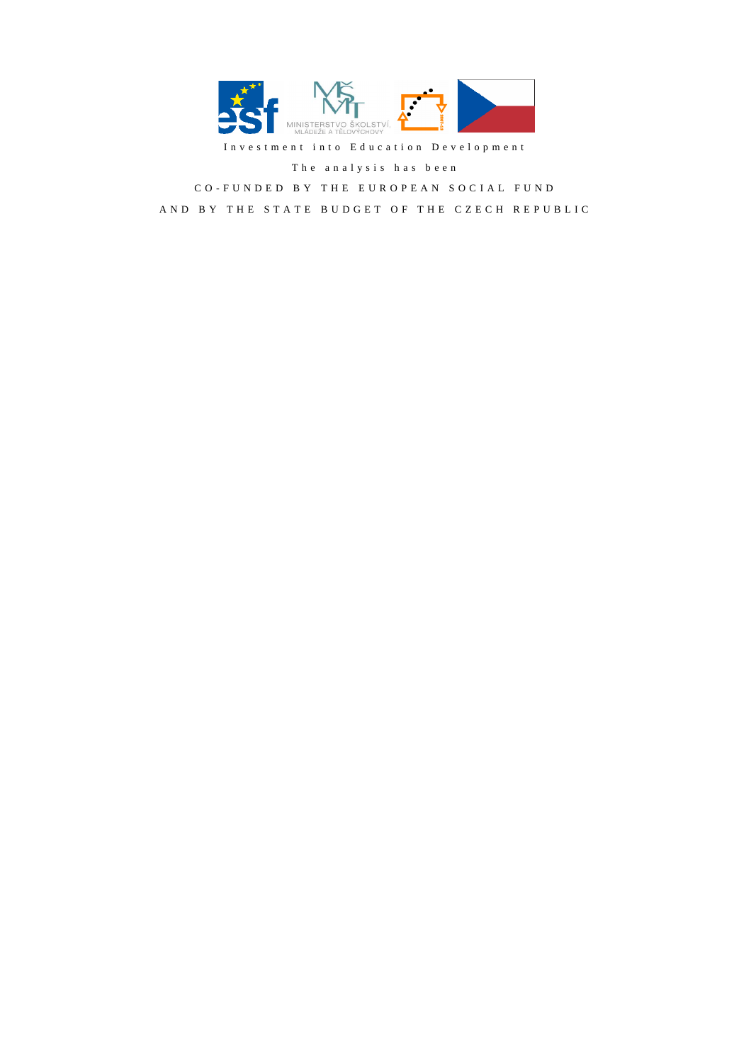

Investment into Education Development

T h e a n a l y s i s h a s b e e n

CO-FUNDED BY THE EUROPEAN SOCIAL FUND

AND BY THE STATE BUDGET OF THE CZECH REPUBLIC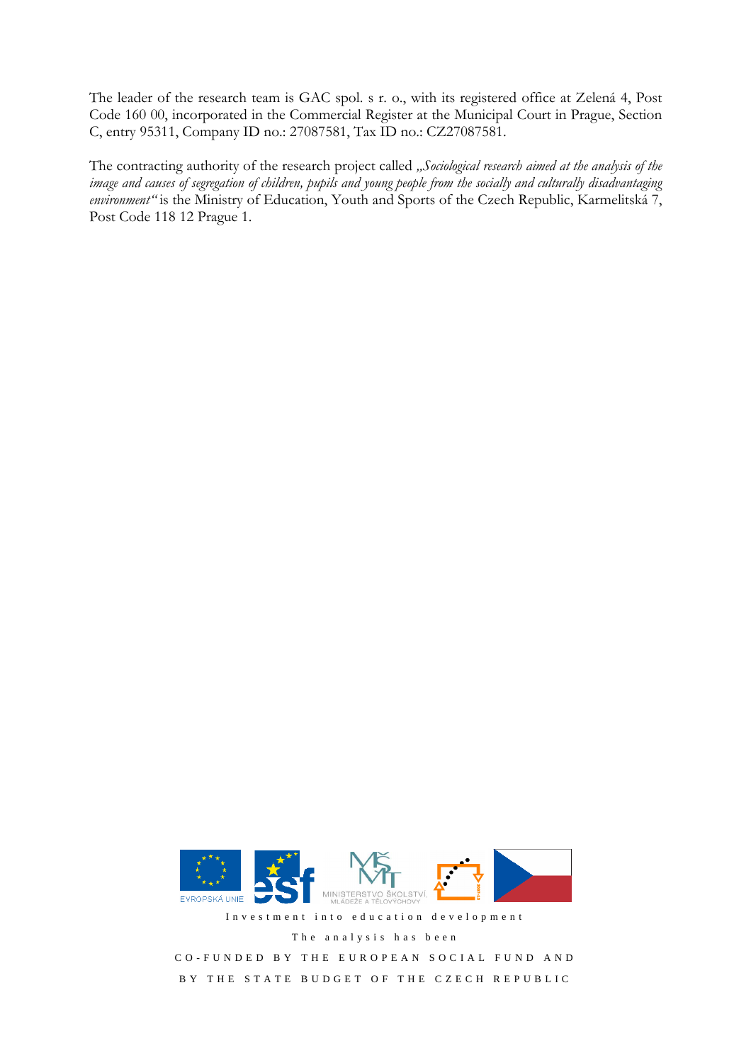The leader of the research team is GAC spol. s r. o., with its registered office at Zelená 4, Post Code 160 00, incorporated in the Commercial Register at the Municipal Court in Prague, Section C, entry 95311, Company ID no.: 27087581, Tax ID no.: CZ27087581.

The contracting authority of the research project called "Sociological research aimed at the analysis of the *image and causes of segregation of children, pupils and young people from the socially and culturally disadvantaging environment"* is the Ministry of Education, Youth and Sports of the Czech Republic, Karmelitská 7, Post Code 118 12 Prague 1.



Investment into education development

The analysis has been

CO-FUNDED BY THE EUROPEAN SOCIAL FUND AND BY THE STATE BUDGET OF THE CZECH REPUBLIC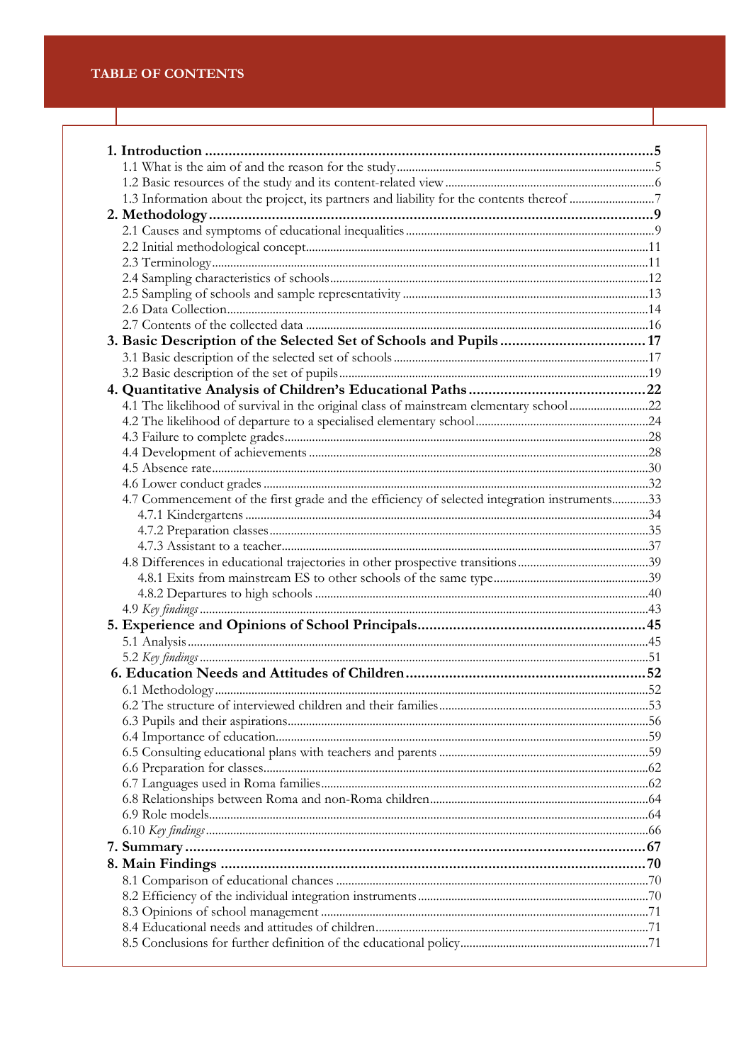| 4.1 The likelihood of survival in the original class of mainstream elementary school 22      |  |
|----------------------------------------------------------------------------------------------|--|
|                                                                                              |  |
|                                                                                              |  |
|                                                                                              |  |
|                                                                                              |  |
|                                                                                              |  |
| 4.7 Commencement of the first grade and the efficiency of selected integration instruments33 |  |
|                                                                                              |  |
|                                                                                              |  |
|                                                                                              |  |
|                                                                                              |  |
|                                                                                              |  |
|                                                                                              |  |
|                                                                                              |  |
|                                                                                              |  |
|                                                                                              |  |
|                                                                                              |  |
|                                                                                              |  |
|                                                                                              |  |
|                                                                                              |  |
|                                                                                              |  |
|                                                                                              |  |
|                                                                                              |  |
|                                                                                              |  |
|                                                                                              |  |
|                                                                                              |  |
|                                                                                              |  |
|                                                                                              |  |
|                                                                                              |  |
|                                                                                              |  |
|                                                                                              |  |
|                                                                                              |  |
|                                                                                              |  |
|                                                                                              |  |
|                                                                                              |  |
|                                                                                              |  |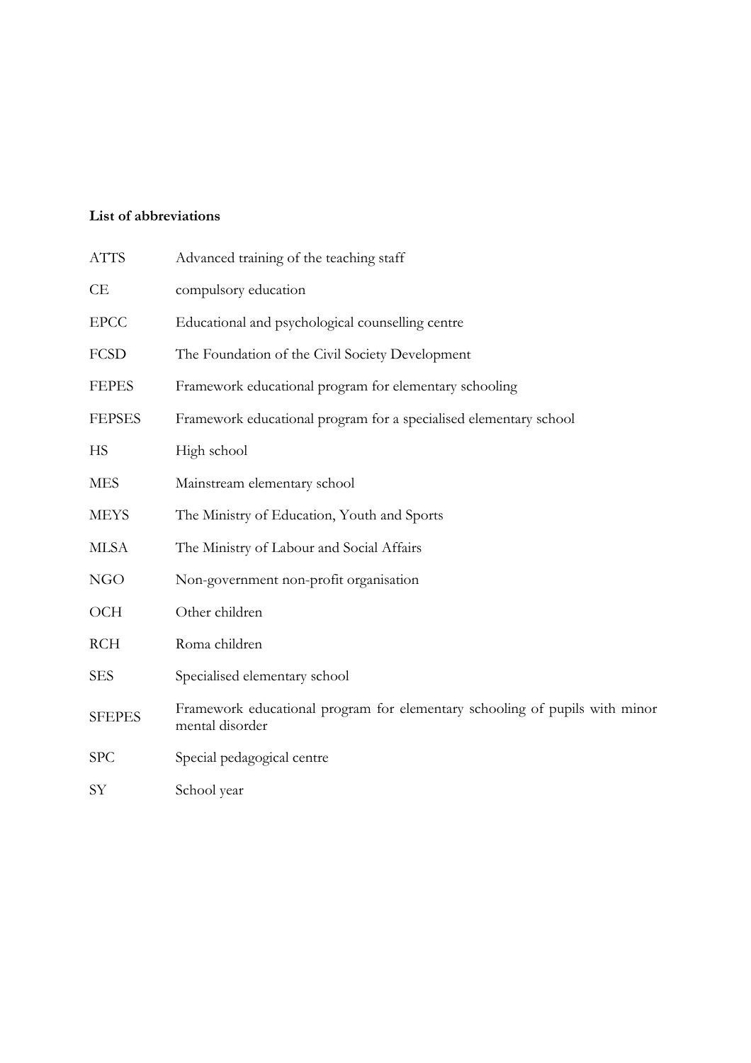# **List of abbreviations**

| <b>ATTS</b>   | Advanced training of the teaching staff                                                        |
|---------------|------------------------------------------------------------------------------------------------|
| СE            | compulsory education                                                                           |
| <b>EPCC</b>   | Educational and psychological counselling centre                                               |
| <b>FCSD</b>   | The Foundation of the Civil Society Development                                                |
| <b>FEPES</b>  | Framework educational program for elementary schooling                                         |
| <b>FEPSES</b> | Framework educational program for a specialised elementary school                              |
| HS            | High school                                                                                    |
| <b>MES</b>    | Mainstream elementary school                                                                   |
| <b>MEYS</b>   | The Ministry of Education, Youth and Sports                                                    |
| <b>MLSA</b>   | The Ministry of Labour and Social Affairs                                                      |
| NGO           | Non-government non-profit organisation                                                         |
| <b>OCH</b>    | Other children                                                                                 |
| <b>RCH</b>    | Roma children                                                                                  |
| <b>SES</b>    | Specialised elementary school                                                                  |
| <b>SFEPES</b> | Framework educational program for elementary schooling of pupils with minor<br>mental disorder |
| <b>SPC</b>    | Special pedagogical centre                                                                     |
| SY            | School year                                                                                    |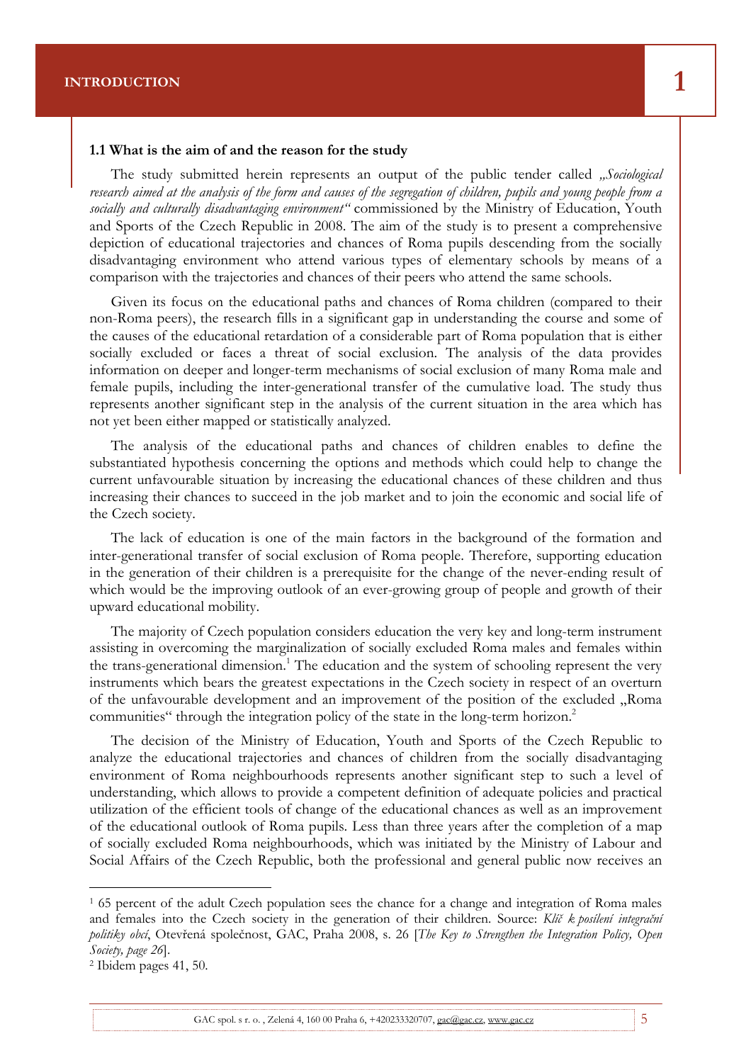#### **1.1 What is the aim of and the reason for the study**

The study submitted herein represents an output of the public tender called *"Sociological research aimed at the analysis of the form and causes of the segregation of children, pupils and young people from a socially and culturally disadvantaging environment"* commissioned by the Ministry of Education, Youth and Sports of the Czech Republic in 2008. The aim of the study is to present a comprehensive depiction of educational trajectories and chances of Roma pupils descending from the socially disadvantaging environment who attend various types of elementary schools by means of a comparison with the trajectories and chances of their peers who attend the same schools.

Final report of the research project **SOCIOLOGICAL RESEARCH AIMED AT THE ANALYSIS OF THE** 

Given its focus on the educational paths and chances of Roma children (compared to their non-Roma peers), the research fills in a significant gap in understanding the course and some of the causes of the educational retardation of a considerable part of Roma population that is either socially excluded or faces a threat of social exclusion. The analysis of the data provides information on deeper and longer-term mechanisms of social exclusion of many Roma male and female pupils, including the inter-generational transfer of the cumulative load. The study thus represents another significant step in the analysis of the current situation in the area which has not yet been either mapped or statistically analyzed.

The analysis of the educational paths and chances of children enables to define the substantiated hypothesis concerning the options and methods which could help to change the current unfavourable situation by increasing the educational chances of these children and thus increasing their chances to succeed in the job market and to join the economic and social life of the Czech society.

The lack of education is one of the main factors in the background of the formation and inter-generational transfer of social exclusion of Roma people. Therefore, supporting education in the generation of their children is a prerequisite for the change of the never-ending result of which would be the improving outlook of an ever-growing group of people and growth of their upward educational mobility.

The majority of Czech population considers education the very key and long-term instrument assisting in overcoming the marginalization of socially excluded Roma males and females within the trans-generational dimension.<sup>1</sup> The education and the system of schooling represent the very instruments which bears the greatest expectations in the Czech society in respect of an overturn of the unfavourable development and an improvement of the position of the excluded "Roma communities" through the integration policy of the state in the long-term horizon.<sup>2</sup>

The decision of the Ministry of Education, Youth and Sports of the Czech Republic to analyze the educational trajectories and chances of children from the socially disadvantaging environment of Roma neighbourhoods represents another significant step to such a level of understanding, which allows to provide a competent definition of adequate policies and practical utilization of the efficient tools of change of the educational chances as well as an improvement of the educational outlook of Roma pupils. Less than three years after the completion of a map of socially excluded Roma neighbourhoods, which was initiated by the Ministry of Labour and Social Affairs of the Czech Republic, both the professional and general public now receives an

 $\overline{a}$ 

<sup>&</sup>lt;sup>1</sup> 65 percent of the adult Czech population sees the chance for a change and integration of Roma males and females into the Czech society in the generation of their children. Source: *Klíč k posílení integrační politiky obcí*, Otevřená společnost, GAC, Praha 2008, s. 26 [*The Key to Strengthen the Integration Policy, Open Society, page 26*].

<sup>2</sup> Ibidem pages 41, 50.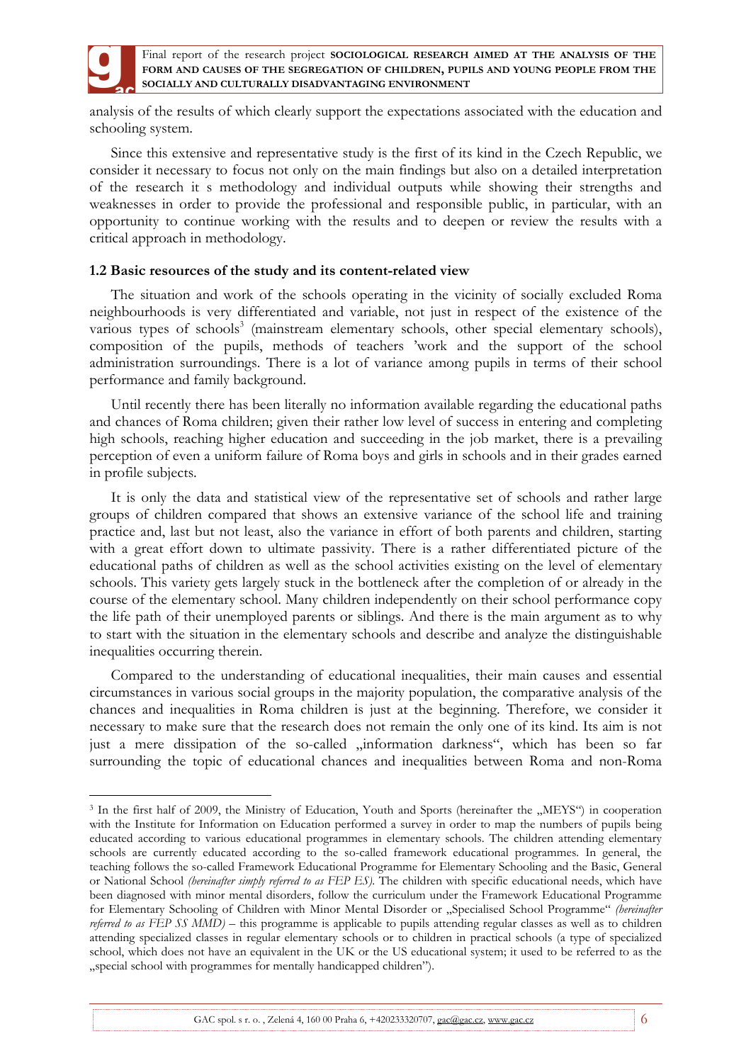

 $\overline{a}$ 

Final report of the research project **SOCIOLOGICAL RESEARCH AIMED AT THE ANALYSIS OF THE FORM AND CAUSES OF THE SEGREGATION OF CHILDREN, PUPILS AND YOUNG PEOPLE FROM THE SOCIALLY AND CULTURALLY DISADVANTAGING ENVIRONMENT**

analysis of the results of which clearly support the expectations associated with the education and schooling system.

Since this extensive and representative study is the first of its kind in the Czech Republic, we consider it necessary to focus not only on the main findings but also on a detailed interpretation of the research it s methodology and individual outputs while showing their strengths and weaknesses in order to provide the professional and responsible public, in particular, with an opportunity to continue working with the results and to deepen or review the results with a critical approach in methodology.

### **1.2 Basic resources of the study and its content-related view**

The situation and work of the schools operating in the vicinity of socially excluded Roma neighbourhoods is very differentiated and variable, not just in respect of the existence of the various types of schools<sup>3</sup> (mainstream elementary schools, other special elementary schools), composition of the pupils, methods of teachers 'work and the support of the school administration surroundings. There is a lot of variance among pupils in terms of their school performance and family background.

Until recently there has been literally no information available regarding the educational paths and chances of Roma children; given their rather low level of success in entering and completing high schools, reaching higher education and succeeding in the job market, there is a prevailing perception of even a uniform failure of Roma boys and girls in schools and in their grades earned in profile subjects.

It is only the data and statistical view of the representative set of schools and rather large groups of children compared that shows an extensive variance of the school life and training practice and, last but not least, also the variance in effort of both parents and children, starting with a great effort down to ultimate passivity. There is a rather differentiated picture of the educational paths of children as well as the school activities existing on the level of elementary schools. This variety gets largely stuck in the bottleneck after the completion of or already in the course of the elementary school. Many children independently on their school performance copy the life path of their unemployed parents or siblings. And there is the main argument as to why to start with the situation in the elementary schools and describe and analyze the distinguishable inequalities occurring therein.

Compared to the understanding of educational inequalities, their main causes and essential circumstances in various social groups in the majority population, the comparative analysis of the chances and inequalities in Roma children is just at the beginning. Therefore, we consider it necessary to make sure that the research does not remain the only one of its kind. Its aim is not just a mere dissipation of the so-called "information darkness", which has been so far surrounding the topic of educational chances and inequalities between Roma and non-Roma

<sup>&</sup>lt;sup>3</sup> In the first half of 2009, the Ministry of Education, Youth and Sports (hereinafter the "MEYS") in cooperation with the Institute for Information on Education performed a survey in order to map the numbers of pupils being educated according to various educational programmes in elementary schools. The children attending elementary schools are currently educated according to the so-called framework educational programmes. In general, the teaching follows the so-called Framework Educational Programme for Elementary Schooling and the Basic, General or National School *(hereinafter simply referred to as FEP ES)*. The children with specific educational needs, which have been diagnosed with minor mental disorders, follow the curriculum under the Framework Educational Programme for Elementary Schooling of Children with Minor Mental Disorder or "Specialised School Programme" *(hereinafter referred to as FEP SS MMD)* – this programme is applicable to pupils attending regular classes as well as to children attending specialized classes in regular elementary schools or to children in practical schools (a type of specialized school, which does not have an equivalent in the UK or the US educational system; it used to be referred to as the "special school with programmes for mentally handicapped children").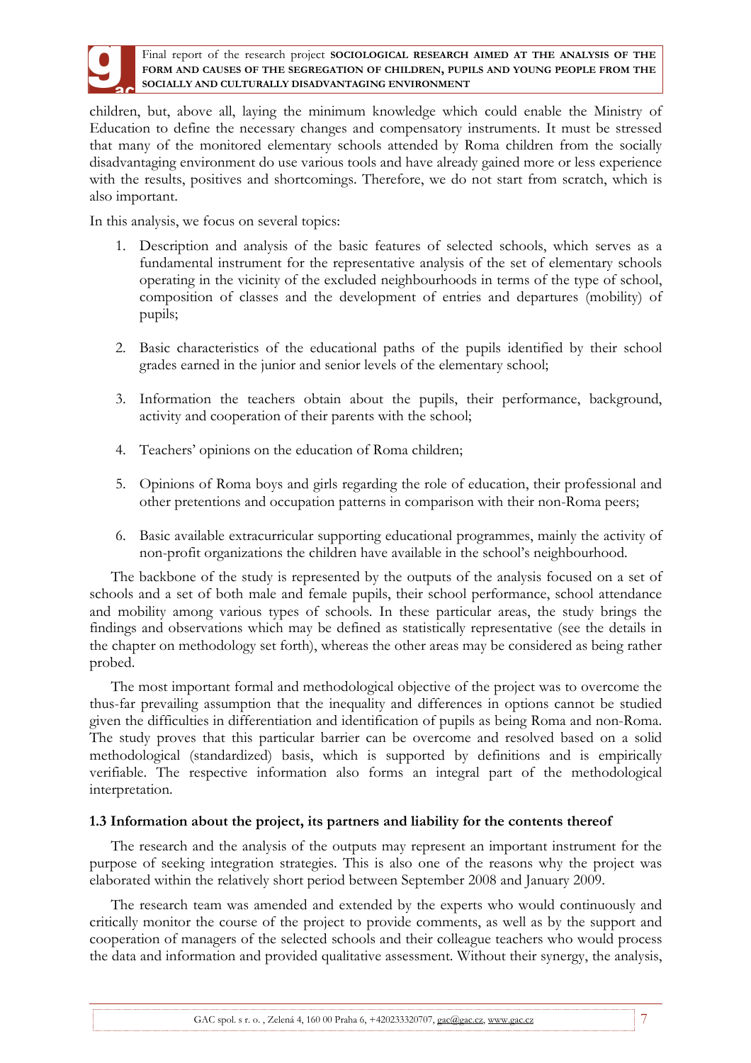

children, but, above all, laying the minimum knowledge which could enable the Ministry of Education to define the necessary changes and compensatory instruments. It must be stressed that many of the monitored elementary schools attended by Roma children from the socially disadvantaging environment do use various tools and have already gained more or less experience with the results, positives and shortcomings. Therefore, we do not start from scratch, which is also important.

In this analysis, we focus on several topics:

- 1. Description and analysis of the basic features of selected schools, which serves as a fundamental instrument for the representative analysis of the set of elementary schools operating in the vicinity of the excluded neighbourhoods in terms of the type of school, composition of classes and the development of entries and departures (mobility) of pupils;
- 2. Basic characteristics of the educational paths of the pupils identified by their school grades earned in the junior and senior levels of the elementary school;
- 3. Information the teachers obtain about the pupils, their performance, background, activity and cooperation of their parents with the school;
- 4. Teachers' opinions on the education of Roma children;
- 5. Opinions of Roma boys and girls regarding the role of education, their professional and other pretentions and occupation patterns in comparison with their non-Roma peers;
- 6. Basic available extracurricular supporting educational programmes, mainly the activity of non-profit organizations the children have available in the school's neighbourhood.

The backbone of the study is represented by the outputs of the analysis focused on a set of schools and a set of both male and female pupils, their school performance, school attendance and mobility among various types of schools. In these particular areas, the study brings the findings and observations which may be defined as statistically representative (see the details in the chapter on methodology set forth), whereas the other areas may be considered as being rather probed.

The most important formal and methodological objective of the project was to overcome the thus-far prevailing assumption that the inequality and differences in options cannot be studied given the difficulties in differentiation and identification of pupils as being Roma and non-Roma. The study proves that this particular barrier can be overcome and resolved based on a solid methodological (standardized) basis, which is supported by definitions and is empirically verifiable. The respective information also forms an integral part of the methodological interpretation.

## **1.3 Information about the project, its partners and liability for the contents thereof**

The research and the analysis of the outputs may represent an important instrument for the purpose of seeking integration strategies. This is also one of the reasons why the project was elaborated within the relatively short period between September 2008 and January 2009.

The research team was amended and extended by the experts who would continuously and critically monitor the course of the project to provide comments, as well as by the support and cooperation of managers of the selected schools and their colleague teachers who would process the data and information and provided qualitative assessment. Without their synergy, the analysis,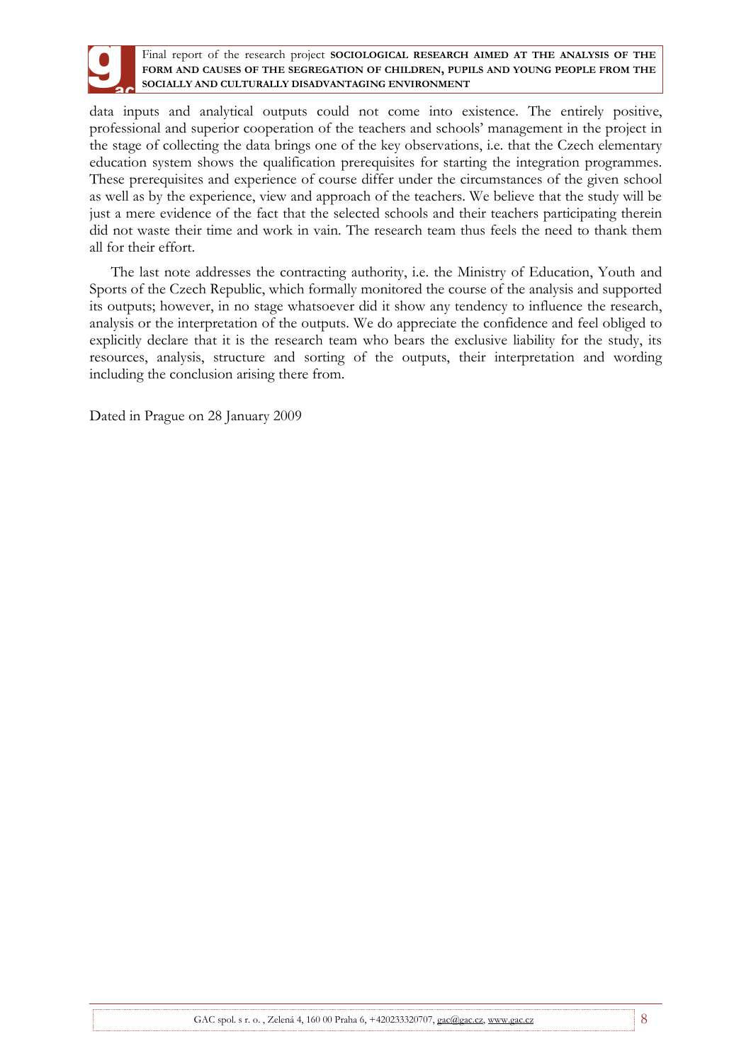

data inputs and analytical outputs could not come into existence. The entirely positive, professional and superior cooperation of the teachers and schools' management in the project in the stage of collecting the data brings one of the key observations, i.e. that the Czech elementary education system shows the qualification prerequisites for starting the integration programmes. These prerequisites and experience of course differ under the circumstances of the given school as well as by the experience, view and approach of the teachers. We believe that the study will be just a mere evidence of the fact that the selected schools and their teachers participating therein did not waste their time and work in vain. The research team thus feels the need to thank them all for their effort.

The last note addresses the contracting authority, i.e. the Ministry of Education, Youth and Sports of the Czech Republic, which formally monitored the course of the analysis and supported its outputs; however, in no stage whatsoever did it show any tendency to influence the research, analysis or the interpretation of the outputs. We do appreciate the confidence and feel obliged to explicitly declare that it is the research team who bears the exclusive liability for the study, its resources, analysis, structure and sorting of the outputs, their interpretation and wording including the conclusion arising there from.

Dated in Prague on 28 January 2009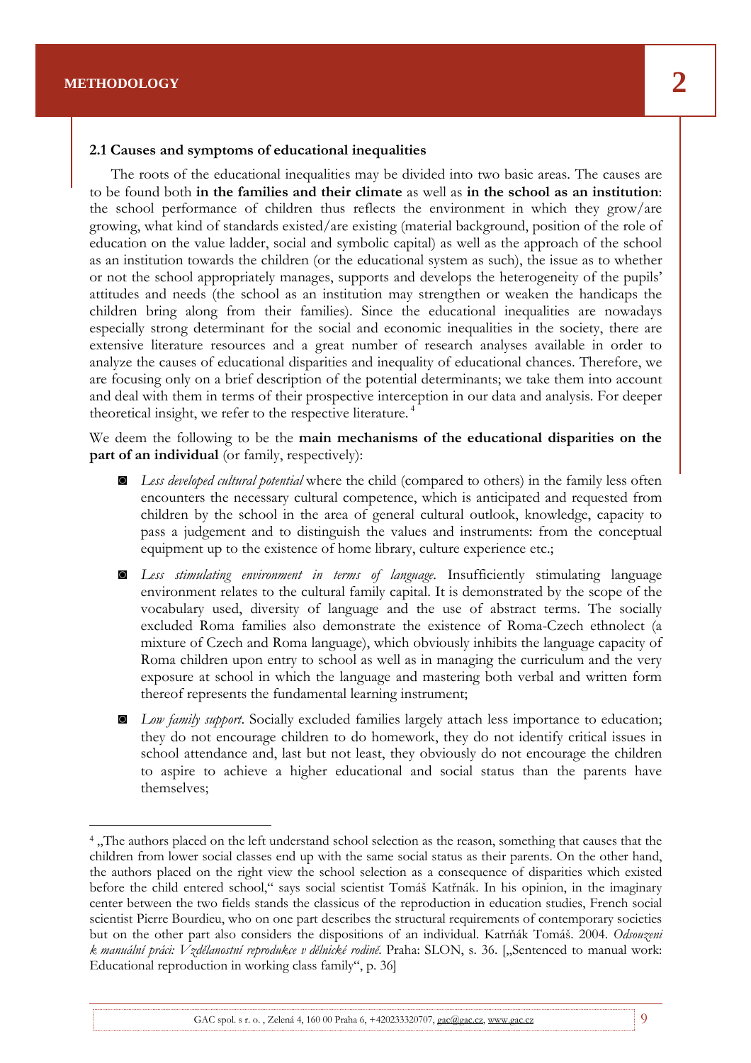$\overline{a}$ 

### **2.1 Causes and symptoms of educational inequalities**

The roots of the educational inequalities may be divided into two basic areas. The causes are to be found both **in the families and their climate** as well as **in the school as an institution**: the school performance of children thus reflects the environment in which they grow/are growing, what kind of standards existed/are existing (material background, position of the role of education on the value ladder, social and symbolic capital) as well as the approach of the school as an institution towards the children (or the educational system as such), the issue as to whether or not the school appropriately manages, supports and develops the heterogeneity of the pupils' attitudes and needs (the school as an institution may strengthen or weaken the handicaps the children bring along from their families). Since the educational inequalities are nowadays especially strong determinant for the social and economic inequalities in the society, there are extensive literature resources and a great number of research analyses available in order to analyze the causes of educational disparities and inequality of educational chances. Therefore, we are focusing only on a brief description of the potential determinants; we take them into account and deal with them in terms of their prospective interception in our data and analysis. For deeper theoretical insight, we refer to the respective literature.<sup>4</sup>

Final report of the research project **SOCIOLOGICAL RESEARCH AIMED AT THE ANALYSIS OF THE FORM AND CAUSES OF THE SEGREGATION OF CHILDREN, PUPILS AND YOUNG PEOPLE FROM THE** 

We deem the following to be the **main mechanisms of the educational disparities on the part of an individual** (or family, respectively):

- ◙ *Less developed cultural potential* where the child (compared to others) in the family less often encounters the necessary cultural competence, which is anticipated and requested from children by the school in the area of general cultural outlook, knowledge, capacity to pass a judgement and to distinguish the values and instruments: from the conceptual equipment up to the existence of home library, culture experience etc.;
- ◙ *Less stimulating environment in terms of language*. Insufficiently stimulating language environment relates to the cultural family capital. It is demonstrated by the scope of the vocabulary used, diversity of language and the use of abstract terms. The socially excluded Roma families also demonstrate the existence of Roma-Czech ethnolect (a mixture of Czech and Roma language), which obviously inhibits the language capacity of Roma children upon entry to school as well as in managing the curriculum and the very exposure at school in which the language and mastering both verbal and written form thereof represents the fundamental learning instrument;
- ◙ *Low family support*. Socially excluded families largely attach less importance to education; they do not encourage children to do homework, they do not identify critical issues in school attendance and, last but not least, they obviously do not encourage the children to aspire to achieve a higher educational and social status than the parents have themselves;

<sup>&</sup>lt;sup>4</sup>, The authors placed on the left understand school selection as the reason, something that causes that the children from lower social classes end up with the same social status as their parents. On the other hand, the authors placed on the right view the school selection as a consequence of disparities which existed before the child entered school," says social scientist Tomáš Katřnák. In his opinion, in the imaginary center between the two fields stands the classicus of the reproduction in education studies, French social scientist Pierre Bourdieu, who on one part describes the structural requirements of contemporary societies but on the other part also considers the dispositions of an individual. Katrňák Tomáš. 2004. *Odsouzeni k manuální práci: Vzdělanostní reprodukce v dělnické rodině*. Praha: SLON, s. 36. ["Sentenced to manual work: Educational reproduction in working class family", p. 36]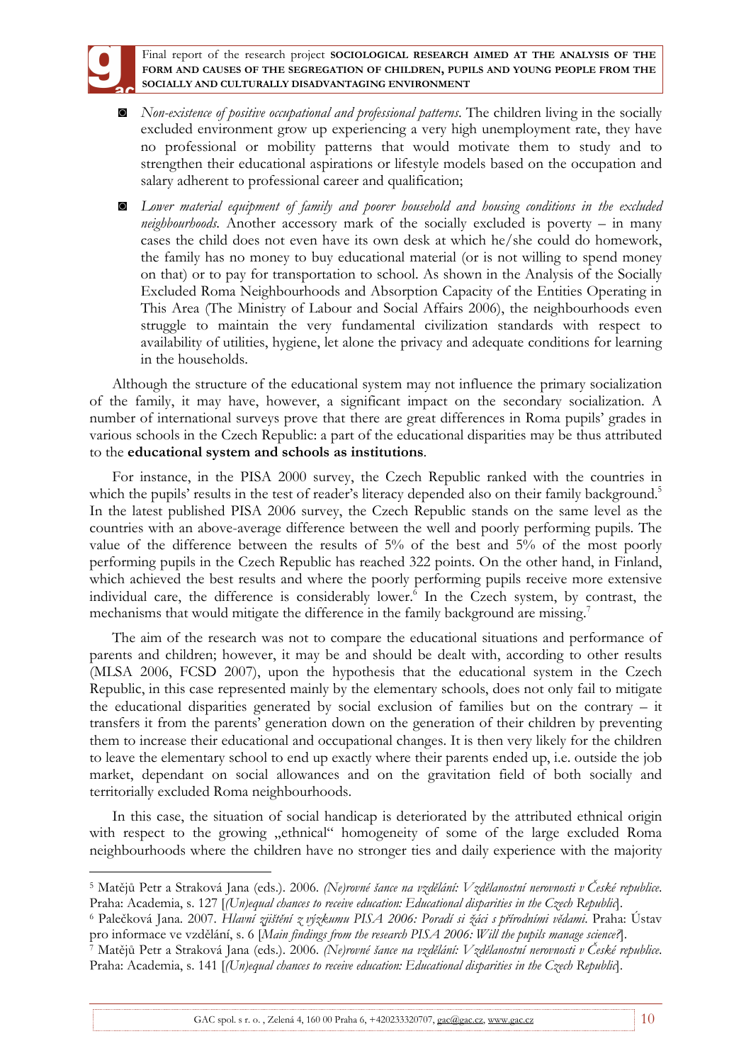

 $\overline{a}$ 

Final report of the research project **SOCIOLOGICAL RESEARCH AIMED AT THE ANALYSIS OF THE FORM AND CAUSES OF THE SEGREGATION OF CHILDREN, PUPILS AND YOUNG PEOPLE FROM THE SOCIALLY AND CULTURALLY DISADVANTAGING ENVIRONMENT**

- ◙ *Non-existence of positive occupational and professional patterns*. The children living in the socially excluded environment grow up experiencing a very high unemployment rate, they have no professional or mobility patterns that would motivate them to study and to strengthen their educational aspirations or lifestyle models based on the occupation and salary adherent to professional career and qualification;
- ◙ *Lower material equipment of family and poorer household and housing conditions in the excluded neighbourhoods*. Another accessory mark of the socially excluded is poverty – in many cases the child does not even have its own desk at which he/she could do homework, the family has no money to buy educational material (or is not willing to spend money on that) or to pay for transportation to school. As shown in the Analysis of the Socially Excluded Roma Neighbourhoods and Absorption Capacity of the Entities Operating in This Area (The Ministry of Labour and Social Affairs 2006), the neighbourhoods even struggle to maintain the very fundamental civilization standards with respect to availability of utilities, hygiene, let alone the privacy and adequate conditions for learning in the households.

Although the structure of the educational system may not influence the primary socialization of the family, it may have, however, a significant impact on the secondary socialization. A number of international surveys prove that there are great differences in Roma pupils' grades in various schools in the Czech Republic: a part of the educational disparities may be thus attributed to the **educational system and schools as institutions**.

For instance, in the PISA 2000 survey, the Czech Republic ranked with the countries in which the pupils' results in the test of reader's literacy depended also on their family background.<sup>5</sup> In the latest published PISA 2006 survey, the Czech Republic stands on the same level as the countries with an above-average difference between the well and poorly performing pupils. The value of the difference between the results of 5% of the best and 5% of the most poorly performing pupils in the Czech Republic has reached 322 points. On the other hand, in Finland, which achieved the best results and where the poorly performing pupils receive more extensive individual care, the difference is considerably lower.<sup>6</sup> In the Czech system, by contrast, the mechanisms that would mitigate the difference in the family background are missing.<sup>7</sup>

The aim of the research was not to compare the educational situations and performance of parents and children; however, it may be and should be dealt with, according to other results (MLSA 2006, FCSD 2007), upon the hypothesis that the educational system in the Czech Republic, in this case represented mainly by the elementary schools, does not only fail to mitigate the educational disparities generated by social exclusion of families but on the contrary – it transfers it from the parents' generation down on the generation of their children by preventing them to increase their educational and occupational changes. It is then very likely for the children to leave the elementary school to end up exactly where their parents ended up, i.e. outside the job market, dependant on social allowances and on the gravitation field of both socially and territorially excluded Roma neighbourhoods.

In this case, the situation of social handicap is deteriorated by the attributed ethnical origin with respect to the growing "ethnical" homogeneity of some of the large excluded Roma neighbourhoods where the children have no stronger ties and daily experience with the majority

<sup>5</sup> Matějů Petr a Straková Jana (eds.). 2006. *(Ne)rovné šance na vzdělání: Vzdělanostní nerovnosti v České republice*. Praha: Academia, s. 127 [*(Un)equal chances to receive education: Educational disparities in the Czech Republic*].

<sup>6</sup> Palečková Jana. 2007. *Hlavní zjištění z výzkumu PISA 2006: Poradí si žáci s přírodními vědami*. Praha: Ústav pro informace ve vzdělání, s. 6 [*Main findings from the research PISA 2006: Will the pupils manage science?*].

<sup>7</sup> Matějů Petr a Straková Jana (eds.). 2006. *(Ne)rovné šance na vzdělání: Vzdělanostní nerovnosti v České republice*. Praha: Academia, s. 141 [*(Un)equal chances to receive education: Educational disparities in the Czech Republic*].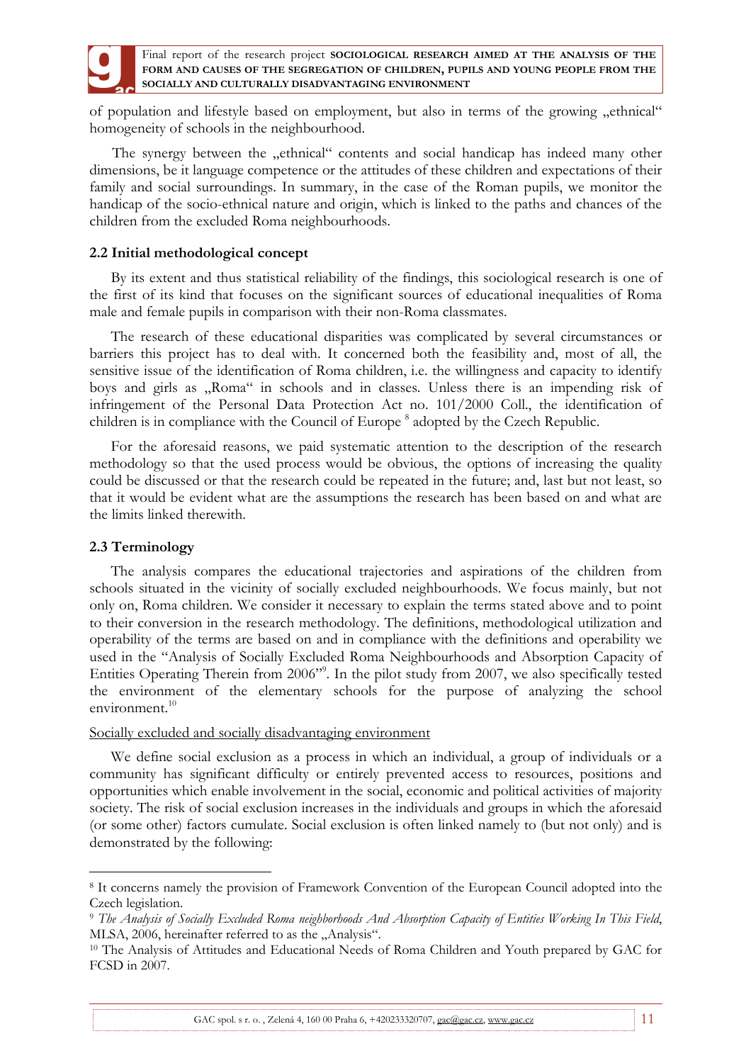

of population and lifestyle based on employment, but also in terms of the growing "ethnical" homogeneity of schools in the neighbourhood.

The synergy between the "ethnical" contents and social handicap has indeed many other dimensions, be it language competence or the attitudes of these children and expectations of their family and social surroundings. In summary, in the case of the Roman pupils, we monitor the handicap of the socio-ethnical nature and origin, which is linked to the paths and chances of the children from the excluded Roma neighbourhoods.

### **2.2 Initial methodological concept**

By its extent and thus statistical reliability of the findings, this sociological research is one of the first of its kind that focuses on the significant sources of educational inequalities of Roma male and female pupils in comparison with their non-Roma classmates.

The research of these educational disparities was complicated by several circumstances or barriers this project has to deal with. It concerned both the feasibility and, most of all, the sensitive issue of the identification of Roma children, i.e. the willingness and capacity to identify boys and girls as "Roma" in schools and in classes. Unless there is an impending risk of infringement of the Personal Data Protection Act no. 101/2000 Coll., the identification of children is in compliance with the Council of Europe<sup>8</sup> adopted by the Czech Republic.

For the aforesaid reasons, we paid systematic attention to the description of the research methodology so that the used process would be obvious, the options of increasing the quality could be discussed or that the research could be repeated in the future; and, last but not least, so that it would be evident what are the assumptions the research has been based on and what are the limits linked therewith.

### **2.3 Terminology**

 $\overline{a}$ 

The analysis compares the educational trajectories and aspirations of the children from schools situated in the vicinity of socially excluded neighbourhoods. We focus mainly, but not only on, Roma children. We consider it necessary to explain the terms stated above and to point to their conversion in the research methodology. The definitions, methodological utilization and operability of the terms are based on and in compliance with the definitions and operability we used in the "Analysis of Socially Excluded Roma Neighbourhoods and Absorption Capacity of Entities Operating Therein from 2006"<sup>9</sup>. In the pilot study from 2007, we also specifically tested the environment of the elementary schools for the purpose of analyzing the school environment.<sup>10</sup>

### Socially excluded and socially disadvantaging environment

We define social exclusion as a process in which an individual, a group of individuals or a community has significant difficulty or entirely prevented access to resources, positions and opportunities which enable involvement in the social, economic and political activities of majority society. The risk of social exclusion increases in the individuals and groups in which the aforesaid (or some other) factors cumulate. Social exclusion is often linked namely to (but not only) and is demonstrated by the following:

<sup>&</sup>lt;sup>8</sup> It concerns namely the provision of Framework Convention of the European Council adopted into the Czech legislation.

<sup>9</sup> *The Analysis of Socially Excluded Roma neighborhoods And Absorption Capacity of Entities Working In This Field*, MLSA, 2006, hereinafter referred to as the "Analysis".

<sup>10</sup> The Analysis of Attitudes and Educational Needs of Roma Children and Youth prepared by GAC for FCSD in 2007.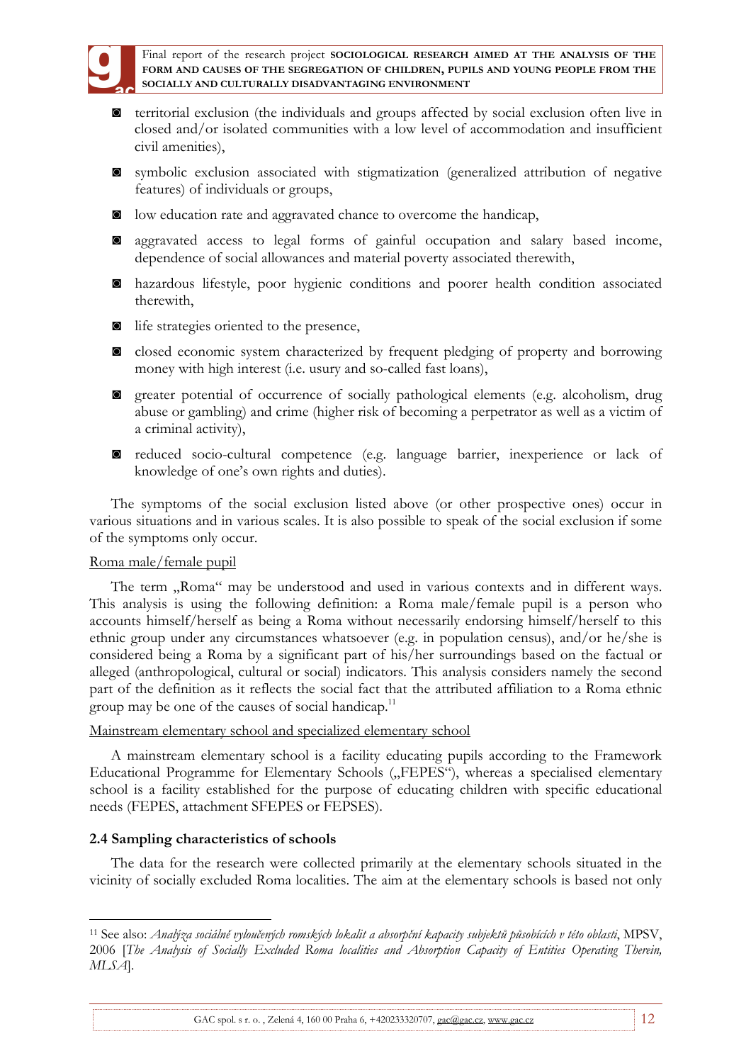

- ◙ territorial exclusion (the individuals and groups affected by social exclusion often live in closed and/or isolated communities with a low level of accommodation and insufficient civil amenities),
- ◙ symbolic exclusion associated with stigmatization (generalized attribution of negative features) of individuals or groups,
- ◙ low education rate and aggravated chance to overcome the handicap,
- ◙ aggravated access to legal forms of gainful occupation and salary based income, dependence of social allowances and material poverty associated therewith,
- ◙ hazardous lifestyle, poor hygienic conditions and poorer health condition associated therewith,
- ◙ life strategies oriented to the presence,
- ◙ closed economic system characterized by frequent pledging of property and borrowing money with high interest (i.e. usury and so-called fast loans),
- ◙ greater potential of occurrence of socially pathological elements (e.g. alcoholism, drug abuse or gambling) and crime (higher risk of becoming a perpetrator as well as a victim of a criminal activity),
- ◙ reduced socio-cultural competence (e.g. language barrier, inexperience or lack of knowledge of one's own rights and duties).

The symptoms of the social exclusion listed above (or other prospective ones) occur in various situations and in various scales. It is also possible to speak of the social exclusion if some of the symptoms only occur.

## Roma male/female pupil

The term "Roma" may be understood and used in various contexts and in different ways. This analysis is using the following definition: a Roma male/female pupil is a person who accounts himself/herself as being a Roma without necessarily endorsing himself/herself to this ethnic group under any circumstances whatsoever (e.g. in population census), and/or he/she is considered being a Roma by a significant part of his/her surroundings based on the factual or alleged (anthropological, cultural or social) indicators. This analysis considers namely the second part of the definition as it reflects the social fact that the attributed affiliation to a Roma ethnic group may be one of the causes of social handicap.<sup>11</sup>

## Mainstream elementary school and specialized elementary school

A mainstream elementary school is a facility educating pupils according to the Framework Educational Programme for Elementary Schools ("FEPES"), whereas a specialised elementary school is a facility established for the purpose of educating children with specific educational needs (FEPES, attachment SFEPES or FEPSES).

## **2.4 Sampling characteristics of schools**

 $\overline{a}$ 

The data for the research were collected primarily at the elementary schools situated in the vicinity of socially excluded Roma localities. The aim at the elementary schools is based not only

<sup>11</sup> See also: *Analýza sociálně vyloučených romských lokalit a absorpční kapacity subjektů působících v této oblasti*, MPSV, 2006 [*The Analysis of Socially Excluded Roma localities and Absorption Capacity of Entities Operating Therein, MLSA*].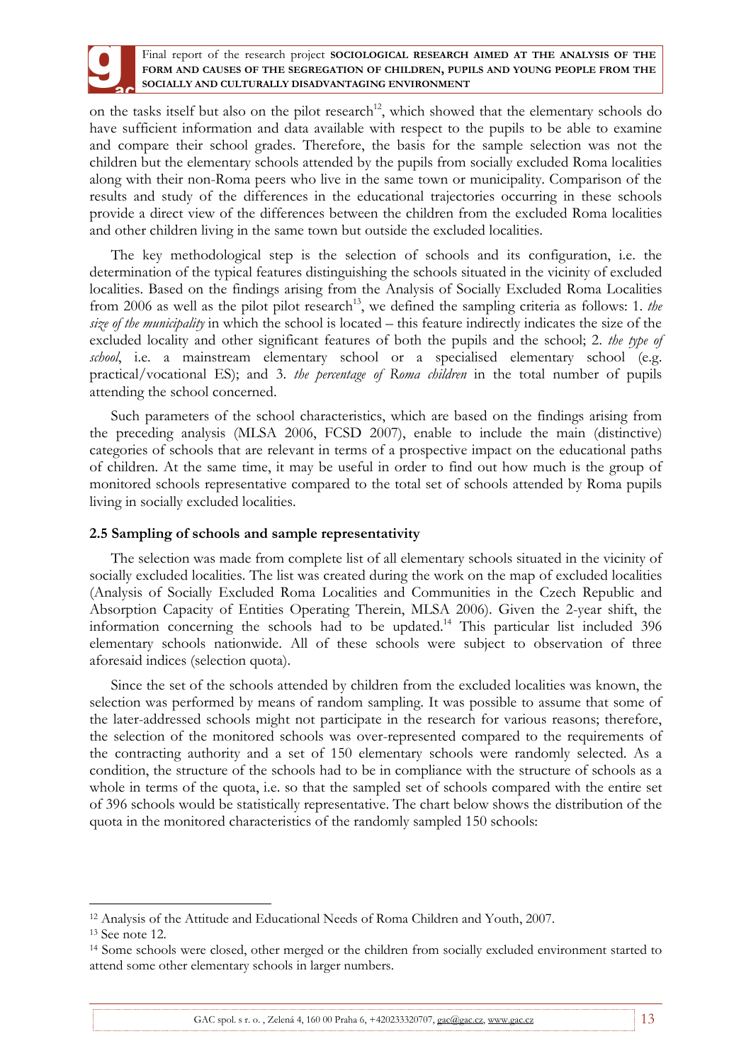on the tasks itself but also on the pilot research<sup>12</sup>, which showed that the elementary schools do have sufficient information and data available with respect to the pupils to be able to examine and compare their school grades. Therefore, the basis for the sample selection was not the children but the elementary schools attended by the pupils from socially excluded Roma localities along with their non-Roma peers who live in the same town or municipality. Comparison of the results and study of the differences in the educational trajectories occurring in these schools provide a direct view of the differences between the children from the excluded Roma localities and other children living in the same town but outside the excluded localities.

The key methodological step is the selection of schools and its configuration, i.e. the determination of the typical features distinguishing the schools situated in the vicinity of excluded localities. Based on the findings arising from the Analysis of Socially Excluded Roma Localities from 2006 as well as the pilot pilot research<sup>13</sup>, we defined the sampling criteria as follows: 1. *the size of the municipality* in which the school is located – this feature indirectly indicates the size of the excluded locality and other significant features of both the pupils and the school; 2. *the type of school*, i.e. a mainstream elementary school or a specialised elementary school (e.g. practical/vocational ES); and 3. *the percentage of Roma children* in the total number of pupils attending the school concerned.

Such parameters of the school characteristics, which are based on the findings arising from the preceding analysis (MLSA 2006, FCSD 2007), enable to include the main (distinctive) categories of schools that are relevant in terms of a prospective impact on the educational paths of children. At the same time, it may be useful in order to find out how much is the group of monitored schools representative compared to the total set of schools attended by Roma pupils living in socially excluded localities.

## **2.5 Sampling of schools and sample representativity**

The selection was made from complete list of all elementary schools situated in the vicinity of socially excluded localities. The list was created during the work on the map of excluded localities (Analysis of Socially Excluded Roma Localities and Communities in the Czech Republic and Absorption Capacity of Entities Operating Therein, MLSA 2006). Given the 2-year shift, the information concerning the schools had to be updated.<sup>14</sup> This particular list included 396 elementary schools nationwide. All of these schools were subject to observation of three aforesaid indices (selection quota).

Since the set of the schools attended by children from the excluded localities was known, the selection was performed by means of random sampling. It was possible to assume that some of the later-addressed schools might not participate in the research for various reasons; therefore, the selection of the monitored schools was over-represented compared to the requirements of the contracting authority and a set of 150 elementary schools were randomly selected. As a condition, the structure of the schools had to be in compliance with the structure of schools as a whole in terms of the quota, i.e. so that the sampled set of schools compared with the entire set of 396 schools would be statistically representative. The chart below shows the distribution of the quota in the monitored characteristics of the randomly sampled 150 schools:

 $\overline{a}$ 

<sup>12</sup> Analysis of the Attitude and Educational Needs of Roma Children and Youth, 2007.

<sup>13</sup> See note 12.

<sup>14</sup> Some schools were closed, other merged or the children from socially excluded environment started to attend some other elementary schools in larger numbers.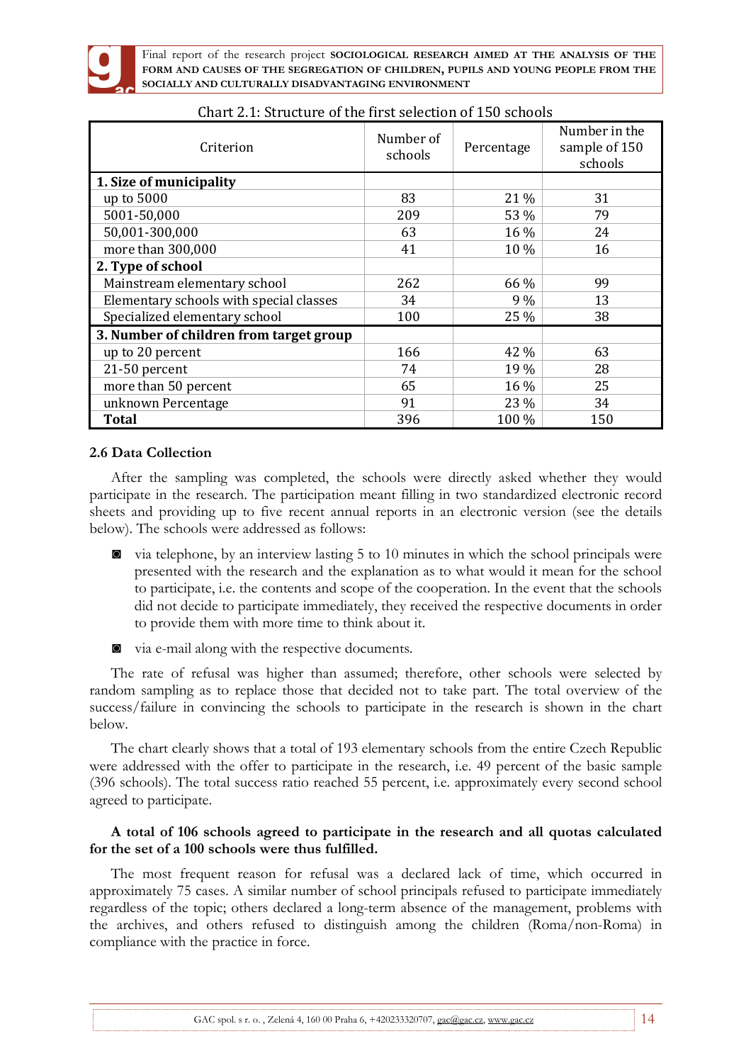

| Criterion                               | Number of<br>schools | Percentage | Number in the<br>sample of 150<br>schools |
|-----------------------------------------|----------------------|------------|-------------------------------------------|
| 1. Size of municipality                 |                      |            |                                           |
| up to 5000                              | 83                   | 21 %       | 31                                        |
| 5001-50,000                             | 209                  | 53 %       | 79                                        |
| 50,001-300,000                          | 63                   | 16 %       | 24                                        |
| more than 300,000                       | 41                   | 10 %       | 16                                        |
| 2. Type of school                       |                      |            |                                           |
| Mainstream elementary school            | 262                  | 66 %       | 99                                        |
| Elementary schools with special classes | 34                   | $9\%$      | 13                                        |
| Specialized elementary school           | 100                  | 25 %       | 38                                        |
| 3. Number of children from target group |                      |            |                                           |
| up to 20 percent                        | 166                  | 42 %       | 63                                        |
| 21-50 percent                           | 74                   | 19 %       | 28                                        |
| more than 50 percent                    | 65                   | 16 %       | 25                                        |
| unknown Percentage                      | 91                   | 23 %       | 34                                        |
| Total                                   | 396                  | 100 %      | 150                                       |

# Chart 2.1: Structure of the first selection of 150 schools

### **2.6 Data Collection**

After the sampling was completed, the schools were directly asked whether they would participate in the research. The participation meant filling in two standardized electronic record sheets and providing up to five recent annual reports in an electronic version (see the details below). The schools were addressed as follows:

- ◙ via telephone, by an interview lasting 5 to 10 minutes in which the school principals were presented with the research and the explanation as to what would it mean for the school to participate, i.e. the contents and scope of the cooperation. In the event that the schools did not decide to participate immediately, they received the respective documents in order to provide them with more time to think about it.
- ◙ via e-mail along with the respective documents.

The rate of refusal was higher than assumed; therefore, other schools were selected by random sampling as to replace those that decided not to take part. The total overview of the success/failure in convincing the schools to participate in the research is shown in the chart below.

The chart clearly shows that a total of 193 elementary schools from the entire Czech Republic were addressed with the offer to participate in the research, i.e. 49 percent of the basic sample (396 schools). The total success ratio reached 55 percent, i.e. approximately every second school agreed to participate.

## **A total of 106 schools agreed to participate in the research and all quotas calculated for the set of a 100 schools were thus fulfilled.**

The most frequent reason for refusal was a declared lack of time, which occurred in approximately 75 cases. A similar number of school principals refused to participate immediately regardless of the topic; others declared a long-term absence of the management, problems with the archives, and others refused to distinguish among the children (Roma/non-Roma) in compliance with the practice in force.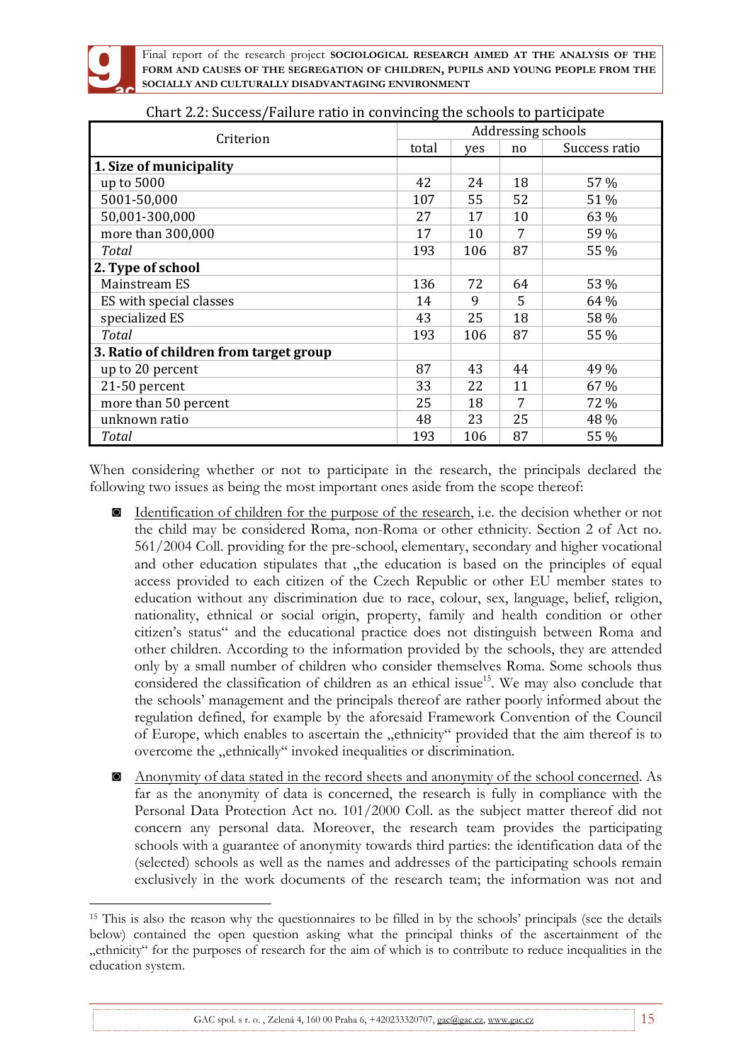

 $\overline{a}$ 

Final report of the research project **SOCIOLOGICAL RESEARCH AIMED AT THE ANALYSIS OF THE FORM AND CAUSES OF THE SEGREGATION OF CHILDREN, PUPILS AND YOUNG PEOPLE FROM THE SOCIALLY AND CULTURALLY DISADVANTAGING ENVIRONMENT**

| Criterion                              |       | Addressing schools |    |               |  |
|----------------------------------------|-------|--------------------|----|---------------|--|
|                                        | total | yes                | no | Success ratio |  |
| 1. Size of municipality                |       |                    |    |               |  |
| up to 5000                             | 42    | 24                 | 18 | 57 %          |  |
| 5001-50,000                            | 107   | 55                 | 52 | 51 %          |  |
| 50,001-300,000                         | 27    | 17                 | 10 | 63 %          |  |
| more than 300,000                      | 17    | 10                 | 7  | 59 %          |  |
| Total                                  | 193   | 106                | 87 | 55 %          |  |
| 2. Type of school                      |       |                    |    |               |  |
| Mainstream ES                          | 136   | 72                 | 64 | 53 %          |  |
| ES with special classes                | 14    | 9                  | 5  | 64 %          |  |
| specialized ES                         | 43    | 25                 | 18 | 58 %          |  |
| <b>Total</b>                           | 193   | 106                | 87 | 55 %          |  |
| 3. Ratio of children from target group |       |                    |    |               |  |
| up to 20 percent                       | 87    | 43                 | 44 | 49 %          |  |
| 21-50 percent                          | 33    | 22                 | 11 | 67 %          |  |
| more than 50 percent                   | 25    | 18                 | 7  | 72 %          |  |
| unknown ratio                          | 48    | 23                 | 25 | 48 %          |  |
| Total                                  | 193   | 106                | 87 | 55 %          |  |

Chart 2.2: Success/Failure ratio in convincing the schools to participate

When considering whether or not to participate in the research, the principals declared the following two issues as being the most important ones aside from the scope thereof:

- ◙ Identification of children for the purpose of the research, i.e. the decision whether or not the child may be considered Roma, non-Roma or other ethnicity. Section 2 of Act no. 561/2004 Coll. providing for the pre-school, elementary, secondary and higher vocational and other education stipulates that "the education is based on the principles of equal access provided to each citizen of the Czech Republic or other EU member states to education without any discrimination due to race, colour, sex, language, belief, religion, nationality, ethnical or social origin, property, family and health condition or other citizen's status" and the educational practice does not distinguish between Roma and other children. According to the information provided by the schools, they are attended only by a small number of children who consider themselves Roma. Some schools thus considered the classification of children as an ethical issue<sup>15</sup>. We may also conclude that the schools' management and the principals thereof are rather poorly informed about the regulation defined, for example by the aforesaid Framework Convention of the Council of Europe, which enables to ascertain the "ethnicity" provided that the aim thereof is to overcome the "ethnically" invoked inequalities or discrimination.
- ◙ Anonymity of data stated in the record sheets and anonymity of the school concerned. As far as the anonymity of data is concerned, the research is fully in compliance with the Personal Data Protection Act no. 101/2000 Coll. as the subject matter thereof did not concern any personal data. Moreover, the research team provides the participating schools with a guarantee of anonymity towards third parties: the identification data of the (selected) schools as well as the names and addresses of the participating schools remain exclusively in the work documents of the research team; the information was not and

<sup>15</sup> This is also the reason why the questionnaires to be filled in by the schools' principals (see the details below) contained the open question asking what the principal thinks of the ascertainment of the "ethnicity" for the purposes of research for the aim of which is to contribute to reduce inequalities in the education system.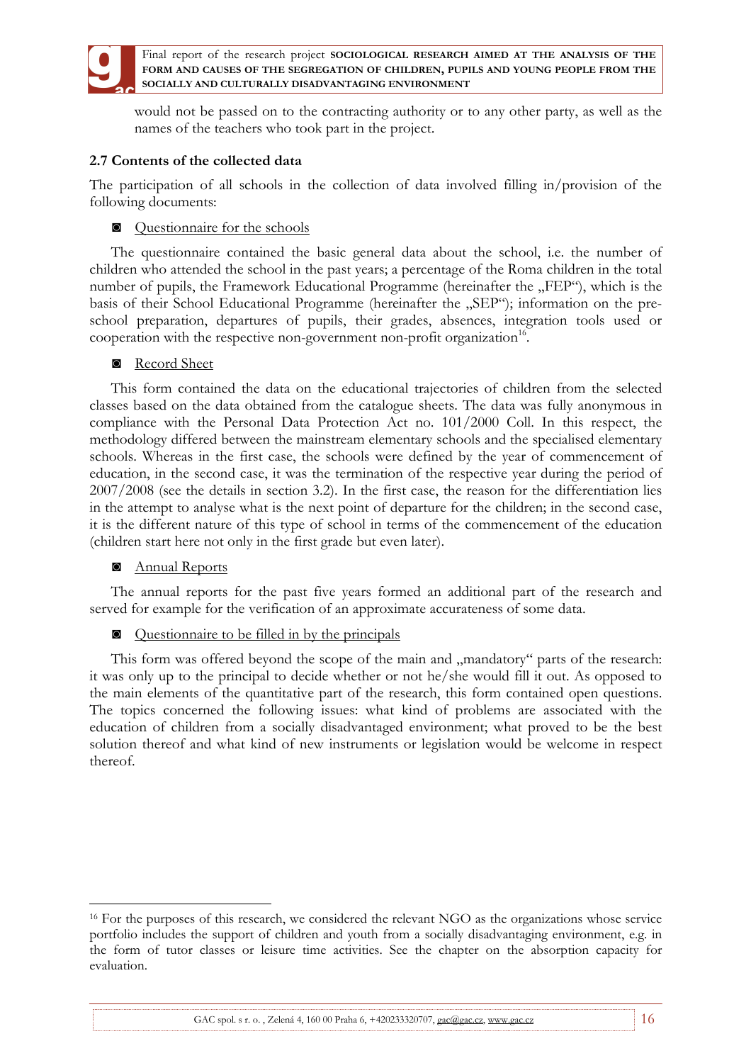

would not be passed on to the contracting authority or to any other party, as well as the names of the teachers who took part in the project.

## **2.7 Contents of the collected data**

The participation of all schools in the collection of data involved filling in/provision of the following documents:

◙ Questionnaire for the schools

The questionnaire contained the basic general data about the school, i.e. the number of children who attended the school in the past years; a percentage of the Roma children in the total number of pupils, the Framework Educational Programme (hereinafter the "FEP"), which is the basis of their School Educational Programme (hereinafter the "SEP"); information on the preschool preparation, departures of pupils, their grades, absences, integration tools used or cooperation with the respective non-government non-profit organization<sup>16</sup>.

### ◙ Record Sheet

This form contained the data on the educational trajectories of children from the selected classes based on the data obtained from the catalogue sheets. The data was fully anonymous in compliance with the Personal Data Protection Act no. 101/2000 Coll. In this respect, the methodology differed between the mainstream elementary schools and the specialised elementary schools. Whereas in the first case, the schools were defined by the year of commencement of education, in the second case, it was the termination of the respective year during the period of 2007/2008 (see the details in section 3.2). In the first case, the reason for the differentiation lies in the attempt to analyse what is the next point of departure for the children; in the second case, it is the different nature of this type of school in terms of the commencement of the education (children start here not only in the first grade but even later).

## ◙ Annual Reports

 $\overline{a}$ 

The annual reports for the past five years formed an additional part of the research and served for example for the verification of an approximate accurateness of some data.

◙ Questionnaire to be filled in by the principals

This form was offered beyond the scope of the main and "mandatory" parts of the research: it was only up to the principal to decide whether or not he/she would fill it out. As opposed to the main elements of the quantitative part of the research, this form contained open questions. The topics concerned the following issues: what kind of problems are associated with the education of children from a socially disadvantaged environment; what proved to be the best solution thereof and what kind of new instruments or legislation would be welcome in respect thereof.

<sup>16</sup> For the purposes of this research, we considered the relevant NGO as the organizations whose service portfolio includes the support of children and youth from a socially disadvantaging environment, e.g. in the form of tutor classes or leisure time activities. See the chapter on the absorption capacity for evaluation.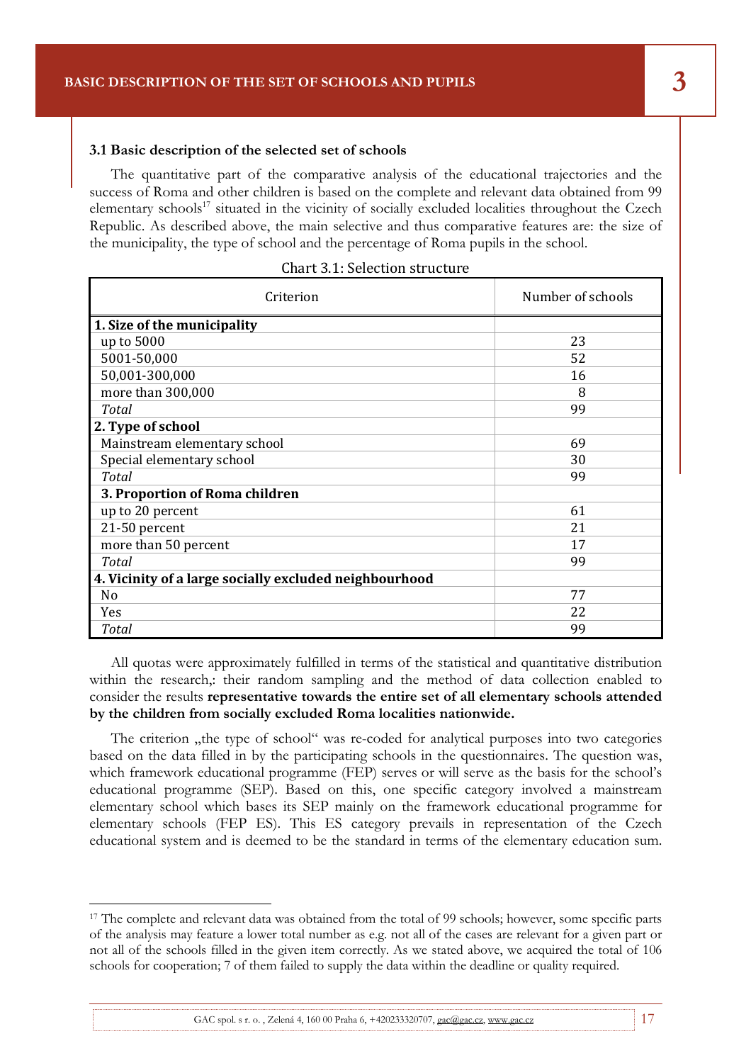### **3.1 Basic description of the selected set of schools**

The quantitative part of the comparative analysis of the educational trajectories and the success of Roma and other children is based on the complete and relevant data obtained from 99 elementary schools<sup>17</sup> situated in the vicinity of socially excluded localities throughout the Czech Republic. As described above, the main selective and thus comparative features are: the size of the municipality, the type of school and the percentage of Roma pupils in the school.

Final report of the research project **SOCIOLOGICAL RESEARCH AIMED AT THE ANALYSIS OF THE** 

| Criterion                                              | Number of schools |
|--------------------------------------------------------|-------------------|
| 1. Size of the municipality                            |                   |
| up to 5000                                             | 23                |
| 5001-50,000                                            | 52                |
| 50,001-300,000                                         | 16                |
| more than 300,000                                      | 8                 |
| <b>Total</b>                                           | 99                |
| 2. Type of school                                      |                   |
| Mainstream elementary school                           | 69                |
| Special elementary school                              | 30                |
| <b>Total</b>                                           | 99                |
| 3. Proportion of Roma children                         |                   |
| up to 20 percent                                       | 61                |
| 21-50 percent                                          | 21                |
| more than 50 percent                                   | 17                |
| Total                                                  | 99                |
| 4. Vicinity of a large socially excluded neighbourhood |                   |
| N <sub>0</sub>                                         | 77                |
| Yes                                                    | 22                |
| <b>Total</b>                                           | 99                |

### Chart 3.1: Selection structure

All quotas were approximately fulfilled in terms of the statistical and quantitative distribution within the research,: their random sampling and the method of data collection enabled to consider the results **representative towards the entire set of all elementary schools attended by the children from socially excluded Roma localities nationwide.**

The criterion "the type of school" was re-coded for analytical purposes into two categories based on the data filled in by the participating schools in the questionnaires. The question was, which framework educational programme (FEP) serves or will serve as the basis for the school's educational programme (SEP). Based on this, one specific category involved a mainstream elementary school which bases its SEP mainly on the framework educational programme for elementary schools (FEP ES). This ES category prevails in representation of the Czech educational system and is deemed to be the standard in terms of the elementary education sum.

 $\overline{a}$ 

<sup>&</sup>lt;sup>17</sup> The complete and relevant data was obtained from the total of 99 schools; however, some specific parts of the analysis may feature a lower total number as e.g. not all of the cases are relevant for a given part or not all of the schools filled in the given item correctly. As we stated above, we acquired the total of 106 schools for cooperation; 7 of them failed to supply the data within the deadline or quality required.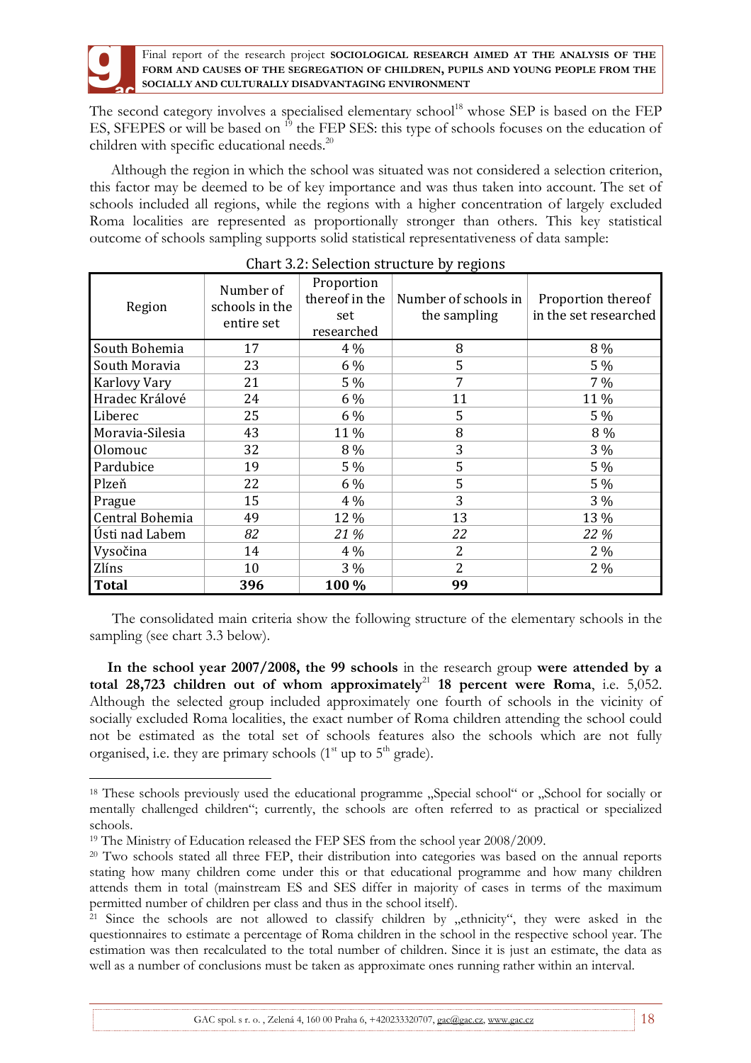The second category involves a specialised elementary school<sup>18</sup> whose SEP is based on the FEP ES, SFEPES or will be based on <sup>19</sup> the FEP SES: this type of schools focuses on the education of children with specific educational needs.<sup>20</sup>

Although the region in which the school was situated was not considered a selection criterion, this factor may be deemed to be of key importance and was thus taken into account. The set of schools included all regions, while the regions with a higher concentration of largely excluded Roma localities are represented as proportionally stronger than others. This key statistical outcome of schools sampling supports solid statistical representativeness of data sample:

| Region              | Number of<br>schools in the<br>entire set | Proportion<br>thereof in the<br>set<br>researched | Number of schools in<br>the sampling | Proportion thereof<br>in the set researched |
|---------------------|-------------------------------------------|---------------------------------------------------|--------------------------------------|---------------------------------------------|
| South Bohemia       | 17                                        | $4\%$                                             | 8                                    | 8 %                                         |
| South Moravia       | 23                                        | 6 %                                               | 5                                    | 5 %                                         |
| <b>Karlovy Vary</b> | 21                                        | $5\%$                                             | 7                                    | $7\%$                                       |
| Hradec Králové      | 24                                        | 6 %                                               | 11                                   | 11%                                         |
| Liberec             | 25                                        | 6 %                                               | 5                                    | 5 %                                         |
| Moravia-Silesia     | 43                                        | 11 %                                              | 8                                    | 8 %                                         |
| Olomouc             | 32                                        | 8 %                                               | 3                                    | 3 %                                         |
| Pardubice           | 19                                        | 5 %                                               | 5                                    | 5 %                                         |
| Plzeň               | 22                                        | 6 %                                               | 5                                    | 5 %                                         |
| Prague              | 15                                        | $4\%$                                             | 3                                    | $3\%$                                       |
| Central Bohemia     | 49                                        | 12 %                                              | 13                                   | 13 %                                        |
| Ústi nad Labem      | 82                                        | 21 %                                              | 22                                   | 22 %                                        |
| Vysočina            | 14                                        | $4\%$                                             | 2                                    | $2\%$                                       |
| Zlíns               | 10                                        | $3\%$                                             | $\overline{2}$                       | $2\%$                                       |
| <b>Total</b>        | 396                                       | 100 %                                             | 99                                   |                                             |

## Chart 3.2: Selection structure by regions

The consolidated main criteria show the following structure of the elementary schools in the sampling (see chart 3.3 below).

**In the school year 2007/2008, the 99 schools** in the research group **were attended by a**  total  $28,723$  children out of whom approximately<sup>21</sup> 18 percent were Roma, i.e. 5,052. Although the selected group included approximately one fourth of schools in the vicinity of socially excluded Roma localities, the exact number of Roma children attending the school could not be estimated as the total set of schools features also the schools which are not fully organised, i.e. they are primary schools  $(1<sup>st</sup>$  up to  $5<sup>th</sup>$  grade).

 $\overline{a}$ 

<sup>&</sup>lt;sup>18</sup> These schools previously used the educational programme "Special school" or "School for socially or mentally challenged children"; currently, the schools are often referred to as practical or specialized schools.

<sup>19</sup> The Ministry of Education released the FEP SES from the school year 2008/2009.

<sup>20</sup> Two schools stated all three FEP, their distribution into categories was based on the annual reports stating how many children come under this or that educational programme and how many children attends them in total (mainstream ES and SES differ in majority of cases in terms of the maximum permitted number of children per class and thus in the school itself).

<sup>&</sup>lt;sup>21</sup> Since the schools are not allowed to classify children by "ethnicity", they were asked in the questionnaires to estimate a percentage of Roma children in the school in the respective school year. The estimation was then recalculated to the total number of children. Since it is just an estimate, the data as well as a number of conclusions must be taken as approximate ones running rather within an interval.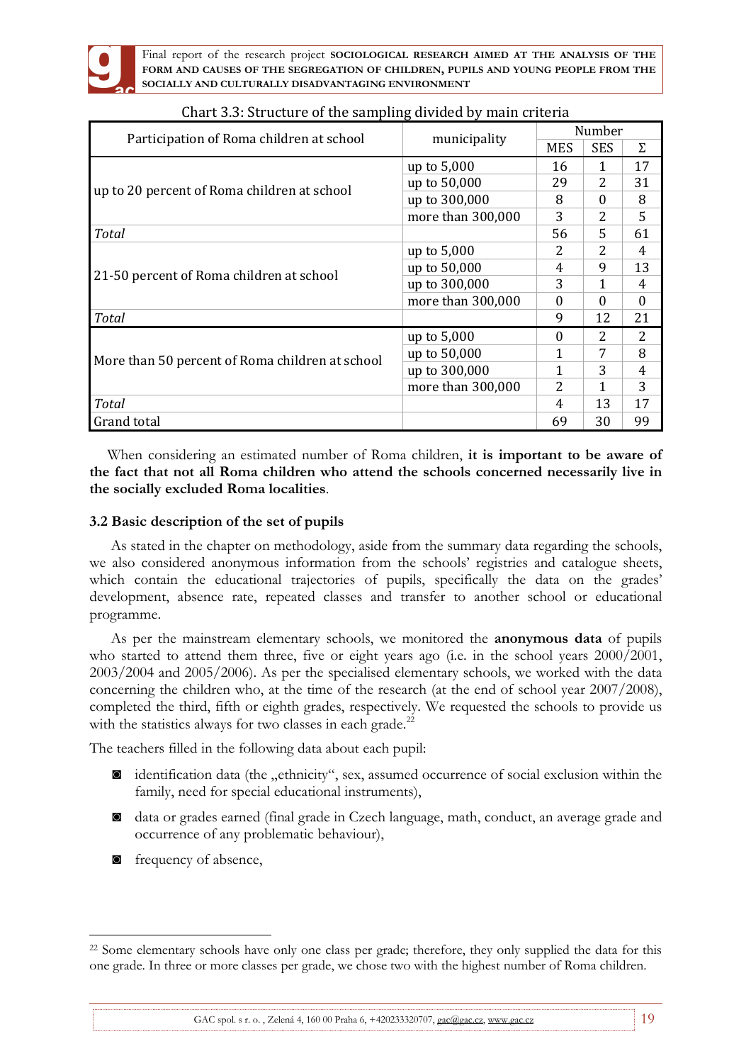

| Participation of Roma children at school        | municipality      | Number     |            |          |
|-------------------------------------------------|-------------------|------------|------------|----------|
|                                                 |                   | <b>MES</b> | <b>SES</b> | Σ        |
|                                                 | up to 5,000       | 16         | 1          | 17       |
| up to 20 percent of Roma children at school     | up to 50,000      | 29         | 2          | 31       |
|                                                 | up to 300,000     | 8          | $\Omega$   | 8        |
|                                                 | more than 300,000 | 3          | 2          | 5        |
| <b>Total</b>                                    |                   | 56         | 5          | 61       |
|                                                 | up to $5,000$     | 2          | 2          | 4        |
| 21-50 percent of Roma children at school        | up to 50,000      | 4          | 9          | 13       |
|                                                 | up to 300,000     | 3          |            | 4        |
|                                                 | more than 300,000 | $\Omega$   | $\Omega$   | $\Omega$ |
| <b>Total</b>                                    |                   | 9          | 12         | 21       |
|                                                 | up to 5,000       | $\Omega$   | 2          | 2        |
| More than 50 percent of Roma children at school | up to 50,000      | 1          | 7          | 8        |
|                                                 | up to 300,000     | 1          | 3          | 4        |
|                                                 | more than 300,000 | 2          |            | 3        |
| <b>Total</b>                                    |                   | 4          | 13         | 17       |
| Grand total                                     |                   | 69         | 30         | 99       |

# Chart 3.3: Structure of the sampling divided by main criteria

When considering an estimated number of Roma children, **it is important to be aware of the fact that not all Roma children who attend the schools concerned necessarily live in the socially excluded Roma localities**.

## **3.2 Basic description of the set of pupils**

As stated in the chapter on methodology, aside from the summary data regarding the schools, we also considered anonymous information from the schools' registries and catalogue sheets, which contain the educational trajectories of pupils, specifically the data on the grades' development, absence rate, repeated classes and transfer to another school or educational programme.

As per the mainstream elementary schools, we monitored the **anonymous data** of pupils who started to attend them three, five or eight years ago (i.e. in the school years 2000/2001, 2003/2004 and 2005/2006). As per the specialised elementary schools, we worked with the data concerning the children who, at the time of the research (at the end of school year 2007/2008), completed the third, fifth or eighth grades, respectively. We requested the schools to provide us with the statistics always for two classes in each grade.<sup>22</sup>

The teachers filled in the following data about each pupil:

- ◙ identification data (the "ethnicity", sex, assumed occurrence of social exclusion within the family, need for special educational instruments),
- ◙ data or grades earned (final grade in Czech language, math, conduct, an average grade and occurrence of any problematic behaviour),
- ◙ frequency of absence,

 $\overline{a}$ 

<sup>&</sup>lt;sup>22</sup> Some elementary schools have only one class per grade; therefore, they only supplied the data for this one grade. In three or more classes per grade, we chose two with the highest number of Roma children.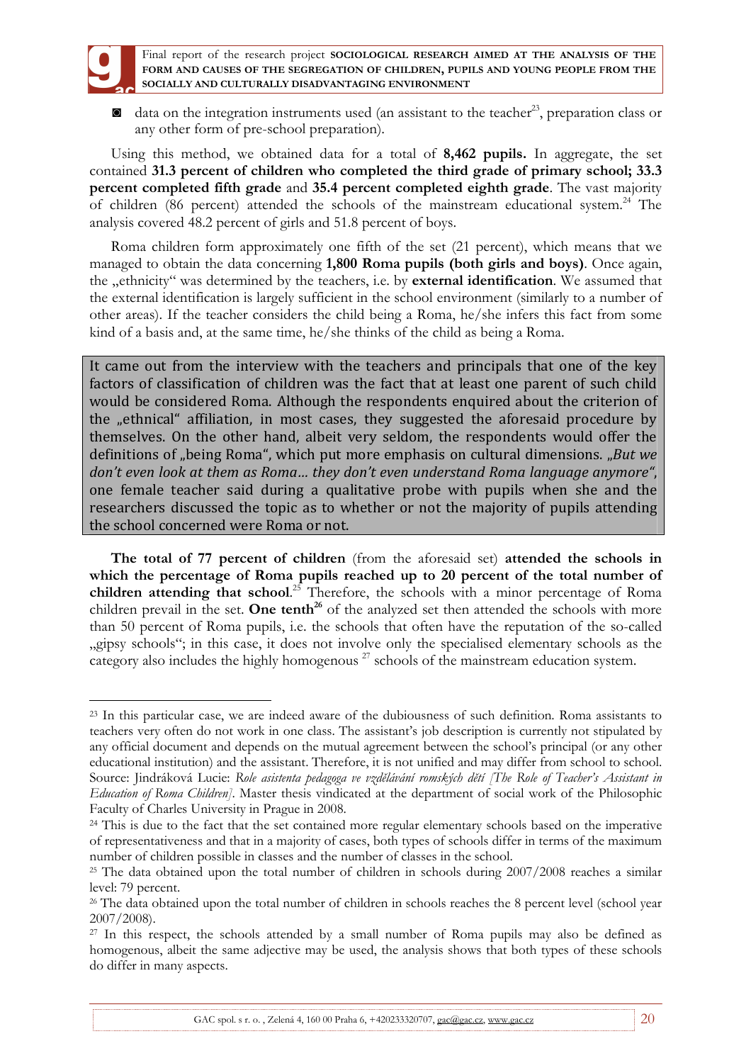

 $\blacksquare$  data on the integration instruments used (an assistant to the teacher<sup>23</sup>, preparation class or any other form of pre-school preparation).

Using this method, we obtained data for a total of **8,462 pupils.** In aggregate, the set contained **31.3 percent of children who completed the third grade of primary school; 33.3 percent completed fifth grade** and **35.4 percent completed eighth grade**. The vast majority of children (86 percent) attended the schools of the mainstream educational system.<sup>24</sup> The analysis covered 48.2 percent of girls and 51.8 percent of boys.

Roma children form approximately one fifth of the set (21 percent), which means that we managed to obtain the data concerning **1,800 Roma pupils (both girls and boys)**. Once again, the "ethnicity" was determined by the teachers, i.e. by **external identification**. We assumed that the external identification is largely sufficient in the school environment (similarly to a number of other areas). If the teacher considers the child being a Roma, he/she infers this fact from some kind of a basis and, at the same time, he/she thinks of the child as being a Roma.

It came out from the interview with the teachers and principals that one of the key factors of classification of children was the fact that at least one parent of such child would be considered Roma. Although the respondents enquired about the criterion of the "ethnical" affiliation, in most cases, they suggested the aforesaid procedure by themselves. On the other hand, albeit very seldom, the respondents would offer the definitions of "being Roma", which put more emphasis on cultural dimensions. "But we *don't even look at them as Roma… they don't even understand Roma language anymore"*, one female teacher said during a qualitative probe with pupils when she and the researchers discussed the topic as to whether or not the majority of pupils attending the school concerned were Roma or not.

**The total of 77 percent of children** (from the aforesaid set) **attended the schools in which the percentage of Roma pupils reached up to 20 percent of the total number of children attending that school**. <sup>25</sup> Therefore, the schools with a minor percentage of Roma children prevail in the set. **One tenth<sup>26</sup>** of the analyzed set then attended the schools with more than 50 percent of Roma pupils, i.e. the schools that often have the reputation of the so-called "gipsy schools"; in this case, it does not involve only the specialised elementary schools as the category also includes the highly homogenous<sup>27</sup> schools of the mainstream education system.

 $\overline{a}$ <sup>23</sup> In this particular case, we are indeed aware of the dubiousness of such definition. Roma assistants to teachers very often do not work in one class. The assistant's job description is currently not stipulated by any official document and depends on the mutual agreement between the school's principal (or any other educational institution) and the assistant. Therefore, it is not unified and may differ from school to school. Source: Jindráková Lucie: *Role asistenta pedagoga ve vzdělávání romských dětí [The Role of Teacher's Assistant in Education of Roma Children]*. Master thesis vindicated at the department of social work of the Philosophic Faculty of Charles University in Prague in 2008.

<sup>&</sup>lt;sup>24</sup> This is due to the fact that the set contained more regular elementary schools based on the imperative of representativeness and that in a majority of cases, both types of schools differ in terms of the maximum number of children possible in classes and the number of classes in the school.

<sup>&</sup>lt;sup>25</sup> The data obtained upon the total number of children in schools during 2007/2008 reaches a similar level: 79 percent.

<sup>&</sup>lt;sup>26</sup> The data obtained upon the total number of children in schools reaches the 8 percent level (school year 2007/2008).

<sup>&</sup>lt;sup>27</sup> In this respect, the schools attended by a small number of Roma pupils may also be defined as homogenous, albeit the same adjective may be used, the analysis shows that both types of these schools do differ in many aspects.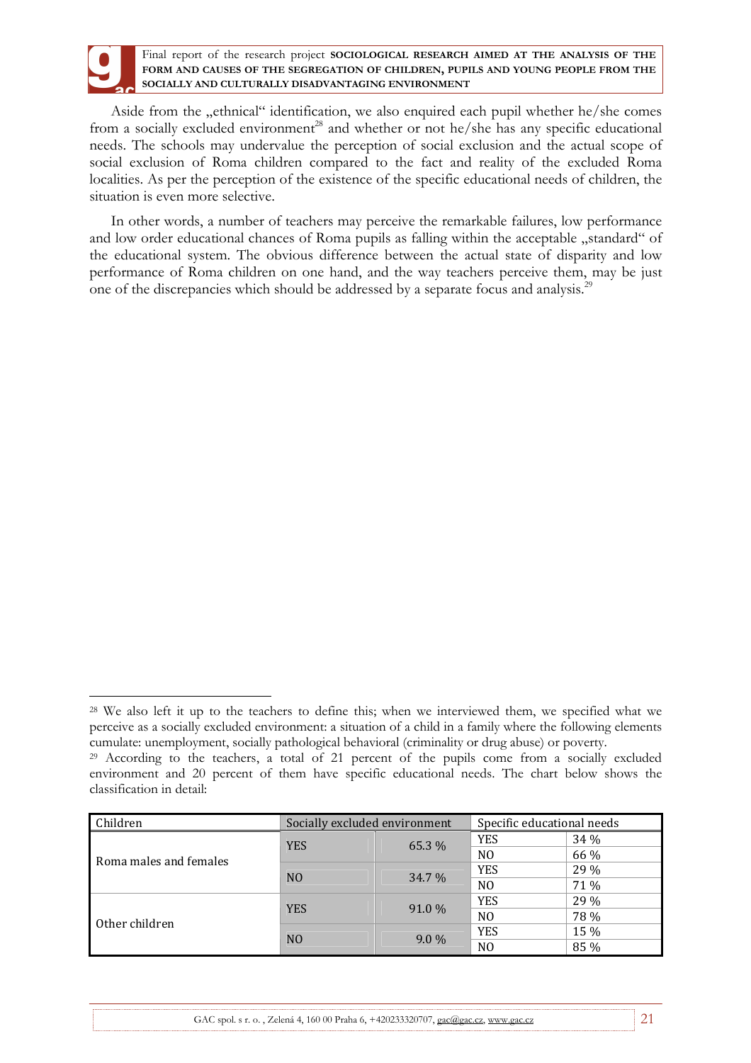Aside from the "ethnical" identification, we also enquired each pupil whether he/she comes from a socially excluded environment<sup>28</sup> and whether or not he/she has any specific educational needs. The schools may undervalue the perception of social exclusion and the actual scope of social exclusion of Roma children compared to the fact and reality of the excluded Roma localities. As per the perception of the existence of the specific educational needs of children, the situation is even more selective.

In other words, a number of teachers may perceive the remarkable failures, low performance and low order educational chances of Roma pupils as falling within the acceptable "standard" of the educational system. The obvious difference between the actual state of disparity and low performance of Roma children on one hand, and the way teachers perceive them, may be just one of the discrepancies which should be addressed by a separate focus and analysis.<sup>29</sup>

 $\overline{a}$ 

<sup>&</sup>lt;sup>29</sup> According to the teachers, a total of 21 percent of the pupils come from a socially excluded environment and 20 percent of them have specific educational needs. The chart below shows the classification in detail:

| Children               | Socially excluded environment |         | Specific educational needs |      |
|------------------------|-------------------------------|---------|----------------------------|------|
|                        | <b>YES</b>                    | 65.3 %  | <b>YES</b>                 | 34 % |
| Roma males and females |                               |         | N <sub>0</sub>             | 66 % |
|                        | N <sub>O</sub>                | 34.7 %  | <b>YES</b>                 | 29 % |
|                        |                               |         | N <sub>0</sub>             | 71 % |
|                        | <b>YES</b>                    | 91.0 %  | <b>YES</b>                 | 29 % |
| Other children         |                               |         | N <sub>0</sub>             | 78 % |
|                        | N <sub>O</sub>                |         | <b>YES</b>                 | 15 % |
|                        |                               | $9.0\%$ | N <sub>0</sub>             | 85 % |

<sup>&</sup>lt;sup>28</sup> We also left it up to the teachers to define this; when we interviewed them, we specified what we perceive as a socially excluded environment: a situation of a child in a family where the following elements cumulate: unemployment, socially pathological behavioral (criminality or drug abuse) or poverty.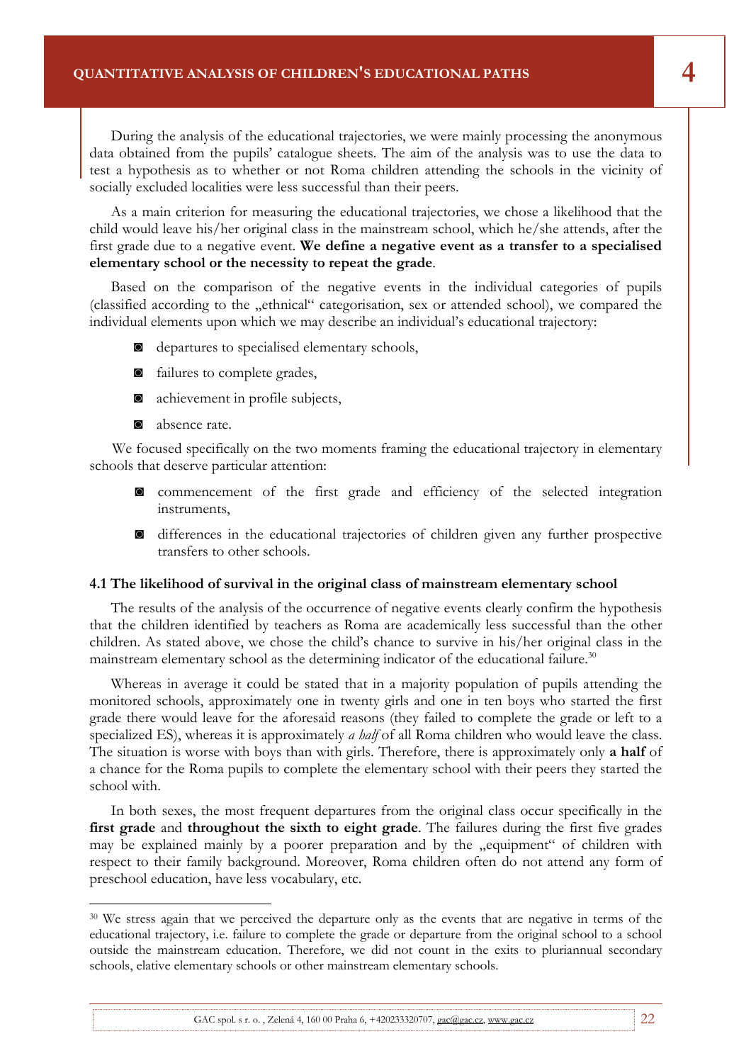**4. Quantitative Analysis of Children's Educational Paths** 

During the analysis of the educational trajectories, we were mainly processing the anonymous data obtained from the pupils' catalogue sheets. The aim of the analysis was to use the data to test a hypothesis as to whether or not Roma children attending the schools in the vicinity of socially excluded localities were less successful than their peers.

Final report of the research project **SOCIOLOGICAL RESEARCH AIMED AT THE ANALYSIS OF THE** 

As a main criterion for measuring the educational trajectories, we chose a likelihood that the child would leave his/her original class in the mainstream school, which he/she attends, after the first grade due to a negative event. **We define a negative event as a transfer to a specialised elementary school or the necessity to repeat the grade**.

Based on the comparison of the negative events in the individual categories of pupils (classified according to the "ethnical" categorisation, sex or attended school), we compared the individual elements upon which we may describe an individual's educational trajectory:

- ◙ departures to specialised elementary schools,
- ◙ failures to complete grades,
- ◙ achievement in profile subjects,
- ◙ absence rate.

 $\overline{a}$ 

We focused specifically on the two moments framing the educational trajectory in elementary schools that deserve particular attention:

- ◙ commencement of the first grade and efficiency of the selected integration instruments,
- ◙ differences in the educational trajectories of children given any further prospective transfers to other schools.

### **4.1 The likelihood of survival in the original class of mainstream elementary school**

The results of the analysis of the occurrence of negative events clearly confirm the hypothesis that the children identified by teachers as Roma are academically less successful than the other children. As stated above, we chose the child's chance to survive in his/her original class in the mainstream elementary school as the determining indicator of the educational failure.<sup>30</sup>

Whereas in average it could be stated that in a majority population of pupils attending the monitored schools, approximately one in twenty girls and one in ten boys who started the first grade there would leave for the aforesaid reasons (they failed to complete the grade or left to a specialized ES), whereas it is approximately *a half* of all Roma children who would leave the class. The situation is worse with boys than with girls. Therefore, there is approximately only **a half** of a chance for the Roma pupils to complete the elementary school with their peers they started the school with.

In both sexes, the most frequent departures from the original class occur specifically in the **first grade** and **throughout the sixth to eight grade**. The failures during the first five grades may be explained mainly by a poorer preparation and by the "equipment" of children with respect to their family background. Moreover, Roma children often do not attend any form of preschool education, have less vocabulary, etc.

<sup>&</sup>lt;sup>30</sup> We stress again that we perceived the departure only as the events that are negative in terms of the educational trajectory, i.e. failure to complete the grade or departure from the original school to a school outside the mainstream education. Therefore, we did not count in the exits to pluriannual secondary schools, elative elementary schools or other mainstream elementary schools.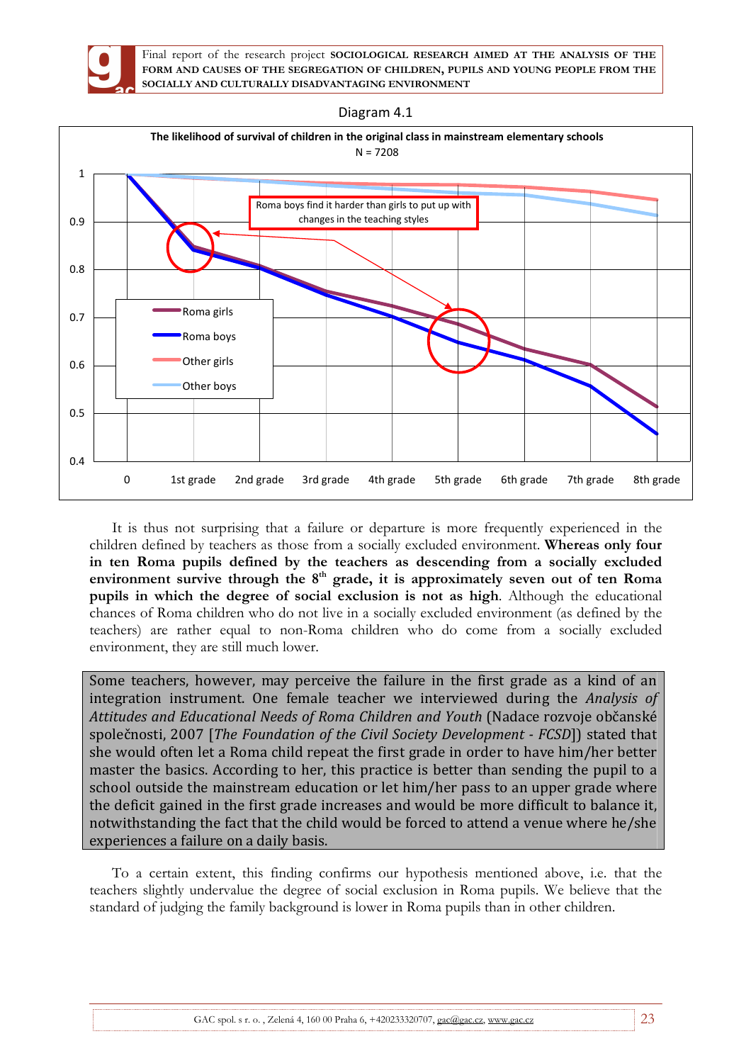





It is thus not surprising that a failure or departure is more frequently experienced in the children defined by teachers as those from a socially excluded environment. **Whereas only four in ten Roma pupils defined by the teachers as descending from a socially excluded**  environment survive through the 8<sup>th</sup> grade, it is approximately seven out of ten Roma **pupils in which the degree of social exclusion is not as high**. Although the educational chances of Roma children who do not live in a socially excluded environment (as defined by the teachers) are rather equal to non-Roma children who do come from a socially excluded environment, they are still much lower.

Some teachers, however, may perceive the failure in the first grade as a kind of an integration instrument. One female teacher we interviewed during the *Analysis of Attitudes and Educational Needs of Roma Children and Youth* (Nadace rozvoje občanské společnosti, 2007 [*The Foundation of the Civil Society Development - FCSD*]) stated that she would often let a Roma child repeat the first grade in order to have him/her better master the basics. According to her, this practice is better than sending the pupil to a school outside the mainstream education or let him/her pass to an upper grade where the deficit gained in the first grade increases and would be more difficult to balance it, notwithstanding the fact that the child would be forced to attend a venue where he/she experiences a failure on a daily basis.

To a certain extent, this finding confirms our hypothesis mentioned above, i.e. that the teachers slightly undervalue the degree of social exclusion in Roma pupils. We believe that the standard of judging the family background is lower in Roma pupils than in other children.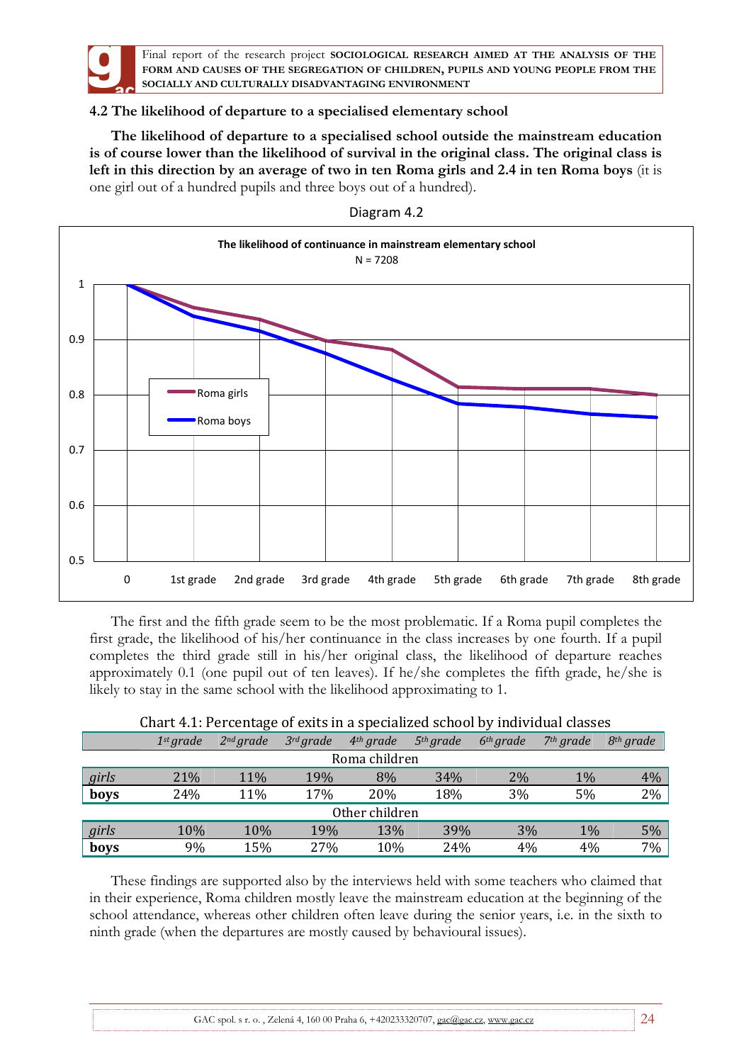

# **4.2 The likelihood of departure to a specialised elementary school**

**The likelihood of departure to a specialised school outside the mainstream education is of course lower than the likelihood of survival in the original class. The original class is left in this direction by an average of two in ten Roma girls and 2.4 in ten Roma boys** (it is one girl out of a hundred pupils and three boys out of a hundred).



Diagram 4.2

The first and the fifth grade seem to be the most problematic. If a Roma pupil completes the first grade, the likelihood of his/her continuance in the class increases by one fourth. If a pupil completes the third grade still in his/her original class, the likelihood of departure reaches approximately 0.1 (one pupil out of ten leaves). If he/she completes the fifth grade, he/she is likely to stay in the same school with the likelihood approximating to 1.

|       | 1 <sup>st</sup> grade | $2^{nd}$ grade | $3^{rd}$ grade | $4th$ grade    | 5 <sup>th</sup> grade | 6 <sup>th</sup> grade | $7th$ grade | $8th$ grade |
|-------|-----------------------|----------------|----------------|----------------|-----------------------|-----------------------|-------------|-------------|
|       |                       |                |                | Roma children  |                       |                       |             |             |
| girls | 21%                   | 11%            | 19%            | 8%             | 34%                   | 2%                    | 1%          | $4\%$       |
| boys  | 24%                   | 11%            | 17%            | 20%            | 18%                   | 3%                    | 5%          | 2%          |
|       |                       |                |                | Other children |                       |                       |             |             |
| girls | 10%                   | 10%            | 19%            | 13%            | 39%                   | 3%                    | $1\%$       | $5\%$       |
| boys  | 9%                    | 15%            | 27%            | 10%            | 24%                   | 4%                    | 4%          | 7%          |

## Chart 4.1: Percentage of exits in a specialized school by individual classes

These findings are supported also by the interviews held with some teachers who claimed that in their experience, Roma children mostly leave the mainstream education at the beginning of the school attendance, whereas other children often leave during the senior years, i.e. in the sixth to ninth grade (when the departures are mostly caused by behavioural issues).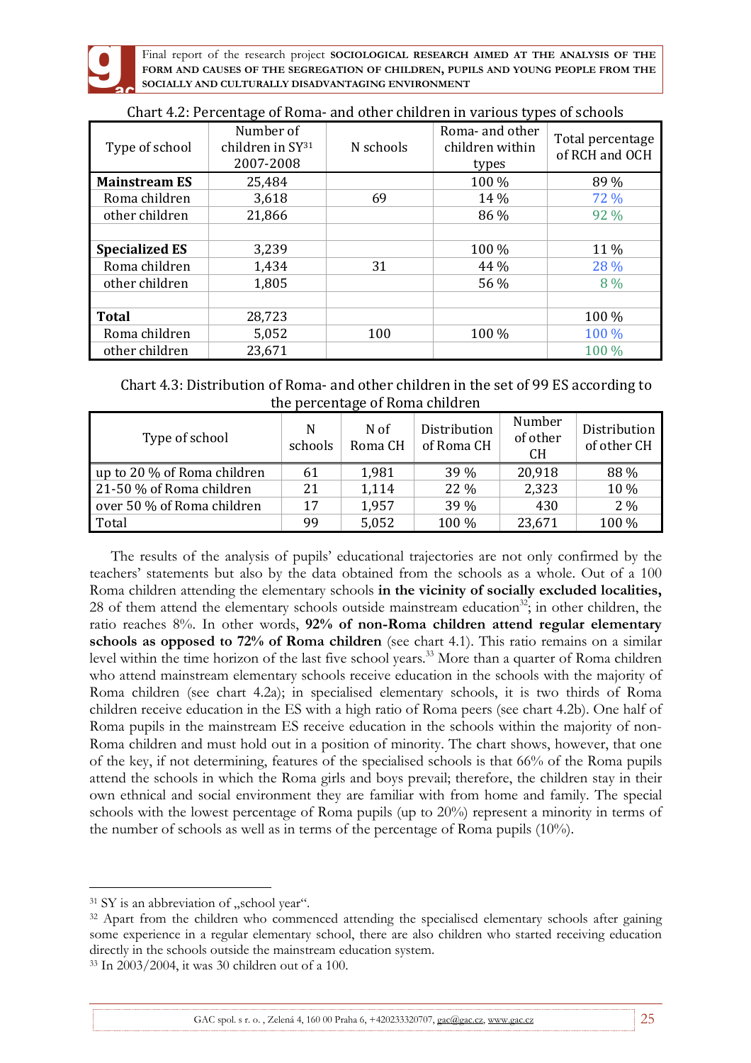

| Type of school        | Number of<br>children in $SY31$<br>2007-2008 | N schools | Roma- and other<br>children within<br>types | Total percentage<br>of RCH and OCH |
|-----------------------|----------------------------------------------|-----------|---------------------------------------------|------------------------------------|
| <b>Mainstream ES</b>  | 25,484                                       |           | 100 %                                       | 89 %                               |
| Roma children         | 3,618                                        | 69        | 14 %                                        | 72 %                               |
| other children        | 21,866                                       |           | 86 %                                        | 92 %                               |
|                       |                                              |           |                                             |                                    |
| <b>Specialized ES</b> | 3,239                                        |           | 100 %                                       | 11 %                               |
| Roma children         | 1,434                                        | 31        | 44 %                                        | 28 %                               |
| other children        | 1,805                                        |           | 56 %                                        | 8 %                                |
|                       |                                              |           |                                             |                                    |
| <b>Total</b>          | 28,723                                       |           |                                             | $100\%$                            |
| Roma children         | 5,052                                        | 100       | 100 %                                       | 100 %                              |
| other children        | 23,671                                       |           |                                             | 100 %                              |

| Chart 4.2: Percentage of Roma- and other children in various types of schools |  |  |
|-------------------------------------------------------------------------------|--|--|
|                                                                               |  |  |

| Chart 4.3: Distribution of Roma- and other children in the set of 99 ES according to |                                 |  |
|--------------------------------------------------------------------------------------|---------------------------------|--|
|                                                                                      | the percentage of Roma children |  |

| Type of school              | N<br>schools | N of<br>Roma CH | Distribution<br>of Roma CH | Number<br>of other<br><b>CH</b> | Distribution<br>of other CH |
|-----------------------------|--------------|-----------------|----------------------------|---------------------------------|-----------------------------|
| up to 20 % of Roma children | 61           | 1,981           | 39 %                       | 20,918                          | 88 %                        |
| 21-50 % of Roma children    | 21           | 1,114           | 22 %                       | 2,323                           | 10 %                        |
| over 50 % of Roma children  | 17           | 1,957           | 39 %                       | 430                             | $2\%$                       |
| Total                       | 99           | 5,052           | 100 %                      | 23,671                          | 100 %                       |

The results of the analysis of pupils' educational trajectories are not only confirmed by the teachers' statements but also by the data obtained from the schools as a whole. Out of a 100 Roma children attending the elementary schools **in the vicinity of socially excluded localities,**  28 of them attend the elementary schools outside mainstream education<sup>32</sup>; in other children, the ratio reaches 8%. In other words, **92% of non-Roma children attend regular elementary schools as opposed to 72% of Roma children** (see chart 4.1). This ratio remains on a similar level within the time horizon of the last five school years.<sup>33</sup> More than a quarter of Roma children who attend mainstream elementary schools receive education in the schools with the majority of Roma children (see chart 4.2a); in specialised elementary schools, it is two thirds of Roma children receive education in the ES with a high ratio of Roma peers (see chart 4.2b). One half of Roma pupils in the mainstream ES receive education in the schools within the majority of non-Roma children and must hold out in a position of minority. The chart shows, however, that one of the key, if not determining, features of the specialised schools is that 66% of the Roma pupils attend the schools in which the Roma girls and boys prevail; therefore, the children stay in their own ethnical and social environment they are familiar with from home and family. The special schools with the lowest percentage of Roma pupils (up to 20%) represent a minority in terms of the number of schools as well as in terms of the percentage of Roma pupils (10%).

 $\overline{a}$ 

 $31$  SY is an abbreviation of "school year".

<sup>&</sup>lt;sup>32</sup> Apart from the children who commenced attending the specialised elementary schools after gaining some experience in a regular elementary school, there are also children who started receiving education directly in the schools outside the mainstream education system.

<sup>33</sup> In 2003/2004, it was 30 children out of a 100.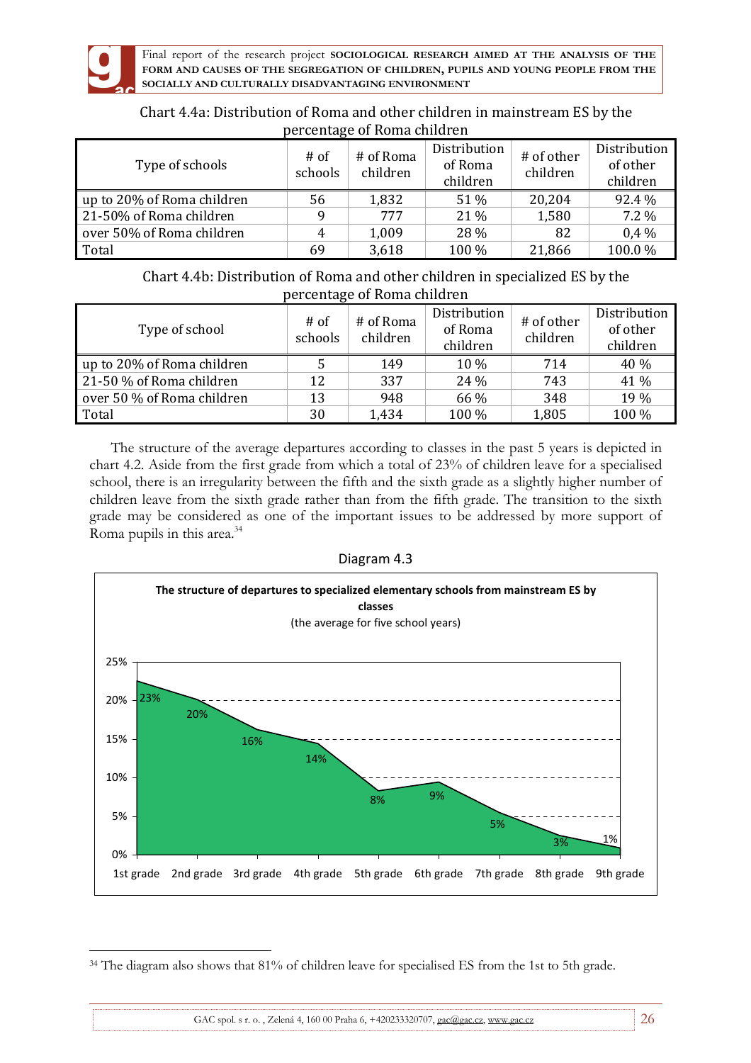

| Chart 4.4a: Distribution of Roma and other children in mainstream ES by the |
|-----------------------------------------------------------------------------|
| percentage of Roma children                                                 |

| Type of schools            | $#$ of<br>schools | # of Roma<br>children | Distribution<br>of Roma<br>children | # of other<br>children | Distribution<br>of other<br>children |
|----------------------------|-------------------|-----------------------|-------------------------------------|------------------------|--------------------------------------|
| up to 20% of Roma children | 56                | 1,832                 | 51 %                                | 20,204                 | 92.4 %                               |
| 21-50% of Roma children    | q                 | 777                   | $21\%$                              | 1,580                  | $7.2\%$                              |
| over 50% of Roma children  | 4                 | 1,009                 | 28 %                                | 82                     | $0.4\%$                              |
| Total                      | 69                | 3,618                 | 100 %                               | 21,866                 | 100.0%                               |

Chart 4.4b: Distribution of Roma and other children in specialized ES by the percentage of Roma children

| Type of school             | $#$ of<br>schools | # of Roma<br>children | Distribution<br>of Roma<br>children | # of other<br>children | Distribution<br>of other<br>children |
|----------------------------|-------------------|-----------------------|-------------------------------------|------------------------|--------------------------------------|
| up to 20% of Roma children |                   | 149                   | 10 %                                | 714                    | 40 %                                 |
| 21-50 % of Roma children   | 12                | 337                   | 24 %                                | 743                    | 41 %                                 |
| over 50 % of Roma children | 13                | 948                   | 66 %                                | 348                    | 19 %                                 |
| Total                      | 30                | 1,434                 | 100 %                               | 1,805                  | 100 %                                |

The structure of the average departures according to classes in the past 5 years is depicted in chart 4.2. Aside from the first grade from which a total of 23% of children leave for a specialised school, there is an irregularity between the fifth and the sixth grade as a slightly higher number of children leave from the sixth grade rather than from the fifth grade. The transition to the sixth grade may be considered as one of the important issues to be addressed by more support of Roma pupils in this area.<sup>34</sup>

| Diagram 4.3 |  |
|-------------|--|
|-------------|--|



 $\overline{a}$ <sup>34</sup> The diagram also shows that 81% of children leave for specialised ES from the 1st to 5th grade.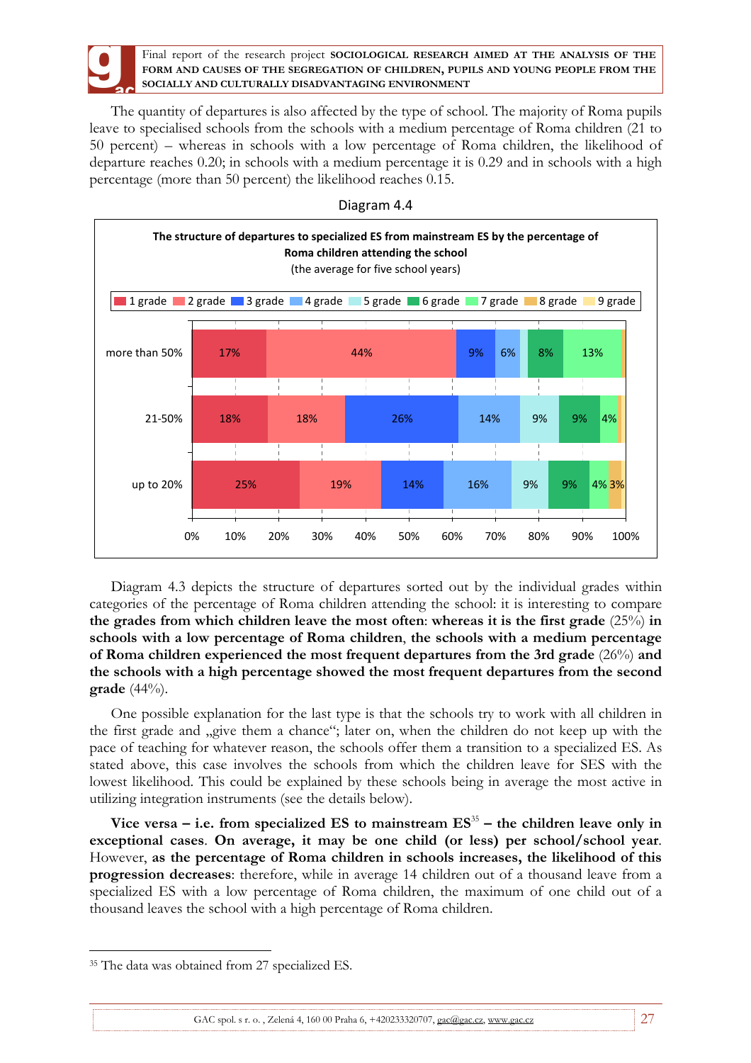The quantity of departures is also affected by the type of school. The majority of Roma pupils leave to specialised schools from the schools with a medium percentage of Roma children (21 to 50 percent) – whereas in schools with a low percentage of Roma children, the likelihood of departure reaches 0.20; in schools with a medium percentage it is 0.29 and in schools with a high percentage (more than 50 percent) the likelihood reaches 0.15.



Diagram 4.4

Diagram 4.3 depicts the structure of departures sorted out by the individual grades within categories of the percentage of Roma children attending the school: it is interesting to compare **the grades from which children leave the most often**: **whereas it is the first grade** (25%) **in schools with a low percentage of Roma children**, **the schools with a medium percentage of Roma children experienced the most frequent departures from the 3rd grade** (26%) **and the schools with a high percentage showed the most frequent departures from the second grade** (44%).

One possible explanation for the last type is that the schools try to work with all children in the first grade and "give them a chance"; later on, when the children do not keep up with the pace of teaching for whatever reason, the schools offer them a transition to a specialized ES. As stated above, this case involves the schools from which the children leave for SES with the lowest likelihood. This could be explained by these schools being in average the most active in utilizing integration instruments (see the details below).

Vice versa – i.e. from specialized ES to mainstream  $ES^{35}$  – the children leave only in **exceptional cases**. **On average, it may be one child (or less) per school/school year**. However, **as the percentage of Roma children in schools increases, the likelihood of this progression decreases**: therefore, while in average 14 children out of a thousand leave from a specialized ES with a low percentage of Roma children, the maximum of one child out of a thousand leaves the school with a high percentage of Roma children.

 $\overline{a}$ 35 The data was obtained from 27 specialized ES.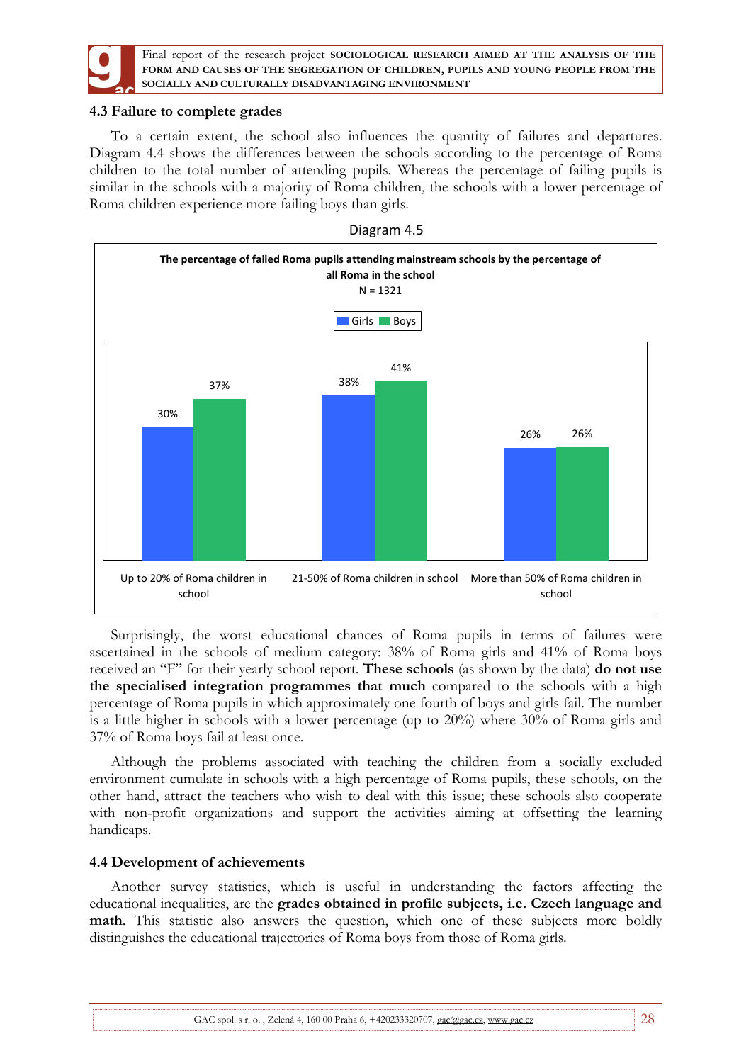

## **4.3 Failure to complete grades**

To a certain extent, the school also influences the quantity of failures and departures. Diagram 4.4 shows the differences between the schools according to the percentage of Roma children to the total number of attending pupils. Whereas the percentage of failing pupils is similar in the schools with a majority of Roma children, the schools with a lower percentage of Roma children experience more failing boys than girls.



Surprisingly, the worst educational chances of Roma pupils in terms of failures were ascertained in the schools of medium category: 38% of Roma girls and 41% of Roma boys received an "F" for their yearly school report. **These schools** (as shown by the data) **do not use the specialised integration programmes that much** compared to the schools with a high percentage of Roma pupils in which approximately one fourth of boys and girls fail. The number is a little higher in schools with a lower percentage (up to 20%) where 30% of Roma girls and 37% of Roma boys fail at least once.

Although the problems associated with teaching the children from a socially excluded environment cumulate in schools with a high percentage of Roma pupils, these schools, on the other hand, attract the teachers who wish to deal with this issue; these schools also cooperate with non-profit organizations and support the activities aiming at offsetting the learning handicaps.

## **4.4 Development of achievements**

Another survey statistics, which is useful in understanding the factors affecting the educational inequalities, are the **grades obtained in profile subjects, i.e. Czech language and math**. This statistic also answers the question, which one of these subjects more boldly distinguishes the educational trajectories of Roma boys from those of Roma girls.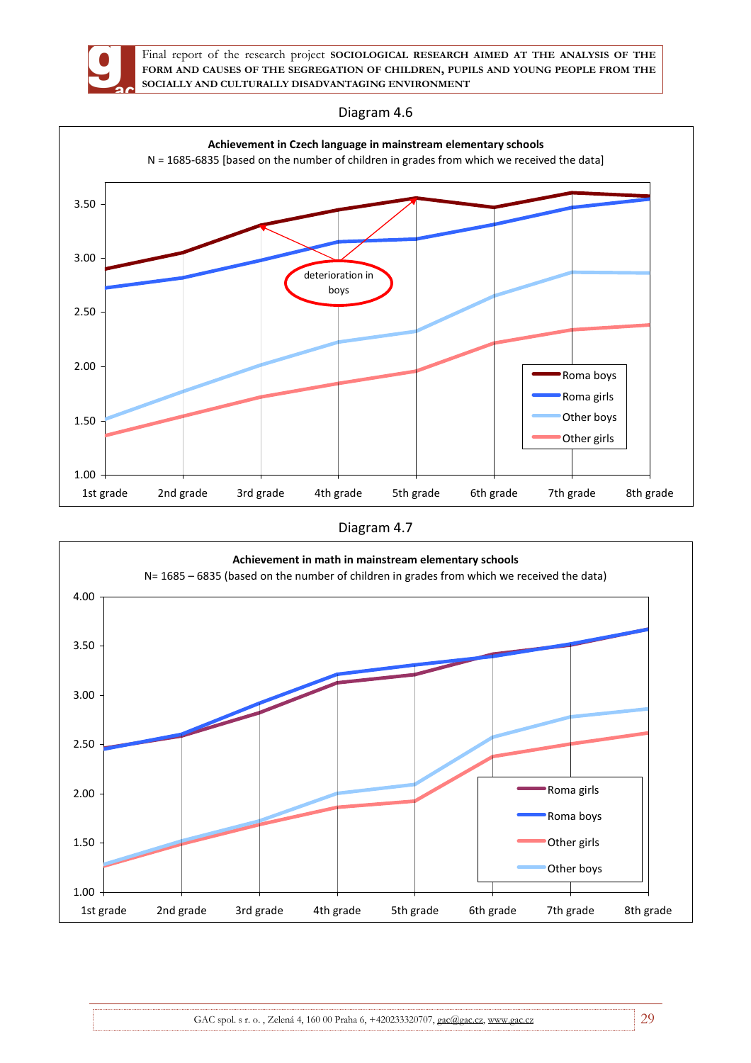

Diagram 4.6



Diagram 4.7

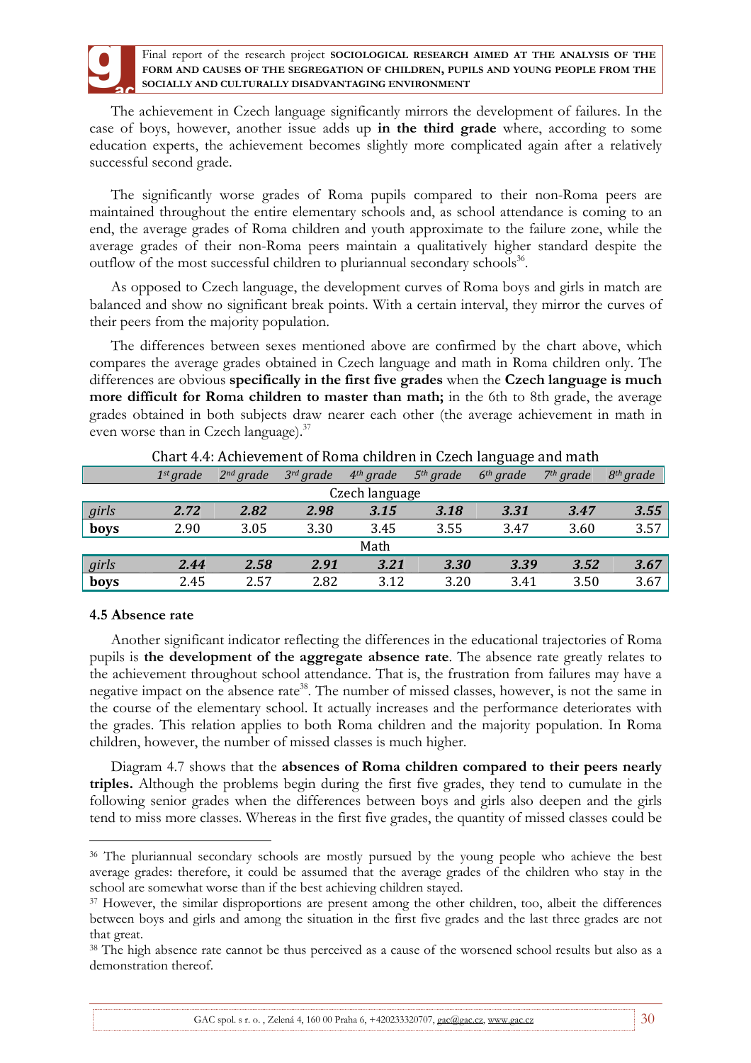The achievement in Czech language significantly mirrors the development of failures. In the case of boys, however, another issue adds up **in the third grade** where, according to some education experts, the achievement becomes slightly more complicated again after a relatively successful second grade.

The significantly worse grades of Roma pupils compared to their non-Roma peers are maintained throughout the entire elementary schools and, as school attendance is coming to an end, the average grades of Roma children and youth approximate to the failure zone, while the average grades of their non-Roma peers maintain a qualitatively higher standard despite the outflow of the most successful children to pluriannual secondary schools<sup>36</sup>.

As opposed to Czech language, the development curves of Roma boys and girls in match are balanced and show no significant break points. With a certain interval, they mirror the curves of their peers from the majority population.

The differences between sexes mentioned above are confirmed by the chart above, which compares the average grades obtained in Czech language and math in Roma children only. The differences are obvious **specifically in the first five grades** when the **Czech language is much more difficult for Roma children to master than math;** in the 6th to 8th grade, the average grades obtained in both subjects draw nearer each other (the average achievement in math in even worse than in Czech language). $37$ 

|       |                       |                       |                |                |             | $\cdots$    |                       |                       |
|-------|-----------------------|-----------------------|----------------|----------------|-------------|-------------|-----------------------|-----------------------|
|       | 1 <sup>st</sup> grade | 2 <sup>nd</sup> grade | $3^{rd}$ grade | $4th$ grade    | $5th$ grade | $6th$ grade | 7 <sup>th</sup> grade | 8 <sup>th</sup> grade |
|       |                       |                       |                | Czech language |             |             |                       |                       |
| girls | 2.72                  | 2.82                  | 2.98           | 3.15           | 3.18        | 3.31        | 3.47                  | 3.55                  |
| boys  | 2.90                  | 3.05                  | 3.30           | 3.45           | 3.55        | 3.47        | 3.60                  | 3.57                  |
|       |                       |                       |                | Math           |             |             |                       |                       |
| girls | 2.44                  | 2.58                  | 2.91           | 3.21           | 3.30        | 3.39        | 3.52                  | 3.67                  |
| boys  | 2.45                  | 2.57                  | 2.82           | 3.12           | 3.20        | 3.41        | 3.50                  | 3.67                  |

### Chart 4.4: Achievement of Roma children in Czech language and math

## **4.5 Absence rate**

 $\overline{a}$ 

Another significant indicator reflecting the differences in the educational trajectories of Roma pupils is **the development of the aggregate absence rate**. The absence rate greatly relates to the achievement throughout school attendance. That is, the frustration from failures may have a negative impact on the absence rate<sup>38</sup>. The number of missed classes, however, is not the same in the course of the elementary school. It actually increases and the performance deteriorates with the grades. This relation applies to both Roma children and the majority population. In Roma children, however, the number of missed classes is much higher.

Diagram 4.7 shows that the **absences of Roma children compared to their peers nearly triples.** Although the problems begin during the first five grades, they tend to cumulate in the following senior grades when the differences between boys and girls also deepen and the girls tend to miss more classes. Whereas in the first five grades, the quantity of missed classes could be

<sup>&</sup>lt;sup>36</sup> The pluriannual secondary schools are mostly pursued by the young people who achieve the best average grades: therefore, it could be assumed that the average grades of the children who stay in the school are somewhat worse than if the best achieving children stayed.

<sup>&</sup>lt;sup>37</sup> However, the similar disproportions are present among the other children, too, albeit the differences between boys and girls and among the situation in the first five grades and the last three grades are not that great.

<sup>38</sup> The high absence rate cannot be thus perceived as a cause of the worsened school results but also as a demonstration thereof.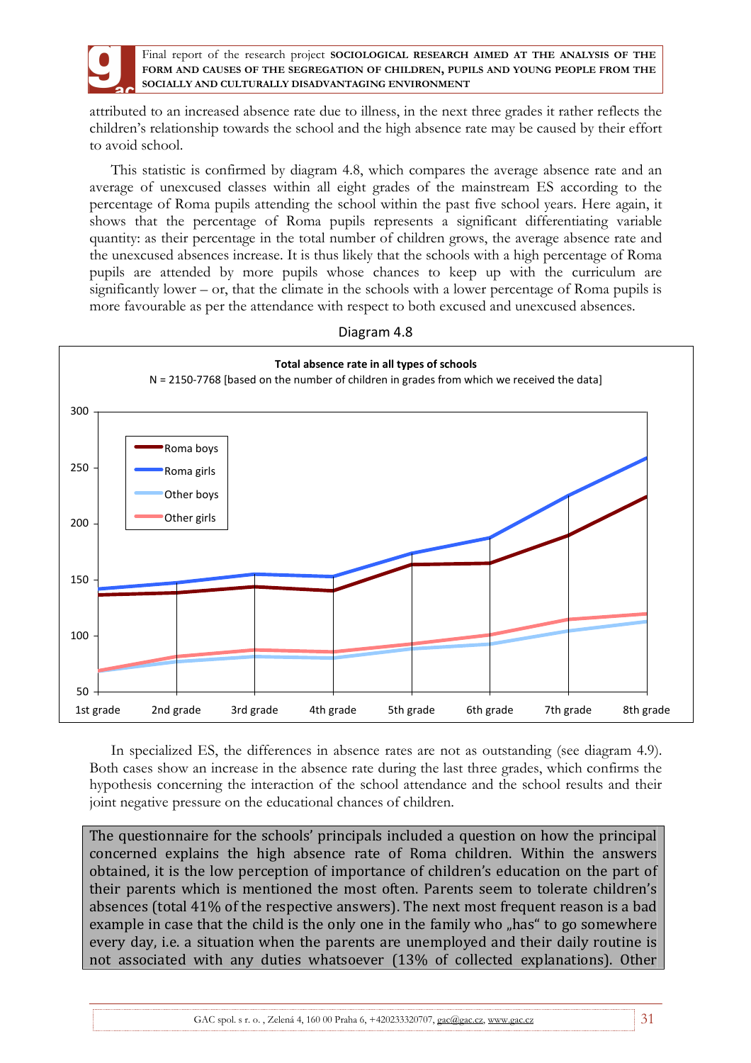

attributed to an increased absence rate due to illness, in the next three grades it rather reflects the children's relationship towards the school and the high absence rate may be caused by their effort to avoid school.

This statistic is confirmed by diagram 4.8, which compares the average absence rate and an average of unexcused classes within all eight grades of the mainstream ES according to the percentage of Roma pupils attending the school within the past five school years. Here again, it shows that the percentage of Roma pupils represents a significant differentiating variable quantity: as their percentage in the total number of children grows, the average absence rate and the unexcused absences increase. It is thus likely that the schools with a high percentage of Roma pupils are attended by more pupils whose chances to keep up with the curriculum are significantly lower – or, that the climate in the schools with a lower percentage of Roma pupils is more favourable as per the attendance with respect to both excused and unexcused absences.



Diagram 4.8

In specialized ES, the differences in absence rates are not as outstanding (see diagram 4.9). Both cases show an increase in the absence rate during the last three grades, which confirms the hypothesis concerning the interaction of the school attendance and the school results and their joint negative pressure on the educational chances of children.

The questionnaire for the schools' principals included a question on how the principal concerned explains the high absence rate of Roma children. Within the answers obtained, it is the low perception of importance of children's education on the part of their parents which is mentioned the most often. Parents seem to tolerate children's absences (total 41% of the respective answers). The next most frequent reason is a bad example in case that the child is the only one in the family who "has" to go somewhere every day, i.e. a situation when the parents are unemployed and their daily routine is not associated with any duties whatsoever (13% of collected explanations). Other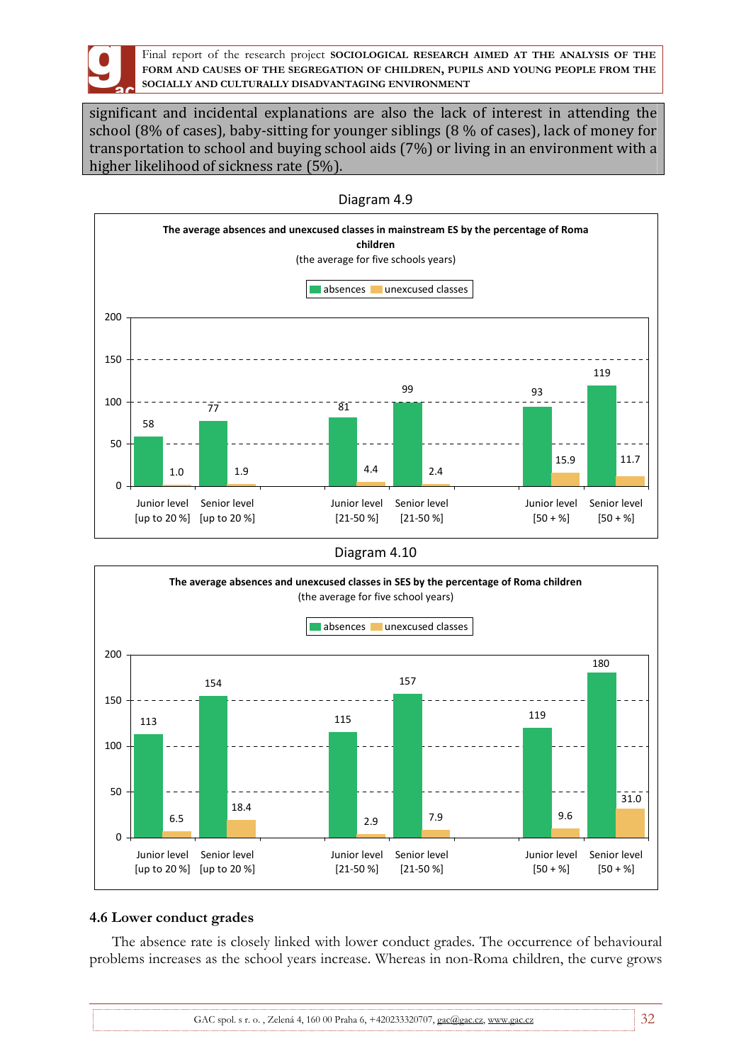

significant and incidental explanations are also the lack of interest in attending the school (8% of cases), baby-sitting for younger siblings (8 % of cases), lack of money for transportation to school and buying school aids (7%) or living in an environment with a higher likelihood of sickness rate (5%).



Diagram 4.9

Diagram 4.10



## **4.6 Lower conduct grades**

The absence rate is closely linked with lower conduct grades. The occurrence of behavioural problems increases as the school years increase. Whereas in non-Roma children, the curve grows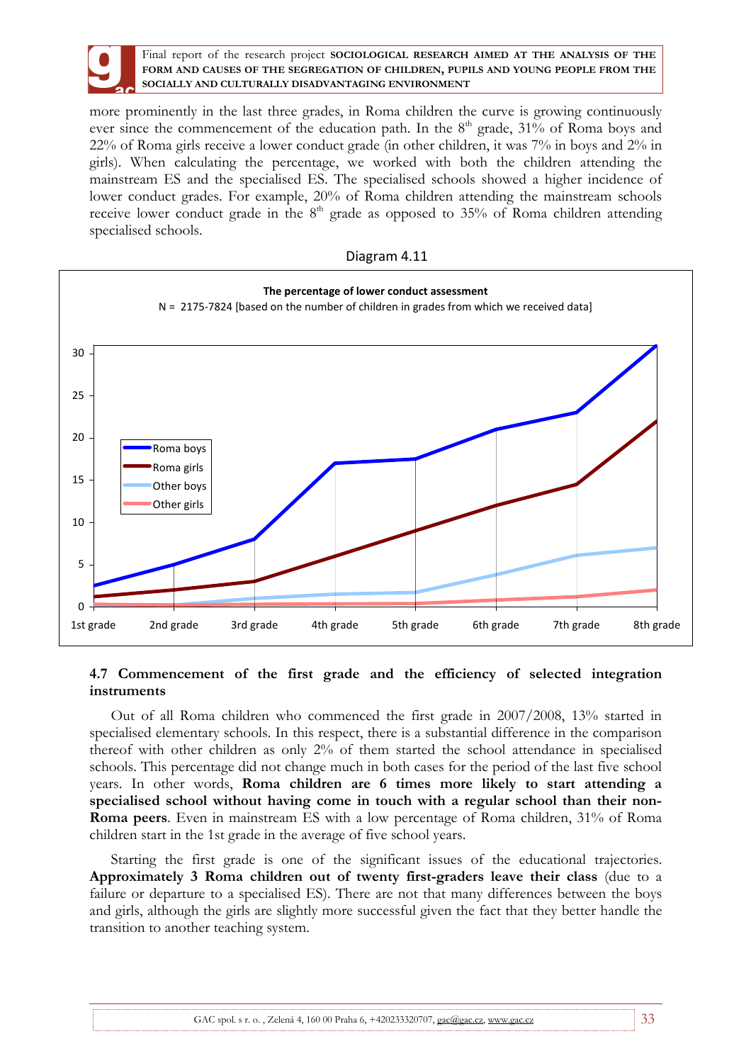

more prominently in the last three grades, in Roma children the curve is growing continuously ever since the commencement of the education path. In the  $8<sup>th</sup>$  grade, 31% of Roma boys and 22% of Roma girls receive a lower conduct grade (in other children, it was 7% in boys and 2% in girls). When calculating the percentage, we worked with both the children attending the mainstream ES and the specialised ES. The specialised schools showed a higher incidence of lower conduct grades. For example, 20% of Roma children attending the mainstream schools receive lower conduct grade in the  $8<sup>th</sup>$  grade as opposed to 35% of Roma children attending specialised schools.





## **4.7 Commencement of the first grade and the efficiency of selected integration instruments**

Out of all Roma children who commenced the first grade in 2007/2008, 13% started in specialised elementary schools. In this respect, there is a substantial difference in the comparison thereof with other children as only 2% of them started the school attendance in specialised schools. This percentage did not change much in both cases for the period of the last five school years. In other words, **Roma children are 6 times more likely to start attending a specialised school without having come in touch with a regular school than their non-Roma peers**. Even in mainstream ES with a low percentage of Roma children, 31% of Roma children start in the 1st grade in the average of five school years.

Starting the first grade is one of the significant issues of the educational trajectories. **Approximately 3 Roma children out of twenty first-graders leave their class** (due to a failure or departure to a specialised ES). There are not that many differences between the boys and girls, although the girls are slightly more successful given the fact that they better handle the transition to another teaching system.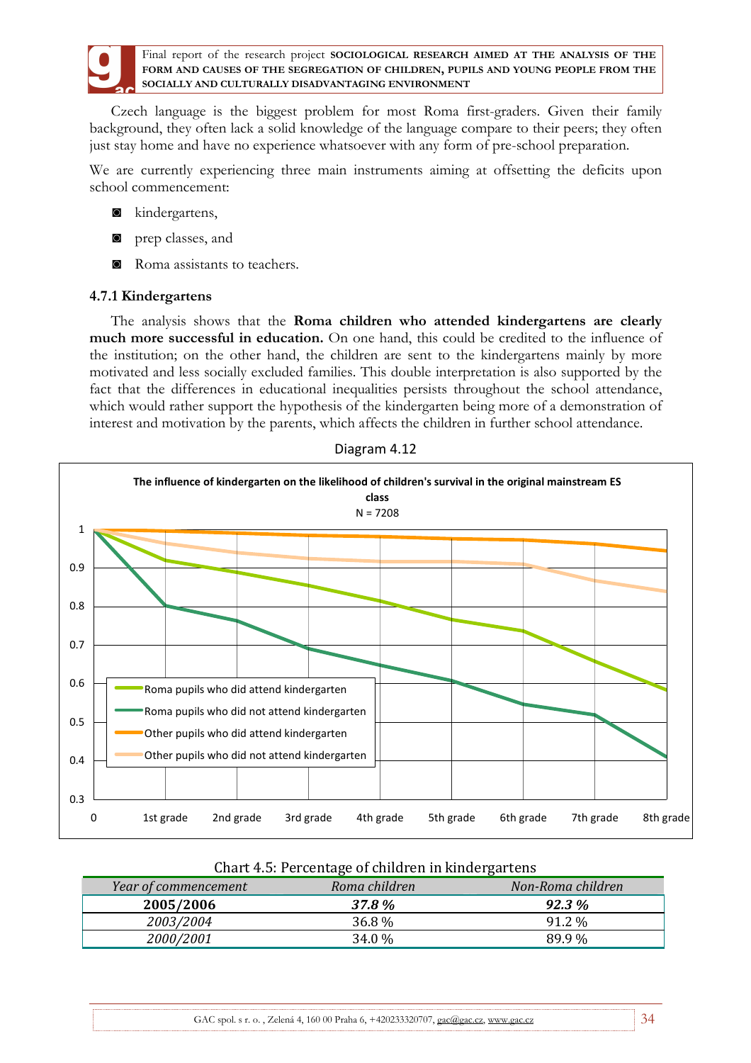

Czech language is the biggest problem for most Roma first-graders. Given their family background, they often lack a solid knowledge of the language compare to their peers; they often just stay home and have no experience whatsoever with any form of pre-school preparation.

We are currently experiencing three main instruments aiming at offsetting the deficits upon school commencement:

- ◙ kindergartens,
- ◙ prep classes, and
- ◙ Roma assistants to teachers.

### **4.7.1 Kindergartens**

The analysis shows that the **Roma children who attended kindergartens are clearly much more successful in education.** On one hand, this could be credited to the influence of the institution; on the other hand, the children are sent to the kindergartens mainly by more motivated and less socially excluded families. This double interpretation is also supported by the fact that the differences in educational inequalities persists throughout the school attendance, which would rather support the hypothesis of the kindergarten being more of a demonstration of interest and motivation by the parents, which affects the children in further school attendance.





| Year of commencement | Roma children | Non-Roma children |
|----------------------|---------------|-------------------|
| 2005/2006            | 37.8 %        | $92.3\%$          |
| 2003/2004            | 36.8 %        | 91.2 %            |
| 2000/2001            | 34.0 %        | 89.9%             |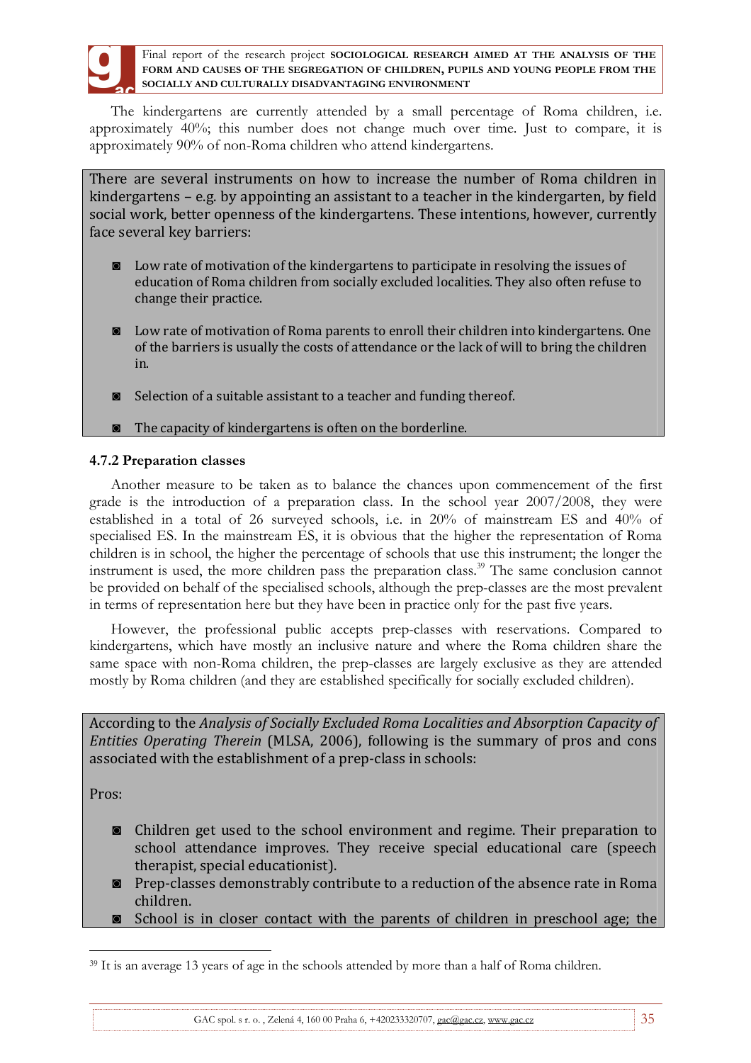

The kindergartens are currently attended by a small percentage of Roma children, i.e. approximately 40%; this number does not change much over time. Just to compare, it is approximately 90% of non-Roma children who attend kindergartens.

There are several instruments on how to increase the number of Roma children in kindergartens – e.g. by appointing an assistant to a teacher in the kindergarten, by field social work, better openness of the kindergartens. These intentions, however, currently face several key barriers:

- ◙ Low rate of motivation of the kindergartens to participate in resolving the issues of education of Roma children from socially excluded localities. They also often refuse to change their practice.
- ◙ Low rate of motivation of Roma parents to enroll their children into kindergartens. One of the barriers is usually the costs of attendance or the lack of will to bring the children in.
- ◙ Selection of a suitable assistant to a teacher and funding thereof.
- ◙ The capacity of kindergartens is often on the borderline.

# **4.7.2 Preparation classes**

Another measure to be taken as to balance the chances upon commencement of the first grade is the introduction of a preparation class. In the school year 2007/2008, they were established in a total of 26 surveyed schools, i.e. in 20% of mainstream ES and 40% of specialised ES. In the mainstream ES, it is obvious that the higher the representation of Roma children is in school, the higher the percentage of schools that use this instrument; the longer the instrument is used, the more children pass the preparation class.<sup>39</sup> The same conclusion cannot be provided on behalf of the specialised schools, although the prep-classes are the most prevalent in terms of representation here but they have been in practice only for the past five years.

However, the professional public accepts prep-classes with reservations. Compared to kindergartens, which have mostly an inclusive nature and where the Roma children share the same space with non-Roma children, the prep-classes are largely exclusive as they are attended mostly by Roma children (and they are established specifically for socially excluded children).

According to the *Analysis of Socially Excluded Roma Localities and Absorption Capacity of Entities Operating Therein* (MLSA, 2006), following is the summary of pros and cons associated with the establishment of a prep-class in schools:

Pros:

- ◙ Children get used to the school environment and regime. Their preparation to school attendance improves. They receive special educational care (speech therapist, special educationist).
- ◙ Prep-classes demonstrably contribute to a reduction of the absence rate in Roma children.
- ◙ School is in closer contact with the parents of children in preschool age; the

 $\overline{a}$ <sup>39</sup> It is an average 13 years of age in the schools attended by more than a half of Roma children.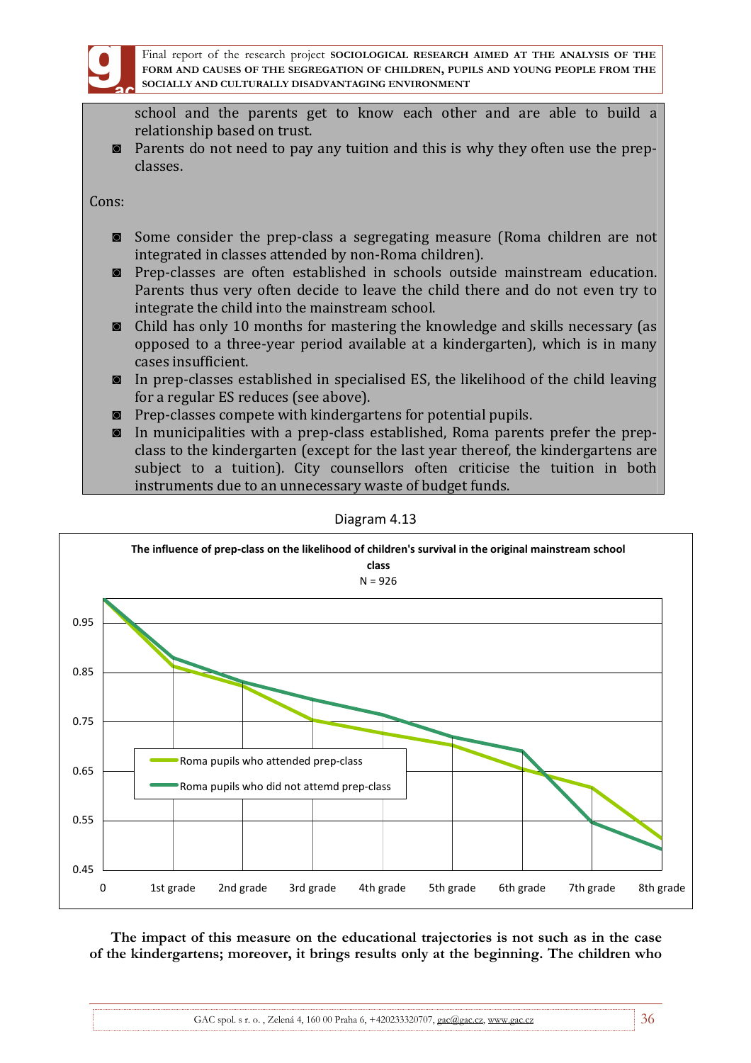

school and the parents get to know each other and are able to build a relationship based on trust.

◙ Parents do not need to pay any tuition and this is why they often use the prepclasses.

Cons:

- ◙ Some consider the prep-class a segregating measure (Roma children are not integrated in classes attended by non-Roma children).
- ◙ Prep-classes are often established in schools outside mainstream education. Parents thus very often decide to leave the child there and do not even try to integrate the child into the mainstream school.
- ◙ Child has only 10 months for mastering the knowledge and skills necessary (as opposed to a three-year period available at a kindergarten), which is in many cases insufficient.
- ◙ In prep-classes established in specialised ES, the likelihood of the child leaving for a regular ES reduces (see above).
- ◙ Prep-classes compete with kindergartens for potential pupils.
- ◙ In municipalities with a prep-class established, Roma parents prefer the prepclass to the kindergarten (except for the last year thereof, the kindergartens are subject to a tuition). City counsellors often criticise the tuition in both instruments due to an unnecessary waste of budget funds.



Diagram 4.13

**The impact of this measure on the educational trajectories is not such as in the case of the kindergartens; moreover, it brings results only at the beginning. The children who**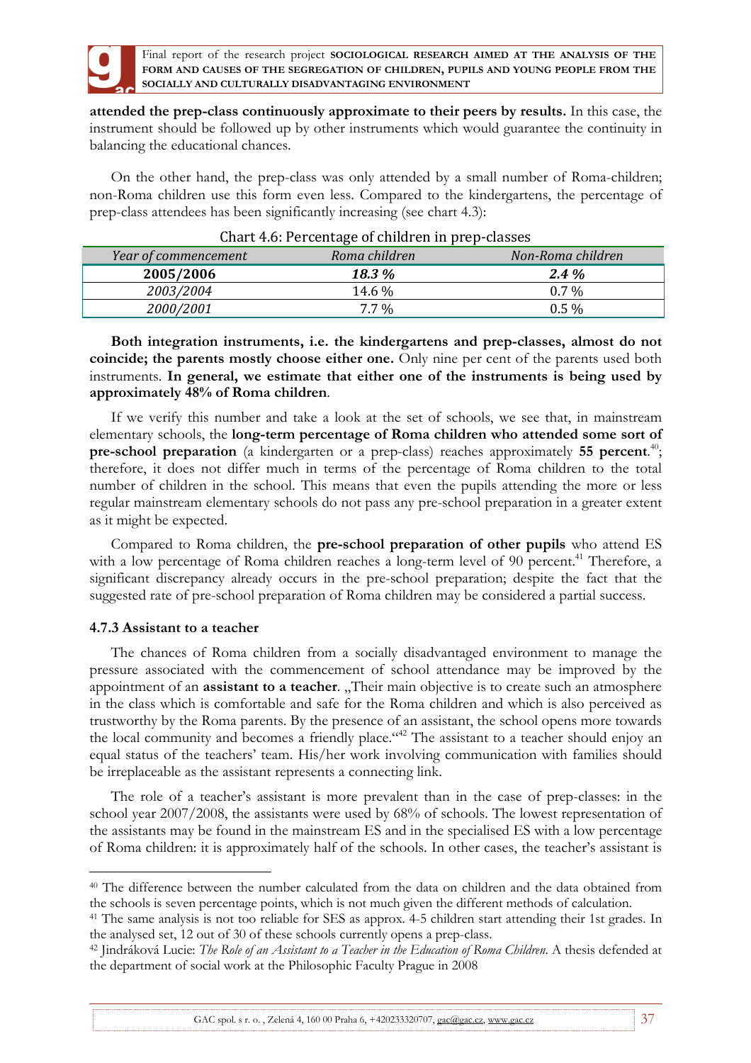

**attended the prep-class continuously approximate to their peers by results.** In this case, the instrument should be followed up by other instruments which would guarantee the continuity in balancing the educational chances.

On the other hand, the prep-class was only attended by a small number of Roma-children; non-Roma children use this form even less. Compared to the kindergartens, the percentage of prep-class attendees has been significantly increasing (see chart 4.3):

| Chart F.o. I creditage of children in prep-classes |               |                   |  |  |
|----------------------------------------------------|---------------|-------------------|--|--|
| Year of commencement                               | Roma children | Non-Roma children |  |  |
| 2005/2006                                          | <b>18.3</b> % | $2.4\%$           |  |  |
| 2003/2004                                          | 14.6 %        | $0.7\%$           |  |  |
| 2000/2001                                          | $7.7\%$       | $0.5\%$           |  |  |

# Chart 4.6: Percentage of children in prep-classes

**Both integration instruments, i.e. the kindergartens and prep-classes, almost do not coincide; the parents mostly choose either one.** Only nine per cent of the parents used both instruments. **In general, we estimate that either one of the instruments is being used by approximately 48% of Roma children**.

If we verify this number and take a look at the set of schools, we see that, in mainstream elementary schools, the **long-term percentage of Roma children who attended some sort of pre-school preparation** (a kindergarten or a prep-class) reaches approximately **55 percent**. 40 ; therefore, it does not differ much in terms of the percentage of Roma children to the total number of children in the school. This means that even the pupils attending the more or less regular mainstream elementary schools do not pass any pre-school preparation in a greater extent as it might be expected.

Compared to Roma children, the **pre-school preparation of other pupils** who attend ES with a low percentage of Roma children reaches a long-term level of 90 percent.<sup>41</sup> Therefore, a significant discrepancy already occurs in the pre-school preparation; despite the fact that the suggested rate of pre-school preparation of Roma children may be considered a partial success.

# **4.7.3 Assistant to a teacher**

 $\overline{a}$ 

The chances of Roma children from a socially disadvantaged environment to manage the pressure associated with the commencement of school attendance may be improved by the appointment of an **assistant to a teacher**. "Their main objective is to create such an atmosphere in the class which is comfortable and safe for the Roma children and which is also perceived as trustworthy by the Roma parents. By the presence of an assistant, the school opens more towards the local community and becomes a friendly place."<sup>42</sup> The assistant to a teacher should enjoy an equal status of the teachers' team. His/her work involving communication with families should be irreplaceable as the assistant represents a connecting link.

The role of a teacher's assistant is more prevalent than in the case of prep-classes: in the school year 2007/2008, the assistants were used by 68% of schools. The lowest representation of the assistants may be found in the mainstream ES and in the specialised ES with a low percentage of Roma children: it is approximately half of the schools. In other cases, the teacher's assistant is

GAC spol. s r. o., Zelená 4, 160 00 Praha 6,  $+420233220707$ , gac@gac.cz, www.gac.cz  $37$ 

<sup>40</sup> The difference between the number calculated from the data on children and the data obtained from the schools is seven percentage points, which is not much given the different methods of calculation.

<sup>41</sup> The same analysis is not too reliable for SES as approx. 4-5 children start attending their 1st grades. In the analysed set, 12 out of 30 of these schools currently opens a prep-class.

<sup>42</sup> Jindráková Lucie: *The Role of an Assistant to a Teacher in the Education of Roma Children*. A thesis defended at the department of social work at the Philosophic Faculty Prague in 2008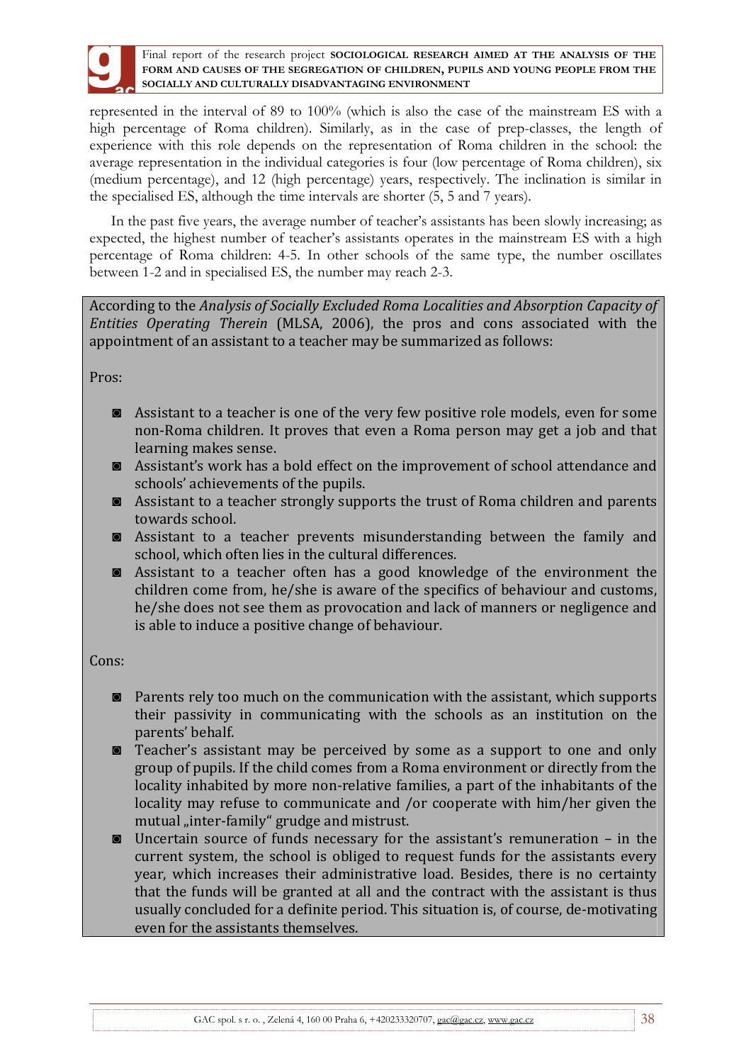represented in the interval of 89 to 100% (which is also the case of the mainstream ES with a high percentage of Roma children). Similarly, as in the case of prep-classes, the length of experience with this role depends on the representation of Roma children in the school: the average representation in the individual categories is four (low percentage of Roma children), six (medium percentage), and 12 (high percentage) years, respectively. The inclination is similar in the specialised ES, although the time intervals are shorter (5, 5 and 7 years).

In the past five years, the average number of teacher's assistants has been slowly increasing; as expected, the highest number of teacher's assistants operates in the mainstream ES with a high percentage of Roma children: 4-5. In other schools of the same type, the number oscillates between 1-2 and in specialised ES, the number may reach 2-3.

According to the *Analysis of Socially Excluded Roma Localities and Absorption Capacity of Entities Operating Therein* (MLSA, 2006), the pros and cons associated with the appointment of an assistant to a teacher may be summarized as follows:

Pros:

- ◙ Assistant to a teacher is one of the very few positive role models, even for some non-Roma children. It proves that even a Roma person may get a job and that learning makes sense.
- ◙ Assistant's work has a bold effect on the improvement of school attendance and schools' achievements of the pupils.
- ◙ Assistant to a teacher strongly supports the trust of Roma children and parents towards school.
- ◙ Assistant to a teacher prevents misunderstanding between the family and school, which often lies in the cultural differences.
- ◙ Assistant to a teacher often has a good knowledge of the environment the children come from, he/she is aware of the specifics of behaviour and customs, he/she does not see them as provocation and lack of manners or negligence and is able to induce a positive change of behaviour.

Cons:

- ◙ Parents rely too much on the communication with the assistant, which supports their passivity in communicating with the schools as an institution on the parents' behalf.
- ◙ Teacher's assistant may be perceived by some as a support to one and only group of pupils. If the child comes from a Roma environment or directly from the locality inhabited by more non-relative families, a part of the inhabitants of the locality may refuse to communicate and /or cooperate with him/her given the mutual "inter-family" grudge and mistrust.
- ◙ Uncertain source of funds necessary for the assistant's remuneration in the current system, the school is obliged to request funds for the assistants every year, which increases their administrative load. Besides, there is no certainty that the funds will be granted at all and the contract with the assistant is thus usually concluded for a definite period. This situation is, of course, de-motivating even for the assistants themselves.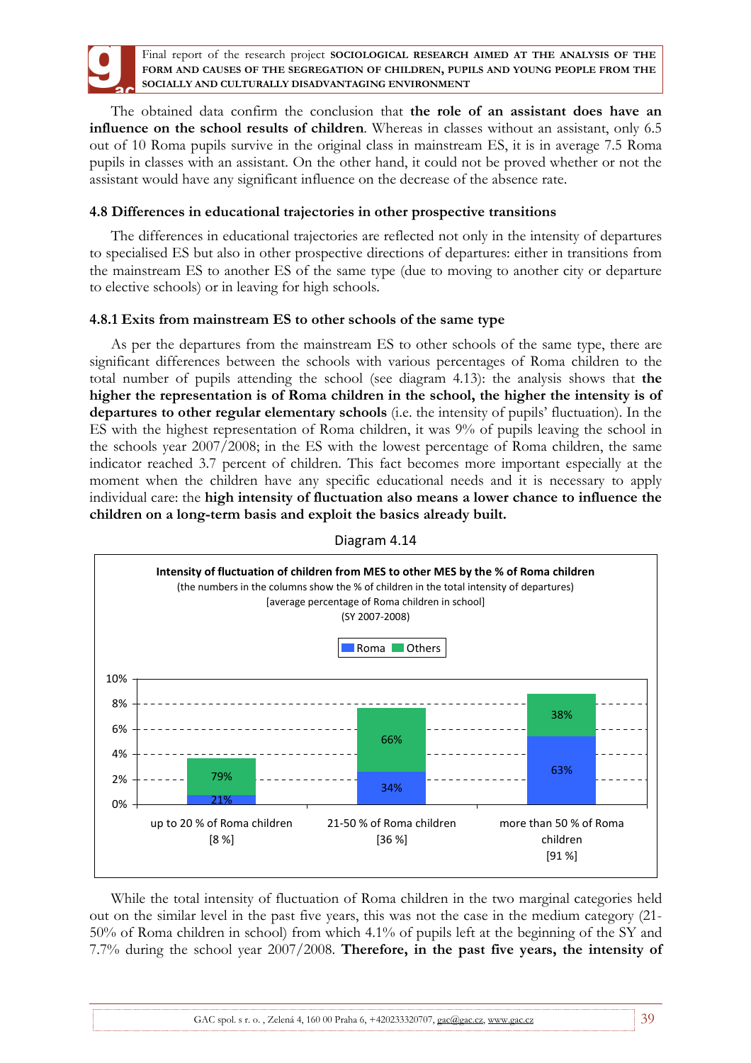

The obtained data confirm the conclusion that **the role of an assistant does have an influence on the school results of children**. Whereas in classes without an assistant, only 6.5 out of 10 Roma pupils survive in the original class in mainstream ES, it is in average 7.5 Roma pupils in classes with an assistant. On the other hand, it could not be proved whether or not the assistant would have any significant influence on the decrease of the absence rate.

## **4.8 Differences in educational trajectories in other prospective transitions**

The differences in educational trajectories are reflected not only in the intensity of departures to specialised ES but also in other prospective directions of departures: either in transitions from the mainstream ES to another ES of the same type (due to moving to another city or departure to elective schools) or in leaving for high schools.

# **4.8.1 Exits from mainstream ES to other schools of the same type**

As per the departures from the mainstream ES to other schools of the same type, there are significant differences between the schools with various percentages of Roma children to the total number of pupils attending the school (see diagram 4.13): the analysis shows that **the higher the representation is of Roma children in the school, the higher the intensity is of departures to other regular elementary schools** (i.e. the intensity of pupils' fluctuation). In the ES with the highest representation of Roma children, it was 9% of pupils leaving the school in the schools year 2007/2008; in the ES with the lowest percentage of Roma children, the same indicator reached 3.7 percent of children. This fact becomes more important especially at the moment when the children have any specific educational needs and it is necessary to apply individual care: the **high intensity of fluctuation also means a lower chance to influence the children on a long-term basis and exploit the basics already built.**



Diagram 4.14

While the total intensity of fluctuation of Roma children in the two marginal categories held out on the similar level in the past five years, this was not the case in the medium category (21- 50% of Roma children in school) from which 4.1% of pupils left at the beginning of the SY and 7.7% during the school year 2007/2008. **Therefore, in the past five years, the intensity of**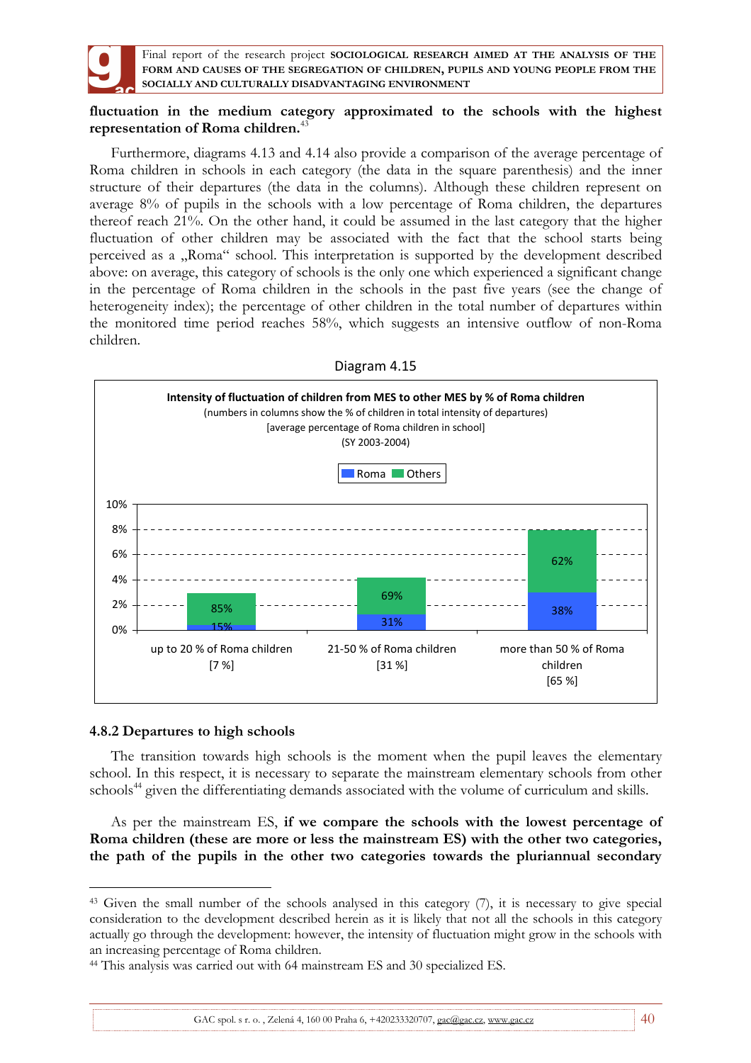

## **fluctuation in the medium category approximated to the schools with the highest representation of Roma children.**<sup>43</sup>

Furthermore, diagrams 4.13 and 4.14 also provide a comparison of the average percentage of Roma children in schools in each category (the data in the square parenthesis) and the inner structure of their departures (the data in the columns). Although these children represent on average 8% of pupils in the schools with a low percentage of Roma children, the departures thereof reach 21%. On the other hand, it could be assumed in the last category that the higher fluctuation of other children may be associated with the fact that the school starts being perceived as a "Roma" school. This interpretation is supported by the development described above: on average, this category of schools is the only one which experienced a significant change in the percentage of Roma children in the schools in the past five years (see the change of heterogeneity index); the percentage of other children in the total number of departures within the monitored time period reaches 58%, which suggests an intensive outflow of non-Roma children.



### Diagram 4.15

### **4.8.2 Departures to high schools**

 $\overline{a}$ 

The transition towards high schools is the moment when the pupil leaves the elementary school. In this respect, it is necessary to separate the mainstream elementary schools from other schools<sup>44</sup> given the differentiating demands associated with the volume of curriculum and skills.

As per the mainstream ES, **if we compare the schools with the lowest percentage of Roma children (these are more or less the mainstream ES) with the other two categories, the path of the pupils in the other two categories towards the pluriannual secondary** 

<sup>43</sup> Given the small number of the schools analysed in this category (7), it is necessary to give special consideration to the development described herein as it is likely that not all the schools in this category actually go through the development: however, the intensity of fluctuation might grow in the schools with an increasing percentage of Roma children.

<sup>44</sup> This analysis was carried out with 64 mainstream ES and 30 specialized ES.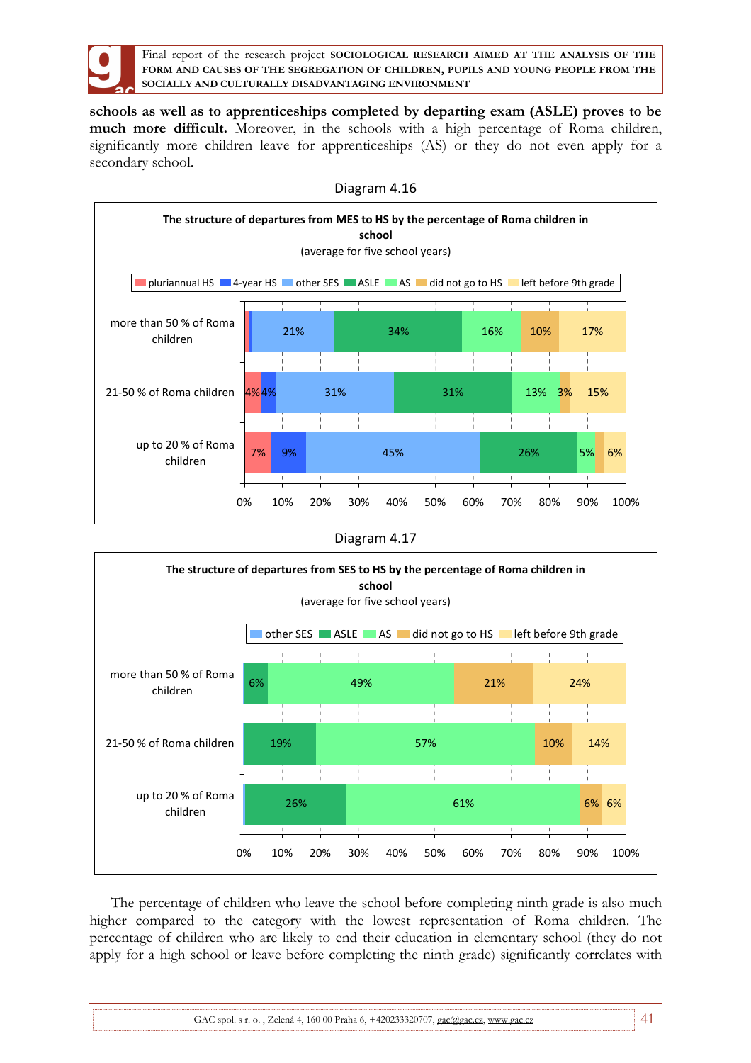

**schools as well as to apprenticeships completed by departing exam (ASLE) proves to be much more difficult.** Moreover, in the schools with a high percentage of Roma children, significantly more children leave for apprenticeships (AS) or they do not even apply for a secondary school.



Diagram 4.16





The percentage of children who leave the school before completing ninth grade is also much higher compared to the category with the lowest representation of Roma children. The percentage of children who are likely to end their education in elementary school (they do not apply for a high school or leave before completing the ninth grade) significantly correlates with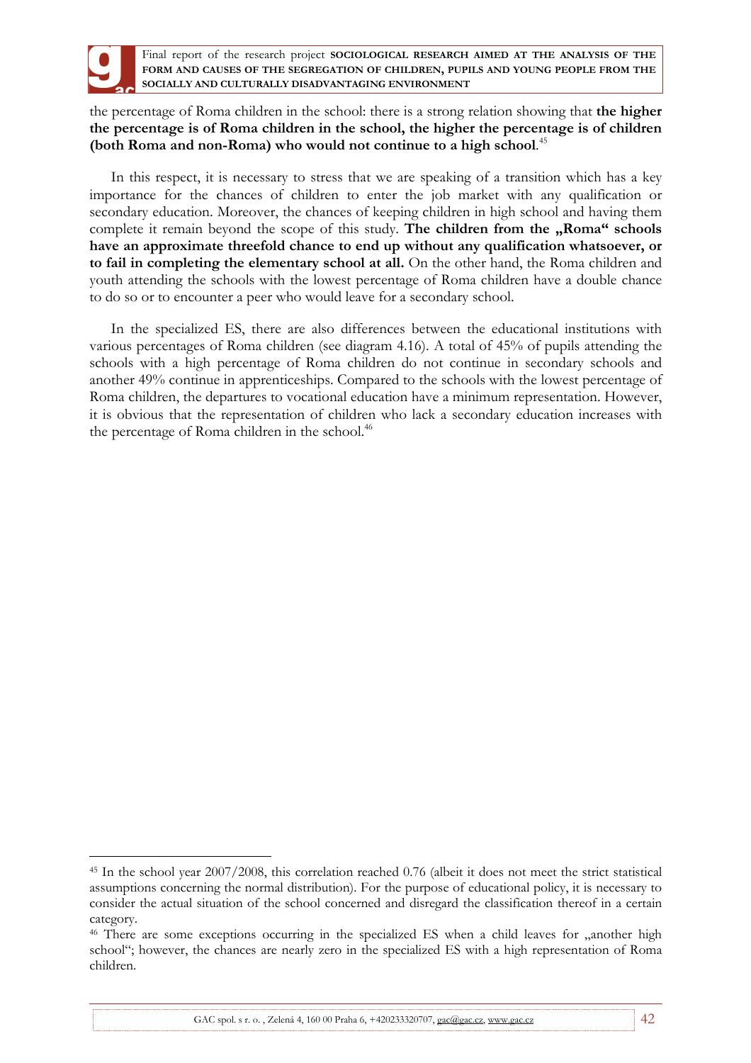

 $\overline{a}$ 

Final report of the research project **SOCIOLOGICAL RESEARCH AIMED AT THE ANALYSIS OF THE FORM AND CAUSES OF THE SEGREGATION OF CHILDREN, PUPILS AND YOUNG PEOPLE FROM THE SOCIALLY AND CULTURALLY DISADVANTAGING ENVIRONMENT**

the percentage of Roma children in the school: there is a strong relation showing that **the higher the percentage is of Roma children in the school, the higher the percentage is of children (both Roma and non-Roma) who would not continue to a high school**. 45

In this respect, it is necessary to stress that we are speaking of a transition which has a key importance for the chances of children to enter the job market with any qualification or secondary education. Moreover, the chances of keeping children in high school and having them complete it remain beyond the scope of this study. The children from the "Roma" schools **have an approximate threefold chance to end up without any qualification whatsoever, or to fail in completing the elementary school at all.** On the other hand, the Roma children and youth attending the schools with the lowest percentage of Roma children have a double chance to do so or to encounter a peer who would leave for a secondary school.

In the specialized ES, there are also differences between the educational institutions with various percentages of Roma children (see diagram 4.16). A total of 45% of pupils attending the schools with a high percentage of Roma children do not continue in secondary schools and another 49% continue in apprenticeships. Compared to the schools with the lowest percentage of Roma children, the departures to vocational education have a minimum representation. However, it is obvious that the representation of children who lack a secondary education increases with the percentage of Roma children in the school.<sup>46</sup>

<sup>45</sup> In the school year 2007/2008, this correlation reached 0.76 (albeit it does not meet the strict statistical assumptions concerning the normal distribution). For the purpose of educational policy, it is necessary to consider the actual situation of the school concerned and disregard the classification thereof in a certain category.

<sup>&</sup>lt;sup>46</sup> There are some exceptions occurring in the specialized ES when a child leaves for , another high school"; however, the chances are nearly zero in the specialized ES with a high representation of Roma children.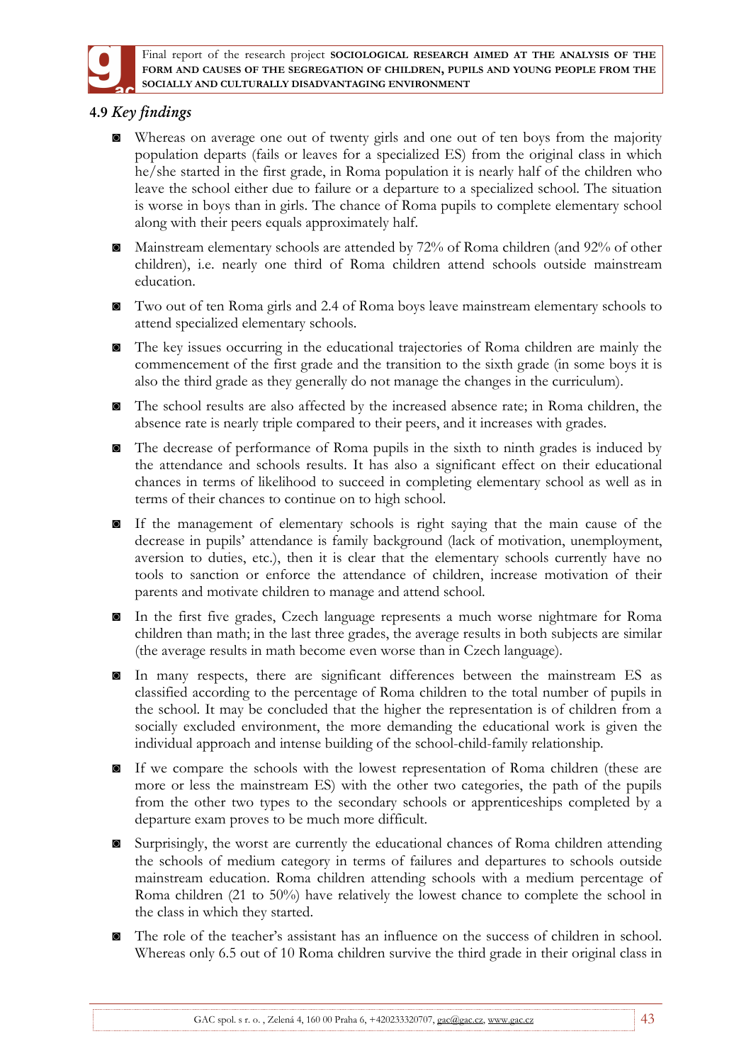

# **4.9** *Key findings*

- ◙ Whereas on average one out of twenty girls and one out of ten boys from the majority population departs (fails or leaves for a specialized ES) from the original class in which he/she started in the first grade, in Roma population it is nearly half of the children who leave the school either due to failure or a departure to a specialized school. The situation is worse in boys than in girls. The chance of Roma pupils to complete elementary school along with their peers equals approximately half.
- ◙ Mainstream elementary schools are attended by 72% of Roma children (and 92% of other children), i.e. nearly one third of Roma children attend schools outside mainstream education.
- ◙ Two out of ten Roma girls and 2.4 of Roma boys leave mainstream elementary schools to attend specialized elementary schools.
- ◙ The key issues occurring in the educational trajectories of Roma children are mainly the commencement of the first grade and the transition to the sixth grade (in some boys it is also the third grade as they generally do not manage the changes in the curriculum).
- ◙ The school results are also affected by the increased absence rate; in Roma children, the absence rate is nearly triple compared to their peers, and it increases with grades.
- ◙ The decrease of performance of Roma pupils in the sixth to ninth grades is induced by the attendance and schools results. It has also a significant effect on their educational chances in terms of likelihood to succeed in completing elementary school as well as in terms of their chances to continue on to high school.
- ◙ If the management of elementary schools is right saying that the main cause of the decrease in pupils' attendance is family background (lack of motivation, unemployment, aversion to duties, etc.), then it is clear that the elementary schools currently have no tools to sanction or enforce the attendance of children, increase motivation of their parents and motivate children to manage and attend school.
- ◙ In the first five grades, Czech language represents a much worse nightmare for Roma children than math; in the last three grades, the average results in both subjects are similar (the average results in math become even worse than in Czech language).
- ◙ In many respects, there are significant differences between the mainstream ES as classified according to the percentage of Roma children to the total number of pupils in the school. It may be concluded that the higher the representation is of children from a socially excluded environment, the more demanding the educational work is given the individual approach and intense building of the school-child-family relationship.
- If we compare the schools with the lowest representation of Roma children (these are more or less the mainstream ES) with the other two categories, the path of the pupils from the other two types to the secondary schools or apprenticeships completed by a departure exam proves to be much more difficult.
- ◙ Surprisingly, the worst are currently the educational chances of Roma children attending the schools of medium category in terms of failures and departures to schools outside mainstream education. Roma children attending schools with a medium percentage of Roma children (21 to 50%) have relatively the lowest chance to complete the school in the class in which they started.
- ◙ The role of the teacher's assistant has an influence on the success of children in school. Whereas only 6.5 out of 10 Roma children survive the third grade in their original class in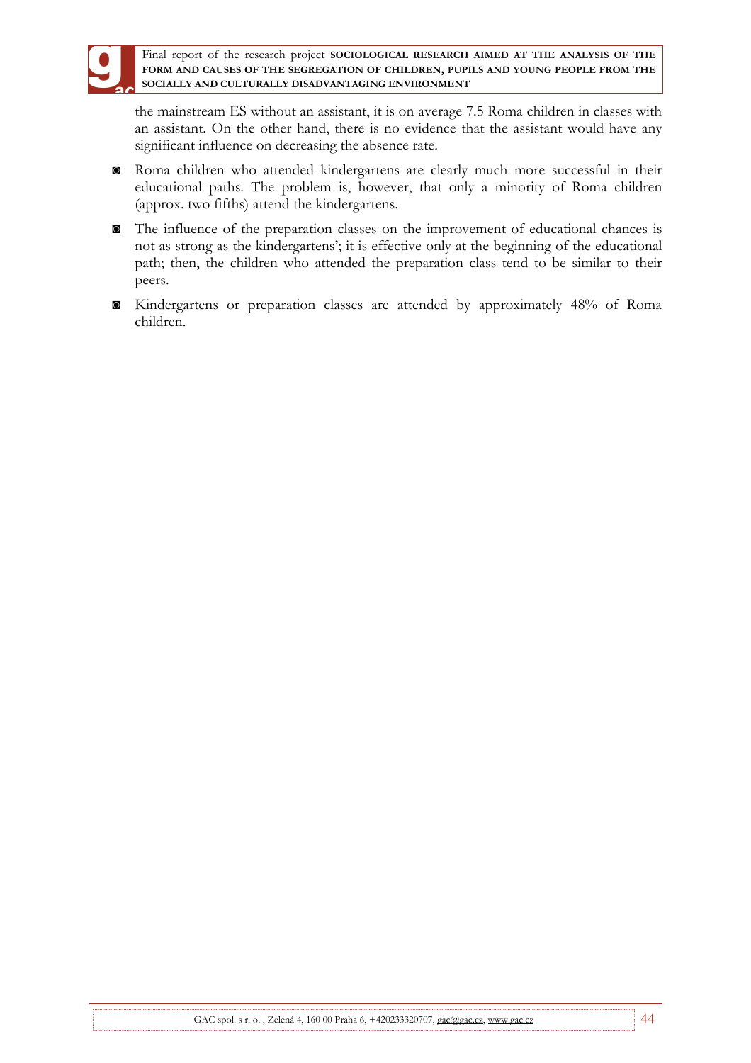

the mainstream ES without an assistant, it is on average 7.5 Roma children in classes with an assistant. On the other hand, there is no evidence that the assistant would have any significant influence on decreasing the absence rate.

- ◙ Roma children who attended kindergartens are clearly much more successful in their educational paths. The problem is, however, that only a minority of Roma children (approx. two fifths) attend the kindergartens.
- ◙ The influence of the preparation classes on the improvement of educational chances is not as strong as the kindergartens'; it is effective only at the beginning of the educational path; then, the children who attended the preparation class tend to be similar to their peers.
- ◙ Kindergartens or preparation classes are attended by approximately 48% of Roma children.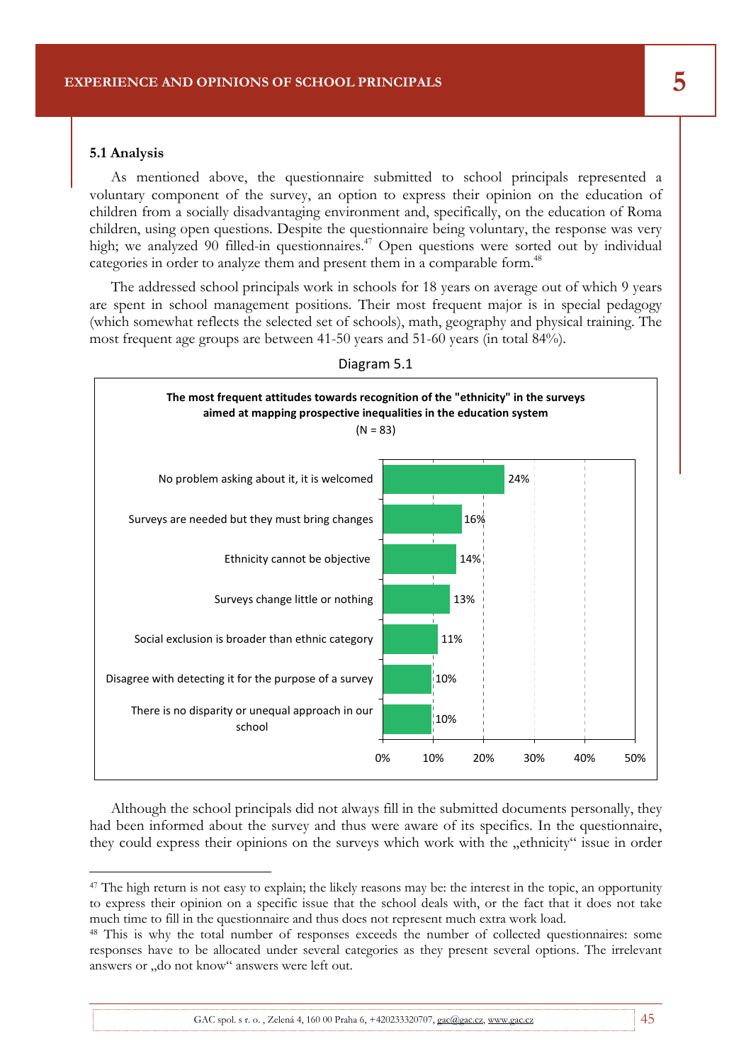#### **5.1 Analysis**

 $\overline{a}$ 

As mentioned above, the questionnaire submitted to school principals represented a voluntary component of the survey, an option to express their opinion on the education of children from a socially disadvantaging environment and, specifically, on the education of Roma children, using open questions. Despite the questionnaire being voluntary, the response was very high; we analyzed 90 filled-in questionnaires.<sup> $47$ </sup> Open questions were sorted out by individual categories in order to analyze them and present them in a comparable form.<sup>48</sup>

Final report of the research project **SOCIOLOGICAL RESEARCH AIMED AT THE ANALYSIS OF THE** 

The addressed school principals work in schools for 18 years on average out of which 9 years are spent in school management positions. Their most frequent major is in special pedagogy (which somewhat reflects the selected set of schools), math, geography and physical training. The most frequent age groups are between 41-50 years and 51-60 years (in total 84%).



Diagram 5.1

Although the school principals did not always fill in the submitted documents personally, they had been informed about the survey and thus were aware of its specifics. In the questionnaire, they could express their opinions on the surveys which work with the "ethnicity" issue in order

<sup>&</sup>lt;sup>47</sup> The high return is not easy to explain; the likely reasons may be: the interest in the topic, an opportunity to express their opinion on a specific issue that the school deals with, or the fact that it does not take much time to fill in the questionnaire and thus does not represent much extra work load.

<sup>48</sup> This is why the total number of responses exceeds the number of collected questionnaires: some responses have to be allocated under several categories as they present several options. The irrelevant answers or "do not know" answers were left out.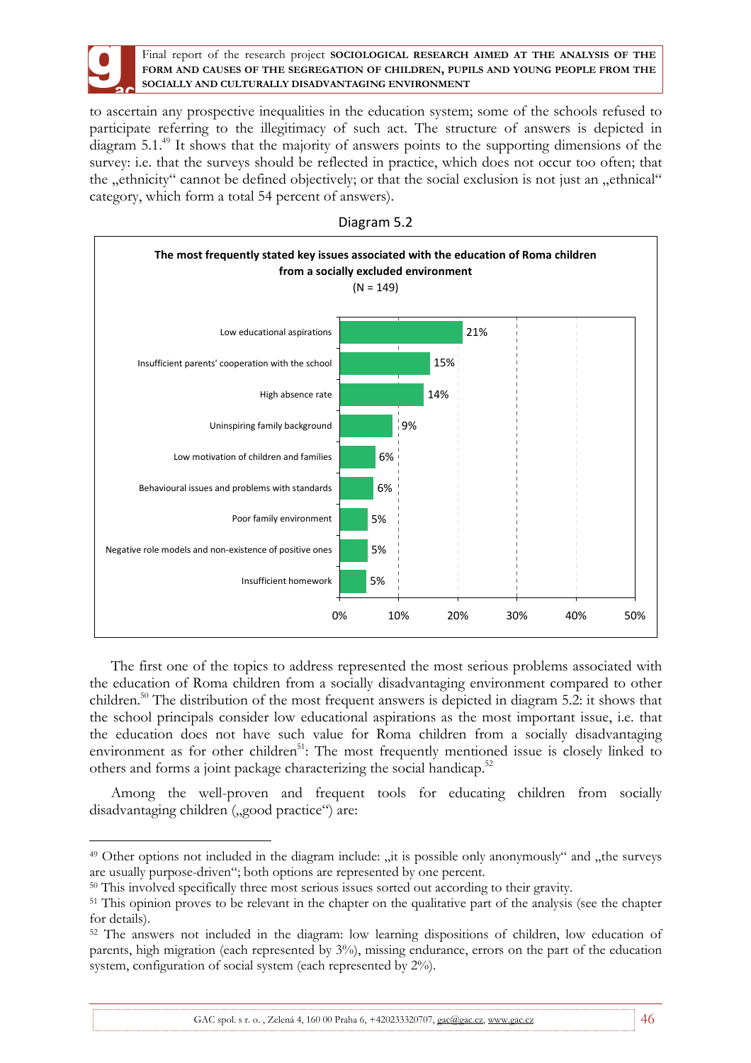

 $\overline{a}$ 

Final report of the research project **SOCIOLOGICAL RESEARCH AIMED AT THE ANALYSIS OF THE FORM AND CAUSES OF THE SEGREGATION OF CHILDREN, PUPILS AND YOUNG PEOPLE FROM THE SOCIALLY AND CULTURALLY DISADVANTAGING ENVIRONMENT**

to ascertain any prospective inequalities in the education system; some of the schools refused to participate referring to the illegitimacy of such act. The structure of answers is depicted in diagram 5.1.<sup>49</sup> It shows that the majority of answers points to the supporting dimensions of the survey: i.e. that the surveys should be reflected in practice, which does not occur too often; that the "ethnicity" cannot be defined objectively; or that the social exclusion is not just an "ethnical" category, which form a total 54 percent of answers).



Diagram 5.2

The first one of the topics to address represented the most serious problems associated with the education of Roma children from a socially disadvantaging environment compared to other children.<sup>50</sup> The distribution of the most frequent answers is depicted in diagram 5.2: it shows that the school principals consider low educational aspirations as the most important issue, i.e. that the education does not have such value for Roma children from a socially disadvantaging environment as for other children<sup>51</sup>: The most frequently mentioned issue is closely linked to others and forms a joint package characterizing the social handicap.<sup>52</sup>

Among the well-proven and frequent tools for educating children from socially disadvantaging children ("good practice") are:

GAC spol. s r. o., Zelená 4, 160 00 Praha 6, +420233320707, gac@gac.cz, www.gac.cz 46

<sup>&</sup>lt;sup>49</sup> Other options not included in the diagram include: "it is possible only anonymously" and "the surveys are usually purpose-driven"; both options are represented by one percent.

<sup>&</sup>lt;sup>50</sup> This involved specifically three most serious issues sorted out according to their gravity.

<sup>&</sup>lt;sup>51</sup> This opinion proves to be relevant in the chapter on the qualitative part of the analysis (see the chapter for details).

<sup>52</sup> The answers not included in the diagram: low learning dispositions of children, low education of parents, high migration (each represented by 3%), missing endurance, errors on the part of the education system, configuration of social system (each represented by  $2\%$ ).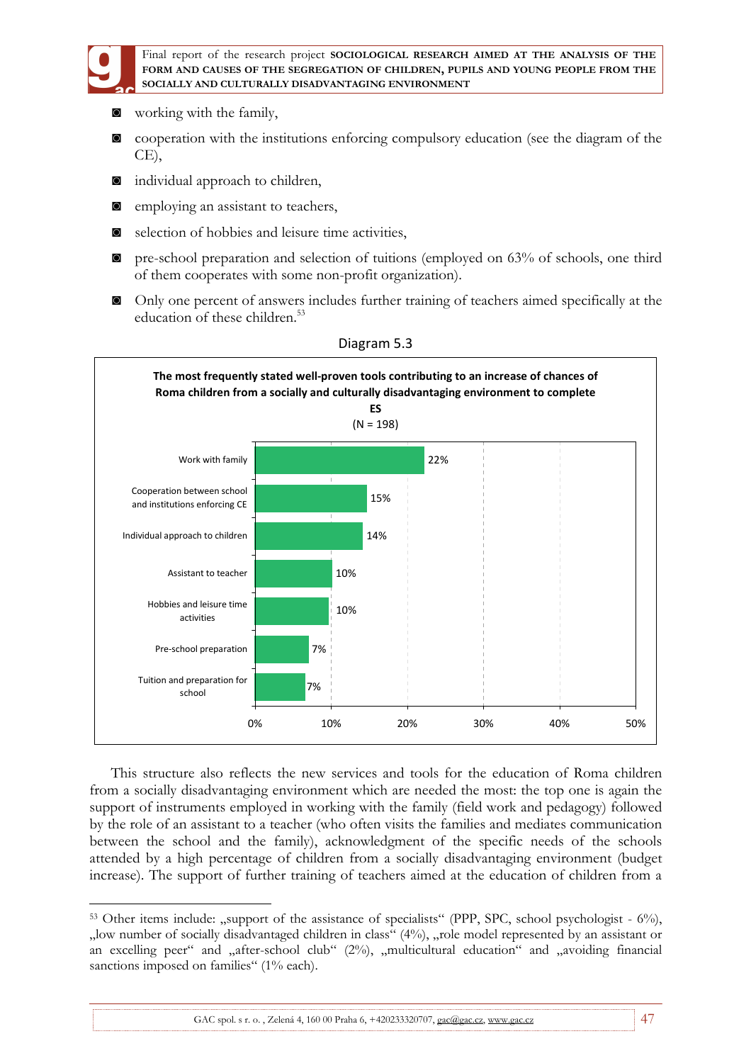

 $\overline{a}$ 

Final report of the research project **SOCIOLOGICAL RESEARCH AIMED AT THE ANALYSIS OF THE FORM AND CAUSES OF THE SEGREGATION OF CHILDREN, PUPILS AND YOUNG PEOPLE FROM THE SOCIALLY AND CULTURALLY DISADVANTAGING ENVIRONMENT**

- ◙ working with the family,
- ◙ cooperation with the institutions enforcing compulsory education (see the diagram of the CE),
- ◙ individual approach to children,
- ◙ employing an assistant to teachers,
- ◙ selection of hobbies and leisure time activities,
- ◙ pre-school preparation and selection of tuitions (employed on 63% of schools, one third of them cooperates with some non-profit organization).
- ◙ Only one percent of answers includes further training of teachers aimed specifically at the education of these children.<sup>53</sup>



#### Diagram 5.3

This structure also reflects the new services and tools for the education of Roma children from a socially disadvantaging environment which are needed the most: the top one is again the support of instruments employed in working with the family (field work and pedagogy) followed by the role of an assistant to a teacher (who often visits the families and mediates communication between the school and the family), acknowledgment of the specific needs of the schools attended by a high percentage of children from a socially disadvantaging environment (budget increase). The support of further training of teachers aimed at the education of children from a

 $53$  Other items include: "support of the assistance of specialists" (PPP, SPC, school psychologist -  $6\%$ ), "low number of socially disadvantaged children in class" (4%), "role model represented by an assistant or an excelling peer" and "after-school club" (2%), "multicultural education" and "avoiding financial sanctions imposed on families" (1% each).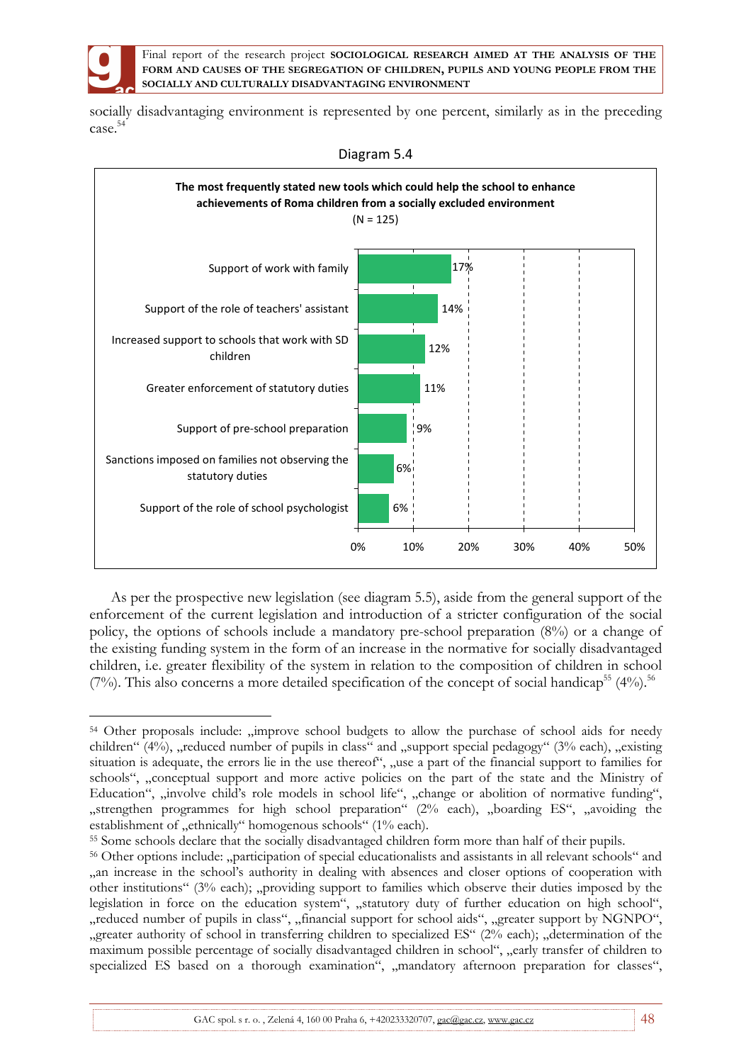

socially disadvantaging environment is represented by one percent, similarly as in the preceding case. 54



Diagram 5.4

As per the prospective new legislation (see diagram 5.5), aside from the general support of the enforcement of the current legislation and introduction of a stricter configuration of the social policy, the options of schools include a mandatory pre-school preparation (8%) or a change of the existing funding system in the form of an increase in the normative for socially disadvantaged children, i.e. greater flexibility of the system in relation to the composition of children in school (7%). This also concerns a more detailed specification of the concept of social handicap<sup>55</sup> (4%).<sup>56</sup>

 $\overline{a}$ <sup>54</sup> Other proposals include: "improve school budgets to allow the purchase of school aids for needy children"  $(4\%)$ , reduced number of pupils in class" and , support special pedagogy" ( $3\%$  each), "existing" situation is adequate, the errors lie in the use thereof", "use a part of the financial support to families for schools", "conceptual support and more active policies on the part of the state and the Ministry of Education", "involve child's role models in school life", "change or abolition of normative funding", "strengthen programmes for high school preparation" (2% each), "boarding ES", "avoiding the establishment of "ethnically" homogenous schools" (1% each).

<sup>55</sup> Some schools declare that the socially disadvantaged children form more than half of their pupils.

<sup>56</sup> Other options include: "participation of special educationalists and assistants in all relevant schools" and "an increase in the school's authority in dealing with absences and closer options of cooperation with other institutions" (3% each); "providing support to families which observe their duties imposed by the legislation in force on the education system", "statutory duty of further education on high school", "reduced number of pupils in class", "financial support for school aids", "greater support by NGNPO", "greater authority of school in transferring children to specialized ES" ( $2\%$  each); "determination of the maximum possible percentage of socially disadvantaged children in school", "early transfer of children to specialized ES based on a thorough examination", "mandatory afternoon preparation for classes",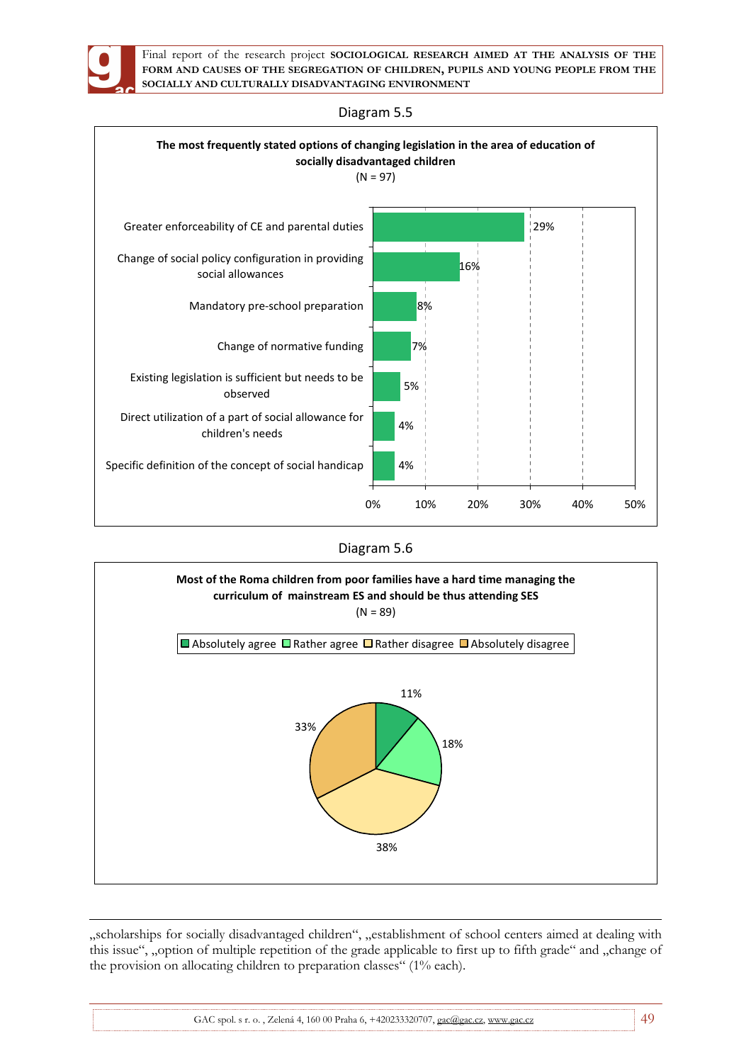



### Diagram 5.5





 $\overline{a}$ "scholarships for socially disadvantaged children", "establishment of school centers aimed at dealing with this issue", "option of multiple repetition of the grade applicable to first up to fifth grade" and "change of the provision on allocating children to preparation classes" (1% each).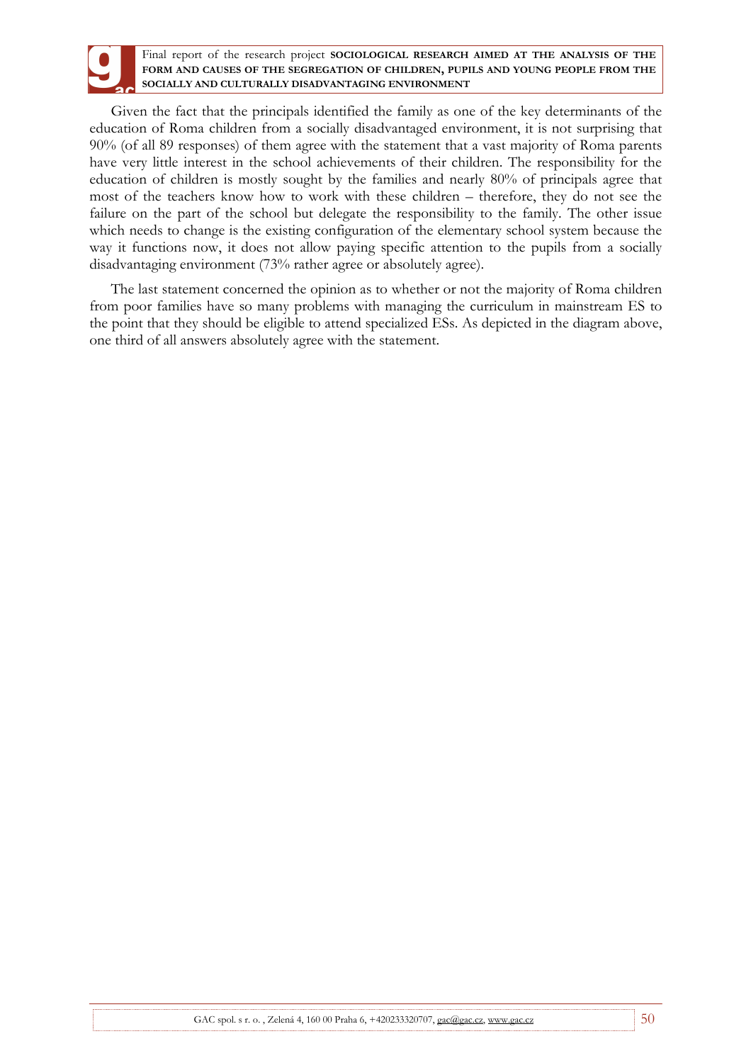Given the fact that the principals identified the family as one of the key determinants of the education of Roma children from a socially disadvantaged environment, it is not surprising that 90% (of all 89 responses) of them agree with the statement that a vast majority of Roma parents have very little interest in the school achievements of their children. The responsibility for the education of children is mostly sought by the families and nearly 80% of principals agree that most of the teachers know how to work with these children – therefore, they do not see the failure on the part of the school but delegate the responsibility to the family. The other issue which needs to change is the existing configuration of the elementary school system because the way it functions now, it does not allow paying specific attention to the pupils from a socially disadvantaging environment (73% rather agree or absolutely agree).

The last statement concerned the opinion as to whether or not the majority of Roma children from poor families have so many problems with managing the curriculum in mainstream ES to the point that they should be eligible to attend specialized ESs. As depicted in the diagram above, one third of all answers absolutely agree with the statement.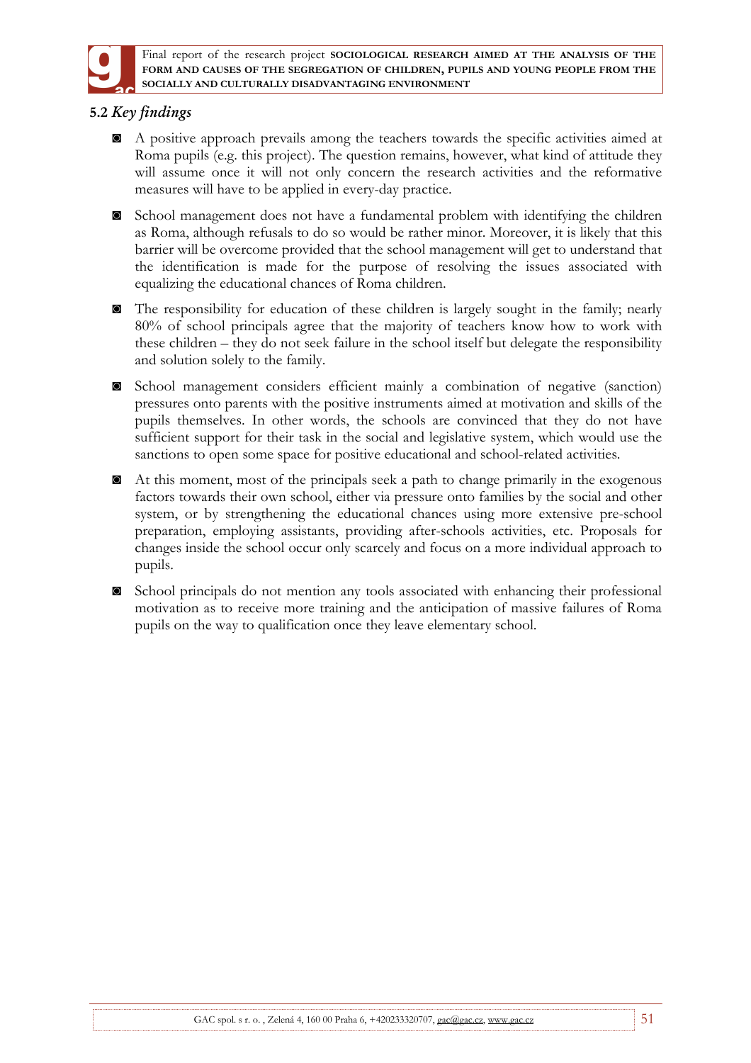

# **5.2** *Key findings*

- ◙ A positive approach prevails among the teachers towards the specific activities aimed at Roma pupils (e.g. this project). The question remains, however, what kind of attitude they will assume once it will not only concern the research activities and the reformative measures will have to be applied in every-day practice.
- ◙ School management does not have a fundamental problem with identifying the children as Roma, although refusals to do so would be rather minor. Moreover, it is likely that this barrier will be overcome provided that the school management will get to understand that the identification is made for the purpose of resolving the issues associated with equalizing the educational chances of Roma children.
- ◙ The responsibility for education of these children is largely sought in the family; nearly 80% of school principals agree that the majority of teachers know how to work with these children – they do not seek failure in the school itself but delegate the responsibility and solution solely to the family.
- ◙ School management considers efficient mainly a combination of negative (sanction) pressures onto parents with the positive instruments aimed at motivation and skills of the pupils themselves. In other words, the schools are convinced that they do not have sufficient support for their task in the social and legislative system, which would use the sanctions to open some space for positive educational and school-related activities.
- ◙ At this moment, most of the principals seek a path to change primarily in the exogenous factors towards their own school, either via pressure onto families by the social and other system, or by strengthening the educational chances using more extensive pre-school preparation, employing assistants, providing after-schools activities, etc. Proposals for changes inside the school occur only scarcely and focus on a more individual approach to pupils.
- ◙ School principals do not mention any tools associated with enhancing their professional motivation as to receive more training and the anticipation of massive failures of Roma pupils on the way to qualification once they leave elementary school.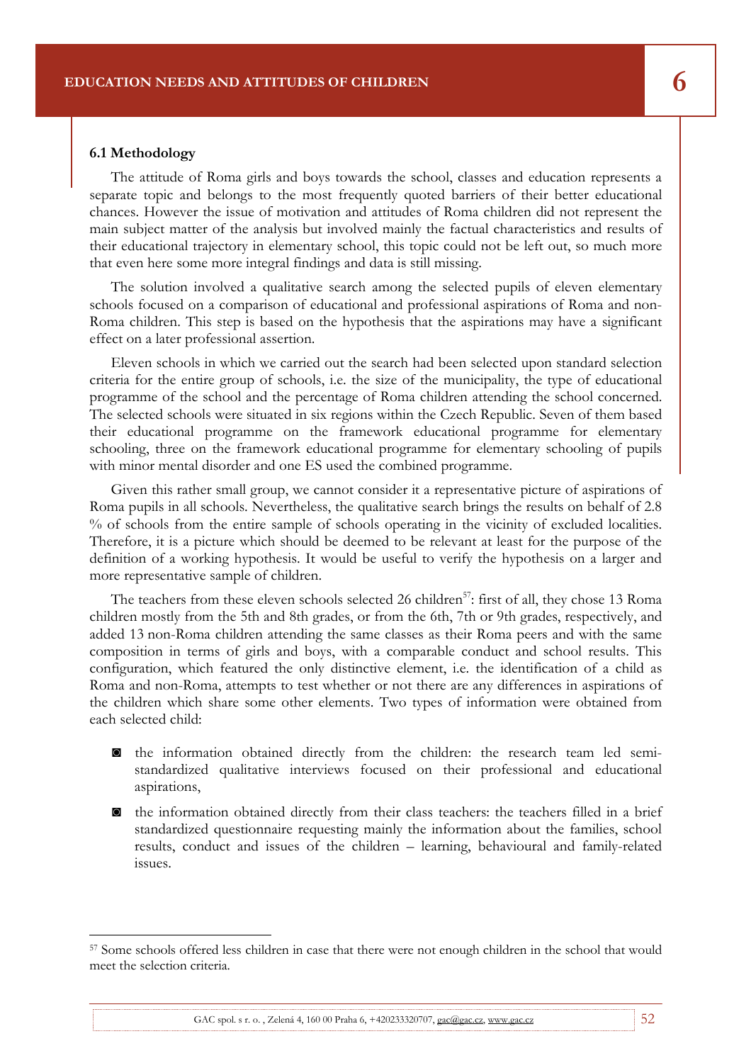#### **6.1 Methodology**

 $\overline{a}$ 

The attitude of Roma girls and boys towards the school, classes and education represents a separate topic and belongs to the most frequently quoted barriers of their better educational chances. However the issue of motivation and attitudes of Roma children did not represent the main subject matter of the analysis but involved mainly the factual characteristics and results of their educational trajectory in elementary school, this topic could not be left out, so much more that even here some more integral findings and data is still missing.

Final report of the research project **SOCIOLOGICAL RESEARCH AIMED AT THE ANALYSIS OF THE** 

The solution involved a qualitative search among the selected pupils of eleven elementary schools focused on a comparison of educational and professional aspirations of Roma and non-Roma children. This step is based on the hypothesis that the aspirations may have a significant effect on a later professional assertion.

Eleven schools in which we carried out the search had been selected upon standard selection criteria for the entire group of schools, i.e. the size of the municipality, the type of educational programme of the school and the percentage of Roma children attending the school concerned. The selected schools were situated in six regions within the Czech Republic. Seven of them based their educational programme on the framework educational programme for elementary schooling, three on the framework educational programme for elementary schooling of pupils with minor mental disorder and one ES used the combined programme.

Given this rather small group, we cannot consider it a representative picture of aspirations of Roma pupils in all schools. Nevertheless, the qualitative search brings the results on behalf of 2.8 % of schools from the entire sample of schools operating in the vicinity of excluded localities. Therefore, it is a picture which should be deemed to be relevant at least for the purpose of the definition of a working hypothesis. It would be useful to verify the hypothesis on a larger and more representative sample of children.

The teachers from these eleven schools selected 26 children<sup>57</sup>: first of all, they chose 13 Roma children mostly from the 5th and 8th grades, or from the 6th, 7th or 9th grades, respectively, and added 13 non-Roma children attending the same classes as their Roma peers and with the same composition in terms of girls and boys, with a comparable conduct and school results. This configuration, which featured the only distinctive element, i.e. the identification of a child as Roma and non-Roma, attempts to test whether or not there are any differences in aspirations of the children which share some other elements. Two types of information were obtained from each selected child:

- ◙ the information obtained directly from the children: the research team led semistandardized qualitative interviews focused on their professional and educational aspirations,
- ◙ the information obtained directly from their class teachers: the teachers filled in a brief standardized questionnaire requesting mainly the information about the families, school results, conduct and issues of the children – learning, behavioural and family-related issues.

GAC spol. s r. o., Zelená 4, 160 00 Praha 6,  $+420233320707$ , gac@gac.cz, www.gac.cz 52

<sup>57</sup> Some schools offered less children in case that there were not enough children in the school that would meet the selection criteria.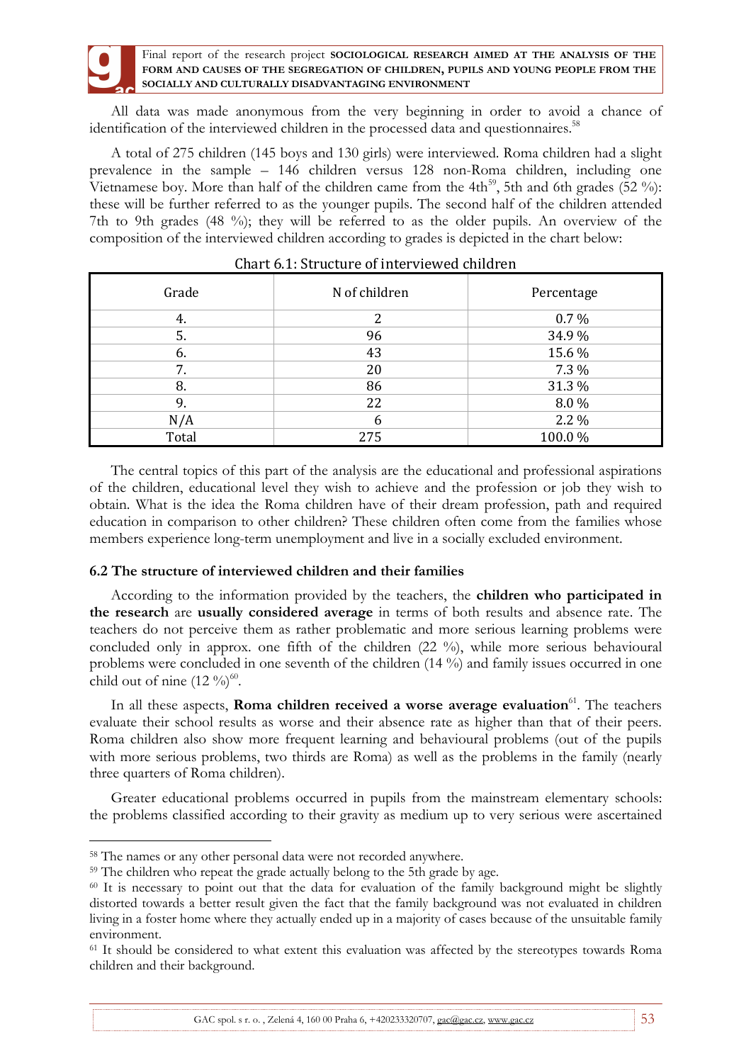All data was made anonymous from the very beginning in order to avoid a chance of identification of the interviewed children in the processed data and questionnaires.<sup>58</sup>

A total of 275 children (145 boys and 130 girls) were interviewed. Roma children had a slight prevalence in the sample – 146 children versus 128 non-Roma children, including one Vietnamese boy. More than half of the children came from the 4th<sup>59</sup>, 5th and 6th grades (52 %): these will be further referred to as the younger pupils. The second half of the children attended 7th to 9th grades (48 %); they will be referred to as the older pupils. An overview of the composition of the interviewed children according to grades is depicted in the chart below:

| Grade | N of children | Percentage |
|-------|---------------|------------|
| 4.    | າ             | $0.7\%$    |
| 5.    | 96            | 34.9%      |
| 6.    | 43            | 15.6 %     |
| 7.    | 20            | 7.3 %      |
| 8.    | 86            | 31.3 %     |
| 9.    | 22            | 8.0%       |
| N/A   | 6             | 2.2 %      |
| Total | 275           | 100.0%     |

| Chart 6.1: Structure of interviewed children |  |  |
|----------------------------------------------|--|--|
|----------------------------------------------|--|--|

The central topics of this part of the analysis are the educational and professional aspirations of the children, educational level they wish to achieve and the profession or job they wish to obtain. What is the idea the Roma children have of their dream profession, path and required education in comparison to other children? These children often come from the families whose members experience long-term unemployment and live in a socially excluded environment.

## **6.2 The structure of interviewed children and their families**

According to the information provided by the teachers, the **children who participated in the research** are **usually considered average** in terms of both results and absence rate. The teachers do not perceive them as rather problematic and more serious learning problems were concluded only in approx. one fifth of the children (22 %), while more serious behavioural problems were concluded in one seventh of the children (14 %) and family issues occurred in one child out of nine  $(12 \%)^{60}$ .

In all these aspects, **Roma children received a worse average evaluation**<sup>61</sup>. The teachers evaluate their school results as worse and their absence rate as higher than that of their peers. Roma children also show more frequent learning and behavioural problems (out of the pupils with more serious problems, two thirds are Roma) as well as the problems in the family (nearly three quarters of Roma children).

Greater educational problems occurred in pupils from the mainstream elementary schools: the problems classified according to their gravity as medium up to very serious were ascertained

 $\overline{a}$ 

GAC spol. s r. o., Zelená 4, 160 00 Praha 6, +420233320707, gac@gac.cz, www.gac.cz 53

<sup>58</sup> The names or any other personal data were not recorded anywhere.

<sup>59</sup> The children who repeat the grade actually belong to the 5th grade by age.

<sup>60</sup> It is necessary to point out that the data for evaluation of the family background might be slightly distorted towards a better result given the fact that the family background was not evaluated in children living in a foster home where they actually ended up in a majority of cases because of the unsuitable family environment.

<sup>&</sup>lt;sup>61</sup> It should be considered to what extent this evaluation was affected by the stereotypes towards Roma children and their background.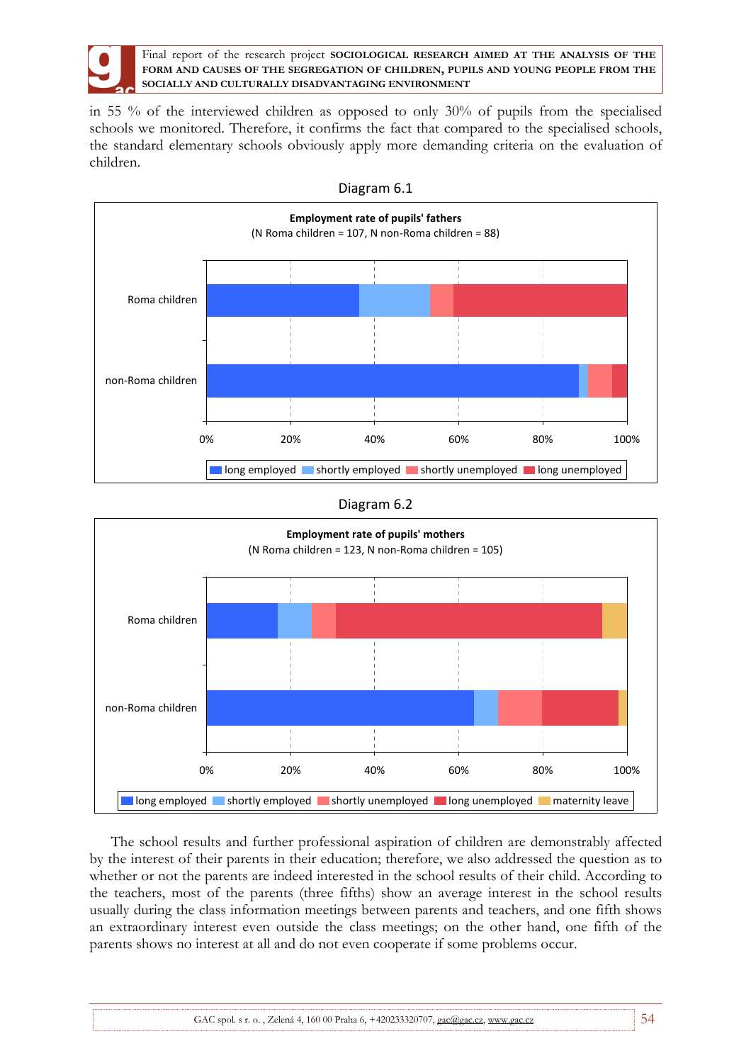

in 55 % of the interviewed children as opposed to only 30% of pupils from the specialised schools we monitored. Therefore, it confirms the fact that compared to the specialised schools, the standard elementary schools obviously apply more demanding criteria on the evaluation of children.





Diagram 6.2



The school results and further professional aspiration of children are demonstrably affected by the interest of their parents in their education; therefore, we also addressed the question as to whether or not the parents are indeed interested in the school results of their child. According to the teachers, most of the parents (three fifths) show an average interest in the school results usually during the class information meetings between parents and teachers, and one fifth shows an extraordinary interest even outside the class meetings; on the other hand, one fifth of the parents shows no interest at all and do not even cooperate if some problems occur.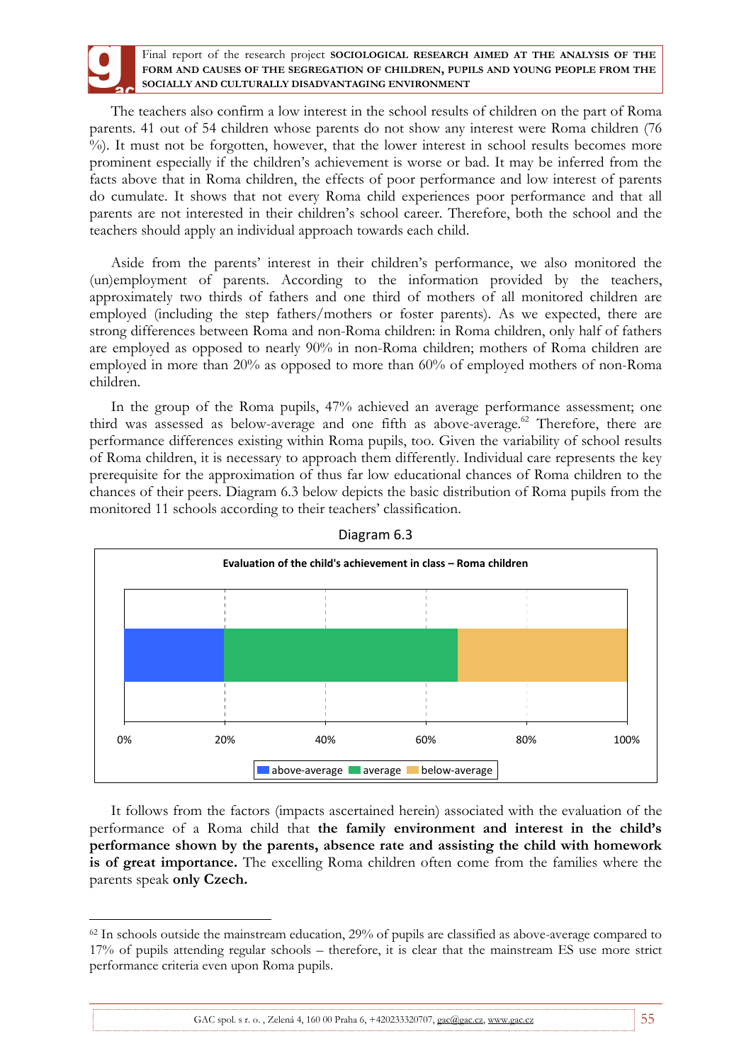The teachers also confirm a low interest in the school results of children on the part of Roma parents. 41 out of 54 children whose parents do not show any interest were Roma children (76  $\%$ ). It must not be forgotten, however, that the lower interest in school results becomes more prominent especially if the children's achievement is worse or bad. It may be inferred from the facts above that in Roma children, the effects of poor performance and low interest of parents do cumulate. It shows that not every Roma child experiences poor performance and that all parents are not interested in their children's school career. Therefore, both the school and the teachers should apply an individual approach towards each child.

Aside from the parents' interest in their children's performance, we also monitored the (un)employment of parents. According to the information provided by the teachers, approximately two thirds of fathers and one third of mothers of all monitored children are employed (including the step fathers/mothers or foster parents). As we expected, there are strong differences between Roma and non-Roma children: in Roma children, only half of fathers are employed as opposed to nearly 90% in non-Roma children; mothers of Roma children are employed in more than 20% as opposed to more than 60% of employed mothers of non-Roma children.

In the group of the Roma pupils, 47% achieved an average performance assessment; one third was assessed as below-average and one fifth as above-average. $62$  Therefore, there are performance differences existing within Roma pupils, too. Given the variability of school results of Roma children, it is necessary to approach them differently. Individual care represents the key prerequisite for the approximation of thus far low educational chances of Roma children to the chances of their peers. Diagram 6.3 below depicts the basic distribution of Roma pupils from the monitored 11 schools according to their teachers' classification.





It follows from the factors (impacts ascertained herein) associated with the evaluation of the performance of a Roma child that **the family environment and interest in the child's performance shown by the parents, absence rate and assisting the child with homework is of great importance.** The excelling Roma children often come from the families where the parents speak **only Czech.**

 $\overline{a}$ <sup>62</sup> In schools outside the mainstream education, 29% of pupils are classified as above-average compared to 17% of pupils attending regular schools – therefore, it is clear that the mainstream ES use more strict performance criteria even upon Roma pupils.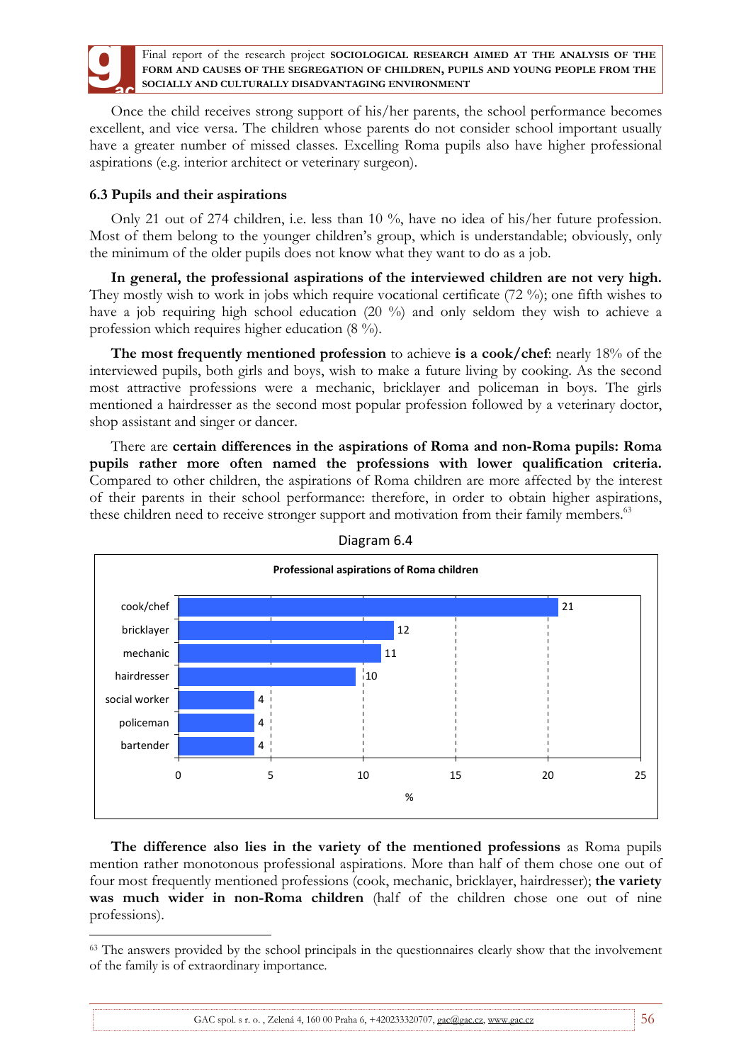

Once the child receives strong support of his/her parents, the school performance becomes excellent, and vice versa. The children whose parents do not consider school important usually have a greater number of missed classes. Excelling Roma pupils also have higher professional aspirations (e.g. interior architect or veterinary surgeon).

# **6.3 Pupils and their aspirations**

Only 21 out of 274 children, i.e. less than 10 %, have no idea of his/her future profession. Most of them belong to the younger children's group, which is understandable; obviously, only the minimum of the older pupils does not know what they want to do as a job.

**In general, the professional aspirations of the interviewed children are not very high.**  They mostly wish to work in jobs which require vocational certificate (72 %); one fifth wishes to have a job requiring high school education (20 %) and only seldom they wish to achieve a profession which requires higher education (8 %).

**The most frequently mentioned profession** to achieve **is a cook/chef**: nearly 18% of the interviewed pupils, both girls and boys, wish to make a future living by cooking. As the second most attractive professions were a mechanic, bricklayer and policeman in boys. The girls mentioned a hairdresser as the second most popular profession followed by a veterinary doctor, shop assistant and singer or dancer.

There are **certain differences in the aspirations of Roma and non-Roma pupils: Roma pupils rather more often named the professions with lower qualification criteria.**  Compared to other children, the aspirations of Roma children are more affected by the interest of their parents in their school performance: therefore, in order to obtain higher aspirations, these children need to receive stronger support and motivation from their family members.<sup>63</sup>





**The difference also lies in the variety of the mentioned professions** as Roma pupils mention rather monotonous professional aspirations. More than half of them chose one out of four most frequently mentioned professions (cook, mechanic, bricklayer, hairdresser); **the variety was much wider in non-Roma children** (half of the children chose one out of nine professions).

 $\overline{a}$ <sup>63</sup> The answers provided by the school principals in the questionnaires clearly show that the involvement of the family is of extraordinary importance.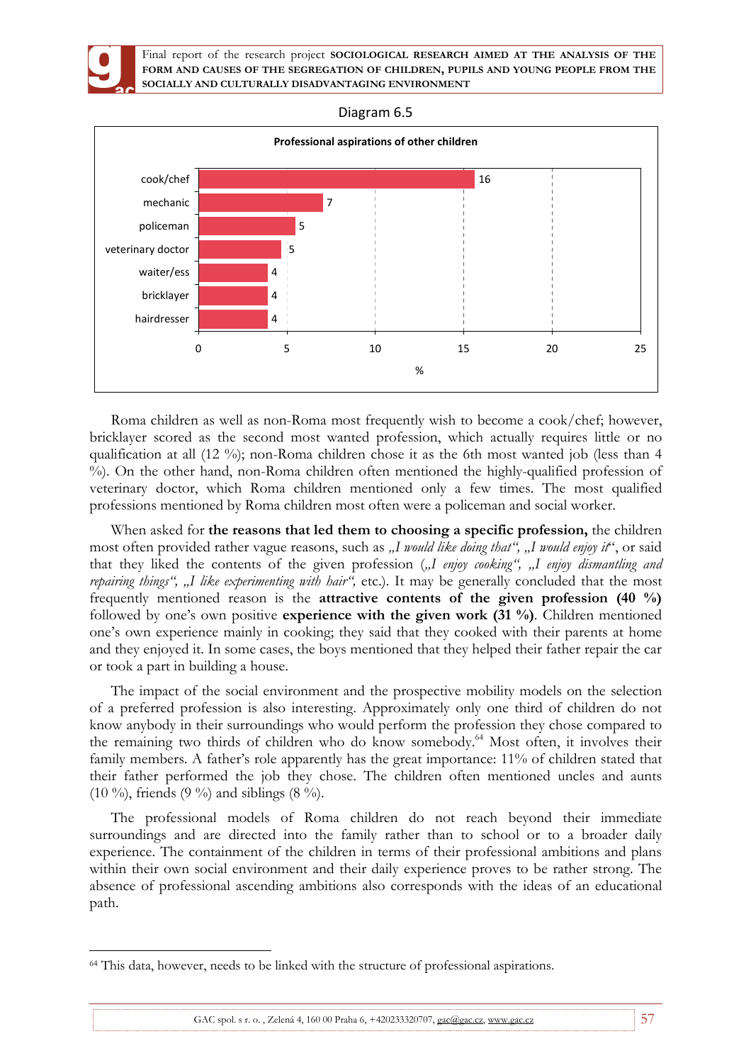

 $\overline{a}$ 

Final report of the research project **SOCIOLOGICAL RESEARCH AIMED AT THE ANALYSIS OF THE FORM AND CAUSES OF THE SEGREGATION OF CHILDREN, PUPILS AND YOUNG PEOPLE FROM THE SOCIALLY AND CULTURALLY DISADVANTAGING ENVIRONMENT**





Roma children as well as non-Roma most frequently wish to become a cook/chef; however, bricklayer scored as the second most wanted profession, which actually requires little or no qualification at all (12 %); non-Roma children chose it as the 6th most wanted job (less than 4 %). On the other hand, non-Roma children often mentioned the highly-qualified profession of veterinary doctor, which Roma children mentioned only a few times. The most qualified professions mentioned by Roma children most often were a policeman and social worker.

When asked for **the reasons that led them to choosing a specific profession,** the children most often provided rather vague reasons, such as "I would like doing that", "I would enjoy it", or said that they liked the contents of the given profession ("I enjoy cooking", "I enjoy dismantling and repairing things", "I like experimenting with hair", etc.). It may be generally concluded that the most frequently mentioned reason is the **attractive contents of the given profession (40 %)** followed by one's own positive **experience with the given work (31 %)**. Children mentioned one's own experience mainly in cooking; they said that they cooked with their parents at home and they enjoyed it. In some cases, the boys mentioned that they helped their father repair the car or took a part in building a house.

The impact of the social environment and the prospective mobility models on the selection of a preferred profession is also interesting. Approximately only one third of children do not know anybody in their surroundings who would perform the profession they chose compared to the remaining two thirds of children who do know somebody.<sup>64</sup> Most often, it involves their family members. A father's role apparently has the great importance: 11% of children stated that their father performed the job they chose. The children often mentioned uncles and aunts (10 %), friends (9 %) and siblings (8 %).

The professional models of Roma children do not reach beyond their immediate surroundings and are directed into the family rather than to school or to a broader daily experience. The containment of the children in terms of their professional ambitions and plans within their own social environment and their daily experience proves to be rather strong. The absence of professional ascending ambitions also corresponds with the ideas of an educational path.

GAC spol. s r. o., Zelená 4, 160 00 Praha 6,  $+420233320707$ , gac@gac.cz, www.gac.cz 57

<sup>&</sup>lt;sup>64</sup> This data, however, needs to be linked with the structure of professional aspirations.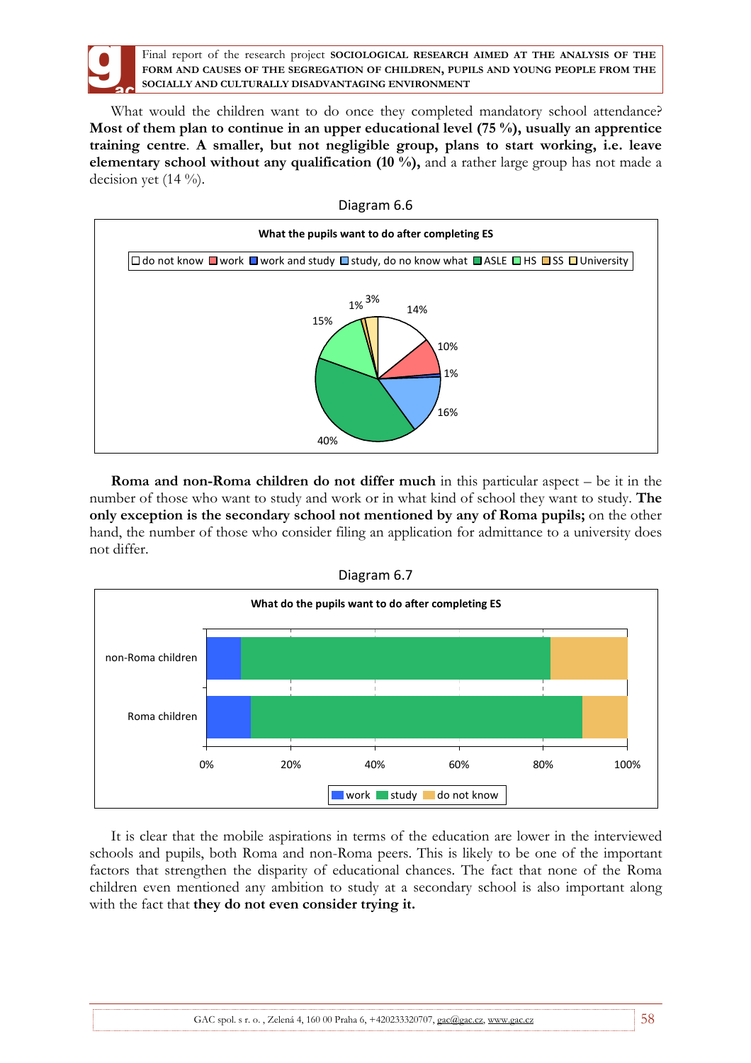

What would the children want to do once they completed mandatory school attendance? **Most of them plan to continue in an upper educational level (75 %), usually an apprentice training centre**. **A smaller, but not negligible group, plans to start working, i.e. leave elementary school without any qualification (10 %),** and a rather large group has not made a decision yet  $(14 \%)$ .



**Roma and non-Roma children do not differ much** in this particular aspect – be it in the number of those who want to study and work or in what kind of school they want to study. **The only exception is the secondary school not mentioned by any of Roma pupils;** on the other hand, the number of those who consider filing an application for admittance to a university does not differ.





It is clear that the mobile aspirations in terms of the education are lower in the interviewed schools and pupils, both Roma and non-Roma peers. This is likely to be one of the important factors that strengthen the disparity of educational chances. The fact that none of the Roma children even mentioned any ambition to study at a secondary school is also important along with the fact that **they do not even consider trying it.**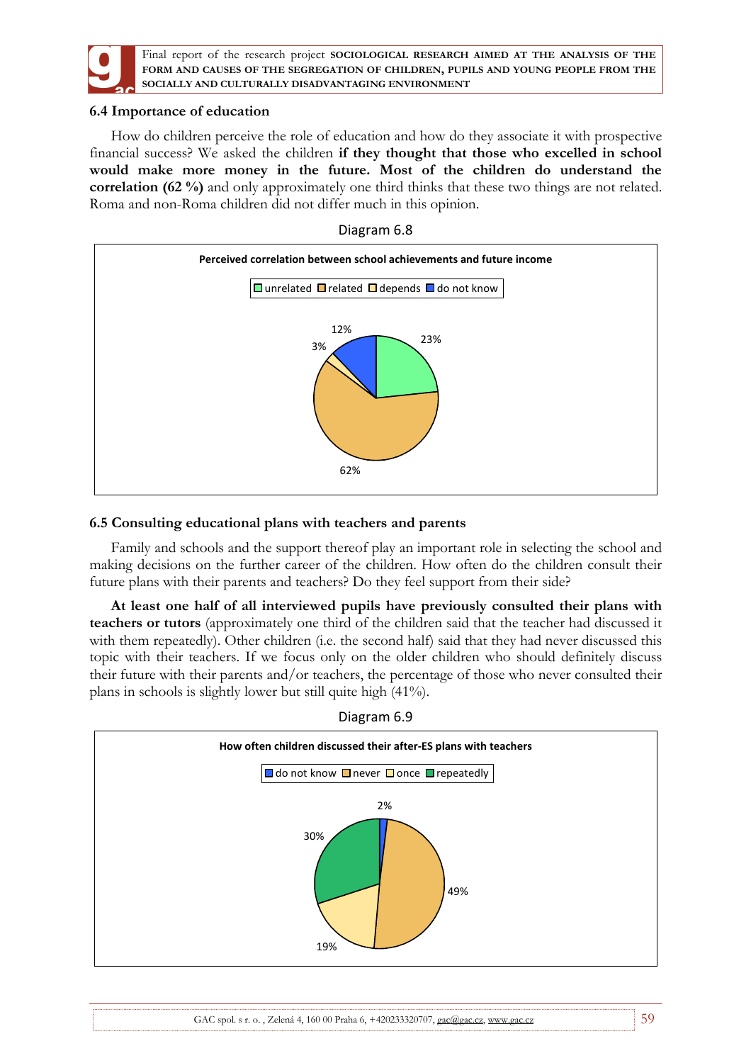

## **6.4 Importance of education**

How do children perceive the role of education and how do they associate it with prospective financial success? We asked the children **if they thought that those who excelled in school would make more money in the future. Most of the children do understand the correlation (62 %)** and only approximately one third thinks that these two things are not related. Roma and non-Roma children did not differ much in this opinion.



## **6.5 Consulting educational plans with teachers and parents**

Family and schools and the support thereof play an important role in selecting the school and making decisions on the further career of the children. How often do the children consult their future plans with their parents and teachers? Do they feel support from their side?

**At least one half of all interviewed pupils have previously consulted their plans with teachers or tutors** (approximately one third of the children said that the teacher had discussed it with them repeatedly). Other children (i.e. the second half) said that they had never discussed this topic with their teachers. If we focus only on the older children who should definitely discuss their future with their parents and/or teachers, the percentage of those who never consulted their plans in schools is slightly lower but still quite high (41%).



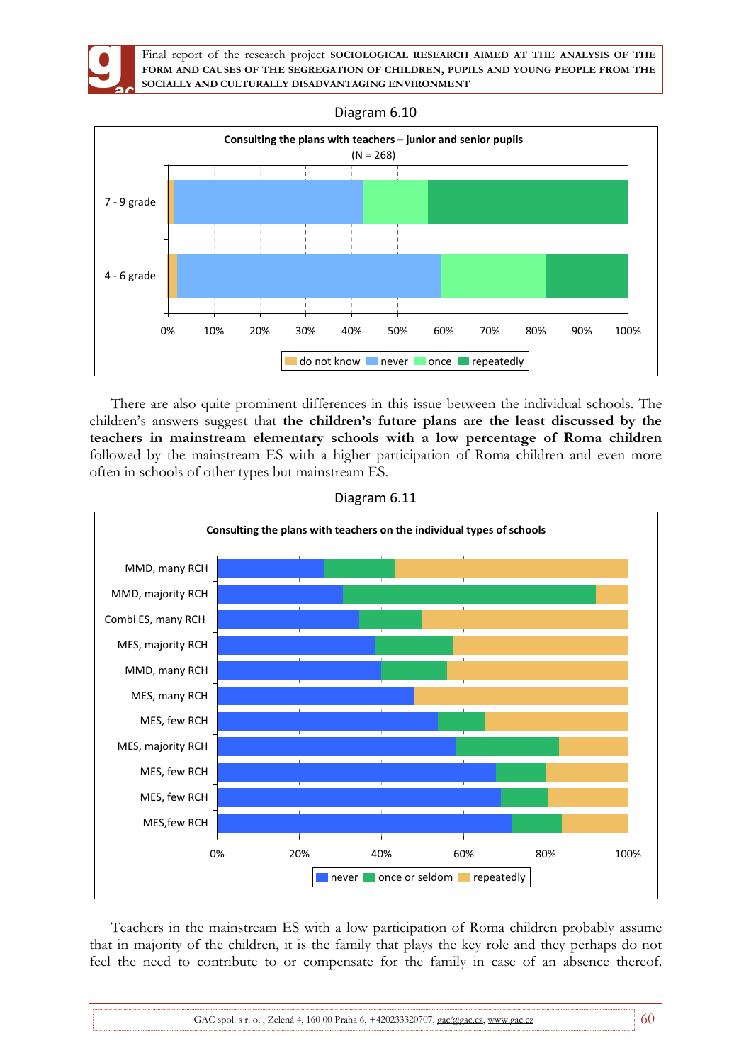



There are also quite prominent differences in this issue between the individual schools. The children's answers suggest that **the children's future plans are the least discussed by the teachers in mainstream elementary schools with a low percentage of Roma children**  followed by the mainstream ES with a higher participation of Roma children and even more often in schools of other types but mainstream ES.



Diagram 6.11

Teachers in the mainstream ES with a low participation of Roma children probably assume that in majority of the children, it is the family that plays the key role and they perhaps do not feel the need to contribute to or compensate for the family in case of an absence thereof.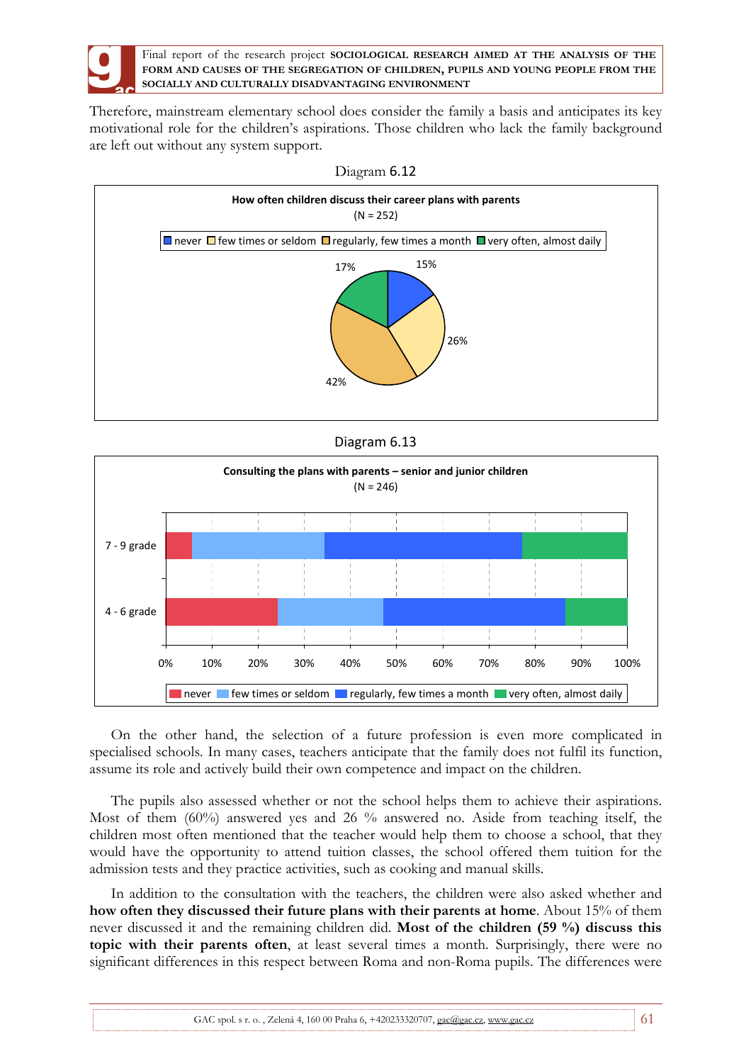

Therefore, mainstream elementary school does consider the family a basis and anticipates its key motivational role for the children's aspirations. Those children who lack the family background are left out without any system support.



Diagram 6.12

Diagram 6.13



On the other hand, the selection of a future profession is even more complicated in specialised schools. In many cases, teachers anticipate that the family does not fulfil its function, assume its role and actively build their own competence and impact on the children.

The pupils also assessed whether or not the school helps them to achieve their aspirations. Most of them (60%) answered yes and 26 % answered no. Aside from teaching itself, the children most often mentioned that the teacher would help them to choose a school, that they would have the opportunity to attend tuition classes, the school offered them tuition for the admission tests and they practice activities, such as cooking and manual skills.

In addition to the consultation with the teachers, the children were also asked whether and **how often they discussed their future plans with their parents at home**. About 15% of them never discussed it and the remaining children did. **Most of the children (59 %) discuss this topic with their parents often**, at least several times a month. Surprisingly, there were no significant differences in this respect between Roma and non-Roma pupils. The differences were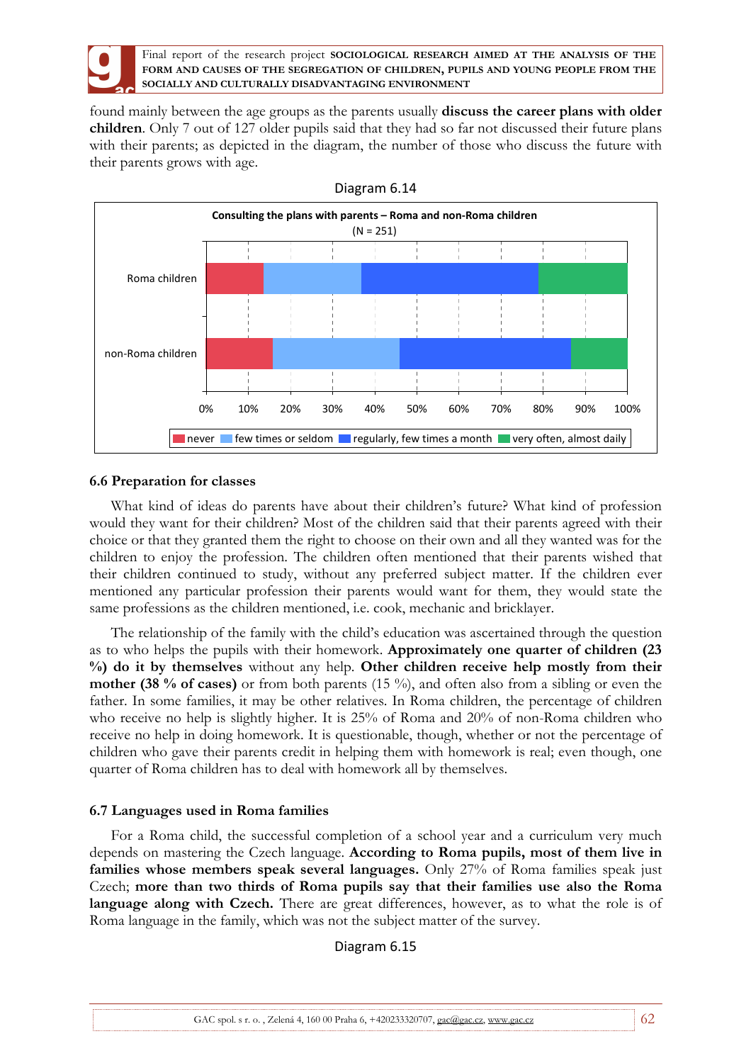

found mainly between the age groups as the parents usually **discuss the career plans with older children**. Only 7 out of 127 older pupils said that they had so far not discussed their future plans with their parents; as depicted in the diagram, the number of those who discuss the future with their parents grows with age.



### **6.6 Preparation for classes**

What kind of ideas do parents have about their children's future? What kind of profession would they want for their children? Most of the children said that their parents agreed with their choice or that they granted them the right to choose on their own and all they wanted was for the children to enjoy the profession. The children often mentioned that their parents wished that their children continued to study, without any preferred subject matter. If the children ever mentioned any particular profession their parents would want for them, they would state the same professions as the children mentioned, i.e. cook, mechanic and bricklayer.

The relationship of the family with the child's education was ascertained through the question as to who helps the pupils with their homework. **Approximately one quarter of children (23 %) do it by themselves** without any help. **Other children receive help mostly from their mother (38 % of cases)** or from both parents (15 %), and often also from a sibling or even the father. In some families, it may be other relatives. In Roma children, the percentage of children who receive no help is slightly higher. It is 25% of Roma and 20% of non-Roma children who receive no help in doing homework. It is questionable, though, whether or not the percentage of children who gave their parents credit in helping them with homework is real; even though, one quarter of Roma children has to deal with homework all by themselves.

## **6.7 Languages used in Roma families**

For a Roma child, the successful completion of a school year and a curriculum very much depends on mastering the Czech language. **According to Roma pupils, most of them live in families whose members speak several languages.** Only 27% of Roma families speak just Czech; **more than two thirds of Roma pupils say that their families use also the Roma**  language along with Czech. There are great differences, however, as to what the role is of Roma language in the family, which was not the subject matter of the survey.

### Diagram 6.15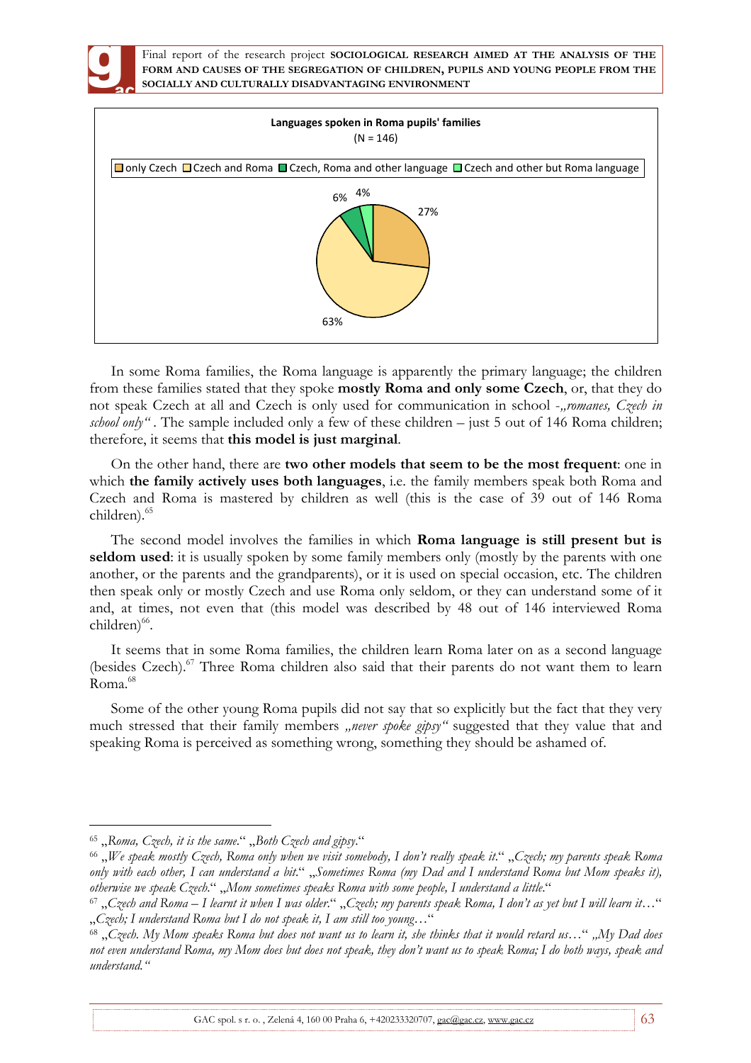



In some Roma families, the Roma language is apparently the primary language; the children from these families stated that they spoke **mostly Roma and only some Czech**, or, that they do not speak Czech at all and Czech is only used for communication in school -"romanes, Czech in *school only*". The sample included only a few of these children – just 5 out of 146 Roma children; therefore, it seems that **this model is just marginal**.

On the other hand, there are **two other models that seem to be the most frequent**: one in which **the family actively uses both languages**, i.e. the family members speak both Roma and Czech and Roma is mastered by children as well (this is the case of 39 out of 146 Roma children).<sup>65</sup>

The second model involves the families in which **Roma language is still present but is seldom used**: it is usually spoken by some family members only (mostly by the parents with one another, or the parents and the grandparents), or it is used on special occasion, etc. The children then speak only or mostly Czech and use Roma only seldom, or they can understand some of it and, at times, not even that (this model was described by 48 out of 146 interviewed Roma children)<sup>66</sup>.

It seems that in some Roma families, the children learn Roma later on as a second language (besides Czech).<sup>67</sup> Three Roma children also said that their parents do not want them to learn Roma.<sup>68</sup>

Some of the other young Roma pupils did not say that so explicitly but the fact that they very much stressed that their family members *"never spoke gipsy*" suggested that they value that and speaking Roma is perceived as something wrong, something they should be ashamed of.

 $\overline{a}$ 

GAC spol. s r. o., Zelená 4, 160 00 Praha 6, +420233320707, gac@gac.cz, www.gac.cz 63

<sup>65</sup> "*Roma, Czech, it is the same*." "*Both Czech and gipsy*."

<sup>66</sup> "*We speak mostly Czech, Roma only when we visit somebody, I don't really speak it*." "*Czech; my parents speak Roma only with each other, I can understand a bit*." "*Sometimes Roma (my Dad and I understand Roma but Mom speaks it), otherwise we speak Czech*." "*Mom sometimes speaks Roma with some people, I understand a little*."

<sup>67</sup> "*Czech and Roma – I learnt it when I was older*." "*Czech; my parents speak Roma, I don't as yet but I will learn it*…" "*Czech; I understand Roma but I do not speak it, I am still too young…*"

<sup>68</sup> "*Czech. My Mom speaks Roma but does not want us to learn it, she thinks that it would retard us*…" *"My Dad does not even understand Roma, my Mom does but does not speak, they don't want us to speak Roma; I do both ways, speak and understand."*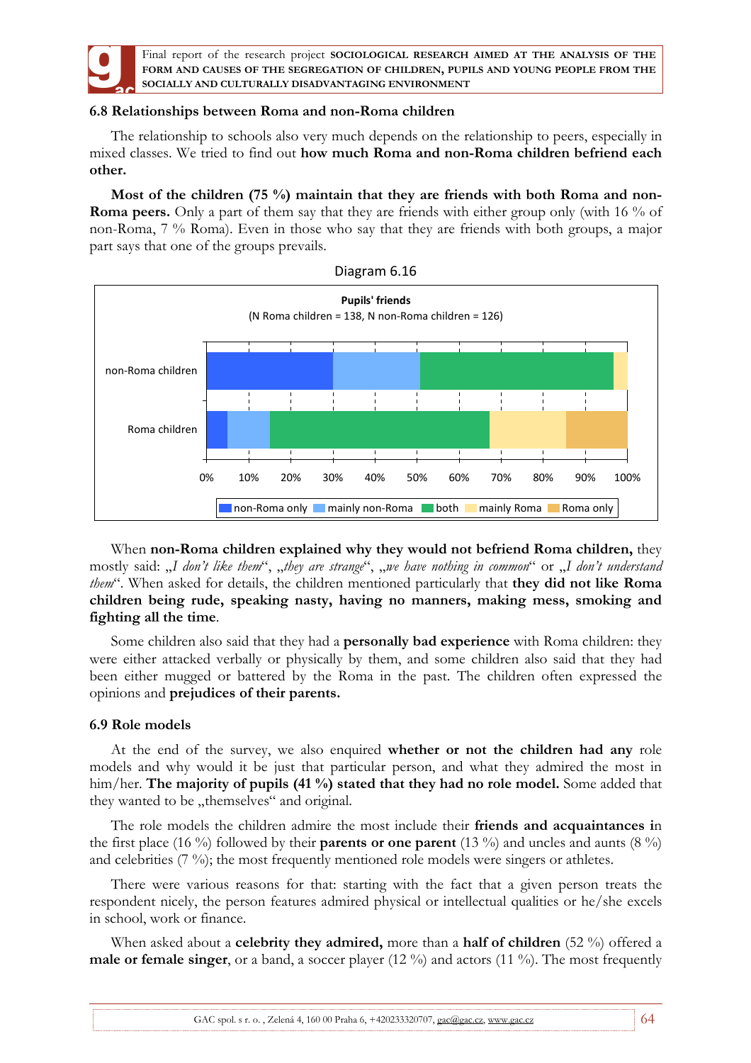

## **6.8 Relationships between Roma and non-Roma children**

The relationship to schools also very much depends on the relationship to peers, especially in mixed classes. We tried to find out **how much Roma and non-Roma children befriend each other.** 

**Most of the children (75 %) maintain that they are friends with both Roma and non-Roma peers.** Only a part of them say that they are friends with either group only (with 16 % of non-Roma, 7 % Roma). Even in those who say that they are friends with both groups, a major part says that one of the groups prevails.



When **non-Roma children explained why they would not befriend Roma children,** they mostly said: "*I don't like them"*, "they are strange", "we have nothing in common" or "I don't understand *them*". When asked for details, the children mentioned particularly that **they did not like Roma children being rude, speaking nasty, having no manners, making mess, smoking and fighting all the time**.

Some children also said that they had a **personally bad experience** with Roma children: they were either attacked verbally or physically by them, and some children also said that they had been either mugged or battered by the Roma in the past. The children often expressed the opinions and **prejudices of their parents.** 

### **6.9 Role models**

At the end of the survey, we also enquired **whether or not the children had any** role models and why would it be just that particular person, and what they admired the most in him/her. **The majority of pupils (41 %) stated that they had no role model.** Some added that they wanted to be "themselves" and original.

The role models the children admire the most include their **friends and acquaintances i**n the first place (16 %) followed by their **parents or one parent** (13 %) and uncles and aunts (8 %) and celebrities (7 %); the most frequently mentioned role models were singers or athletes.

There were various reasons for that: starting with the fact that a given person treats the respondent nicely, the person features admired physical or intellectual qualities or he/she excels in school, work or finance.

When asked about a **celebrity they admired,** more than a **half of children** (52 %) offered a **male or female singer**, or a band, a soccer player (12 %) and actors (11 %). The most frequently

GAC spol. s r. o., Zelená 4, 160 00 Praha 6, +420233320707, gac@gac.cz, www.gac.cz 64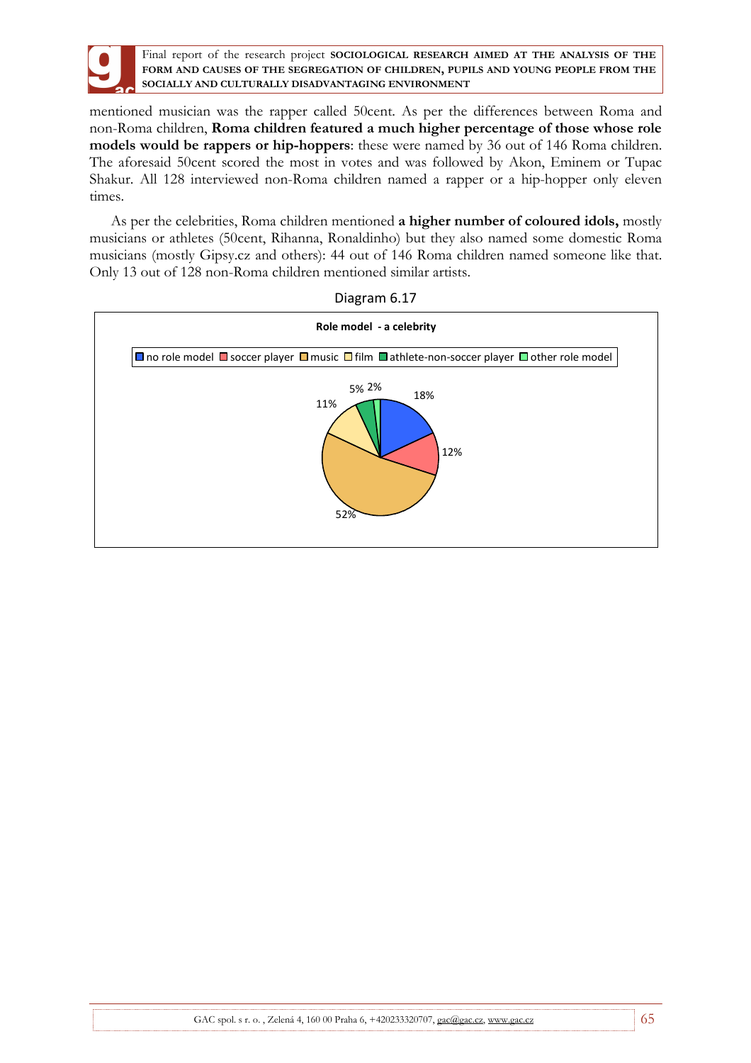

mentioned musician was the rapper called 50cent. As per the differences between Roma and non-Roma children, **Roma children featured a much higher percentage of those whose role models would be rappers or hip-hoppers**: these were named by 36 out of 146 Roma children. The aforesaid 50cent scored the most in votes and was followed by Akon, Eminem or Tupac Shakur. All 128 interviewed non-Roma children named a rapper or a hip-hopper only eleven times.

As per the celebrities, Roma children mentioned **a higher number of coloured idols,** mostly musicians or athletes (50cent, Rihanna, Ronaldinho) but they also named some domestic Roma musicians (mostly Gipsy.cz and others): 44 out of 146 Roma children named someone like that. Only 13 out of 128 non-Roma children mentioned similar artists.



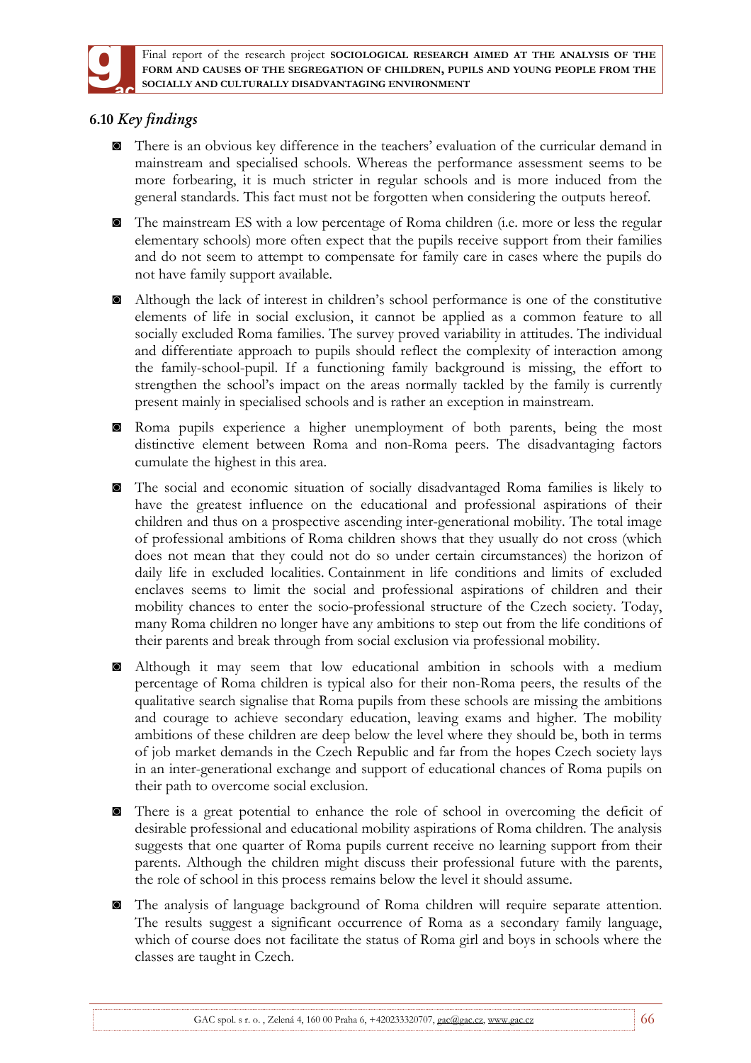

# **6.10** *Key findings*

- ◙ There is an obvious key difference in the teachers' evaluation of the curricular demand in mainstream and specialised schools. Whereas the performance assessment seems to be more forbearing, it is much stricter in regular schools and is more induced from the general standards. This fact must not be forgotten when considering the outputs hereof.
- ◙ The mainstream ES with a low percentage of Roma children (i.e. more or less the regular elementary schools) more often expect that the pupils receive support from their families and do not seem to attempt to compensate for family care in cases where the pupils do not have family support available.
- ◙ Although the lack of interest in children's school performance is one of the constitutive elements of life in social exclusion, it cannot be applied as a common feature to all socially excluded Roma families. The survey proved variability in attitudes. The individual and differentiate approach to pupils should reflect the complexity of interaction among the family-school-pupil. If a functioning family background is missing, the effort to strengthen the school's impact on the areas normally tackled by the family is currently present mainly in specialised schools and is rather an exception in mainstream.
- ◙ Roma pupils experience a higher unemployment of both parents, being the most distinctive element between Roma and non-Roma peers. The disadvantaging factors cumulate the highest in this area.
- ◙ The social and economic situation of socially disadvantaged Roma families is likely to have the greatest influence on the educational and professional aspirations of their children and thus on a prospective ascending inter-generational mobility. The total image of professional ambitions of Roma children shows that they usually do not cross (which does not mean that they could not do so under certain circumstances) the horizon of daily life in excluded localities. Containment in life conditions and limits of excluded enclaves seems to limit the social and professional aspirations of children and their mobility chances to enter the socio-professional structure of the Czech society. Today, many Roma children no longer have any ambitions to step out from the life conditions of their parents and break through from social exclusion via professional mobility.
- ◙ Although it may seem that low educational ambition in schools with a medium percentage of Roma children is typical also for their non-Roma peers, the results of the qualitative search signalise that Roma pupils from these schools are missing the ambitions and courage to achieve secondary education, leaving exams and higher. The mobility ambitions of these children are deep below the level where they should be, both in terms of job market demands in the Czech Republic and far from the hopes Czech society lays in an inter-generational exchange and support of educational chances of Roma pupils on their path to overcome social exclusion.
- ◙ There is a great potential to enhance the role of school in overcoming the deficit of desirable professional and educational mobility aspirations of Roma children. The analysis suggests that one quarter of Roma pupils current receive no learning support from their parents. Although the children might discuss their professional future with the parents, the role of school in this process remains below the level it should assume.
- ◙ The analysis of language background of Roma children will require separate attention. The results suggest a significant occurrence of Roma as a secondary family language, which of course does not facilitate the status of Roma girl and boys in schools where the classes are taught in Czech.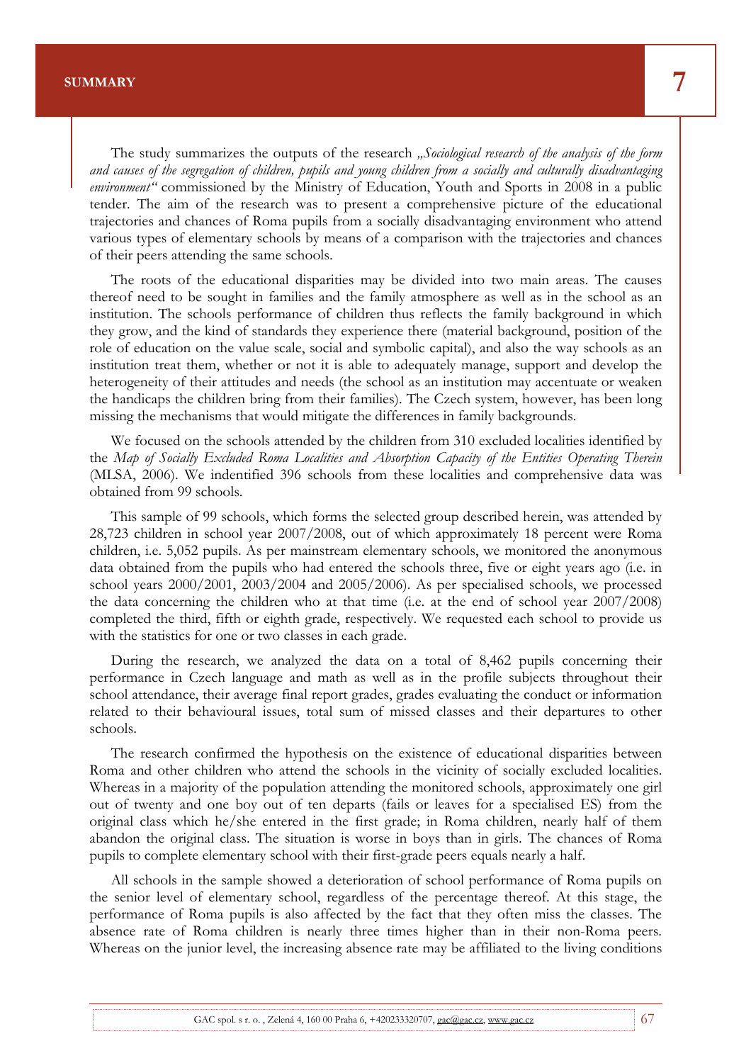The study summarizes the outputs of the research *"Sociological research of the analysis of the form and causes of the segregation of children, pupils and young children from a socially and culturally disadvantaging environment"* commissioned by the Ministry of Education, Youth and Sports in 2008 in a public tender. The aim of the research was to present a comprehensive picture of the educational trajectories and chances of Roma pupils from a socially disadvantaging environment who attend various types of elementary schools by means of a comparison with the trajectories and chances of their peers attending the same schools.

Final report of the research project **SOCIOLOGICAL RESEARCH AIMED AT THE ANALYSIS OF THE FORM AND CAUSES OF THE SEGREGATION OF CHILDREN, PUPILS AND YOUNG PEOPLE FROM THE** 

The roots of the educational disparities may be divided into two main areas. The causes thereof need to be sought in families and the family atmosphere as well as in the school as an institution. The schools performance of children thus reflects the family background in which they grow, and the kind of standards they experience there (material background, position of the role of education on the value scale, social and symbolic capital), and also the way schools as an institution treat them, whether or not it is able to adequately manage, support and develop the heterogeneity of their attitudes and needs (the school as an institution may accentuate or weaken the handicaps the children bring from their families). The Czech system, however, has been long missing the mechanisms that would mitigate the differences in family backgrounds.

We focused on the schools attended by the children from 310 excluded localities identified by the *Map of Socially Excluded Roma Localities and Absorption Capacity of the Entities Operating Therein* (MLSA, 2006). We indentified 396 schools from these localities and comprehensive data was obtained from 99 schools.

This sample of 99 schools, which forms the selected group described herein, was attended by 28,723 children in school year 2007/2008, out of which approximately 18 percent were Roma children, i.e. 5,052 pupils. As per mainstream elementary schools, we monitored the anonymous data obtained from the pupils who had entered the schools three, five or eight years ago (i.e. in school years 2000/2001, 2003/2004 and 2005/2006). As per specialised schools, we processed the data concerning the children who at that time (i.e. at the end of school year 2007/2008) completed the third, fifth or eighth grade, respectively. We requested each school to provide us with the statistics for one or two classes in each grade.

During the research, we analyzed the data on a total of 8,462 pupils concerning their performance in Czech language and math as well as in the profile subjects throughout their school attendance, their average final report grades, grades evaluating the conduct or information related to their behavioural issues, total sum of missed classes and their departures to other schools.

The research confirmed the hypothesis on the existence of educational disparities between Roma and other children who attend the schools in the vicinity of socially excluded localities. Whereas in a majority of the population attending the monitored schools, approximately one girl out of twenty and one boy out of ten departs (fails or leaves for a specialised ES) from the original class which he/she entered in the first grade; in Roma children, nearly half of them abandon the original class. The situation is worse in boys than in girls. The chances of Roma pupils to complete elementary school with their first-grade peers equals nearly a half.

All schools in the sample showed a deterioration of school performance of Roma pupils on the senior level of elementary school, regardless of the percentage thereof. At this stage, the performance of Roma pupils is also affected by the fact that they often miss the classes. The absence rate of Roma children is nearly three times higher than in their non-Roma peers. Whereas on the junior level, the increasing absence rate may be affiliated to the living conditions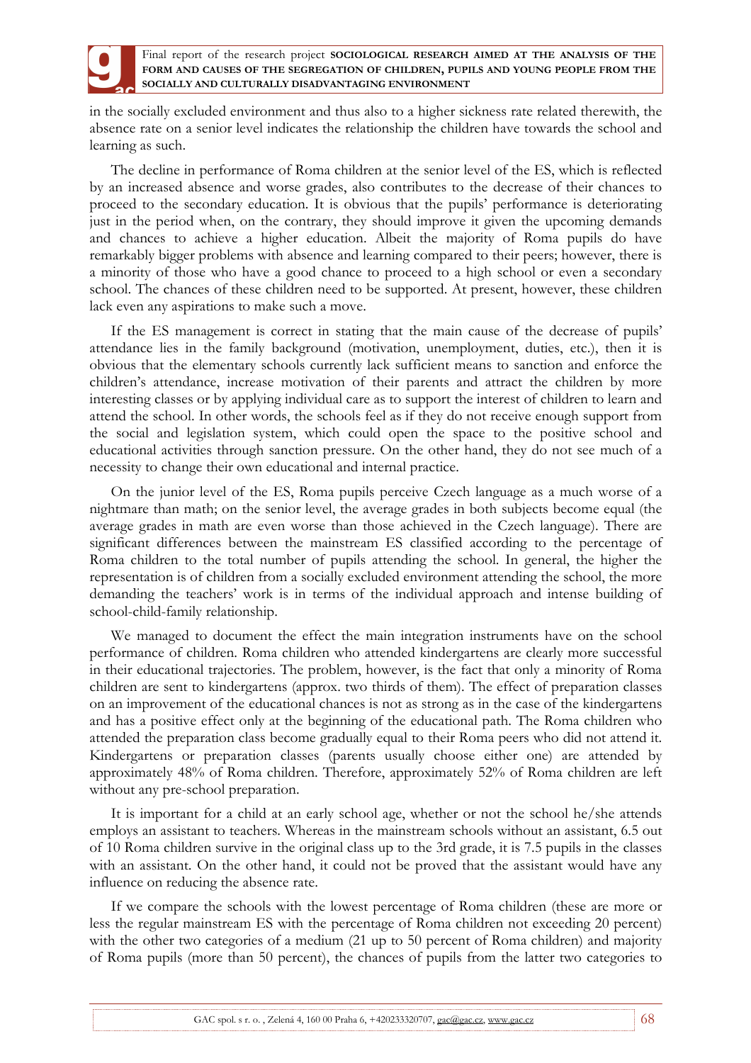

in the socially excluded environment and thus also to a higher sickness rate related therewith, the absence rate on a senior level indicates the relationship the children have towards the school and learning as such.

The decline in performance of Roma children at the senior level of the ES, which is reflected by an increased absence and worse grades, also contributes to the decrease of their chances to proceed to the secondary education. It is obvious that the pupils' performance is deteriorating just in the period when, on the contrary, they should improve it given the upcoming demands and chances to achieve a higher education. Albeit the majority of Roma pupils do have remarkably bigger problems with absence and learning compared to their peers; however, there is a minority of those who have a good chance to proceed to a high school or even a secondary school. The chances of these children need to be supported. At present, however, these children lack even any aspirations to make such a move.

If the ES management is correct in stating that the main cause of the decrease of pupils' attendance lies in the family background (motivation, unemployment, duties, etc.), then it is obvious that the elementary schools currently lack sufficient means to sanction and enforce the children's attendance, increase motivation of their parents and attract the children by more interesting classes or by applying individual care as to support the interest of children to learn and attend the school. In other words, the schools feel as if they do not receive enough support from the social and legislation system, which could open the space to the positive school and educational activities through sanction pressure. On the other hand, they do not see much of a necessity to change their own educational and internal practice.

On the junior level of the ES, Roma pupils perceive Czech language as a much worse of a nightmare than math; on the senior level, the average grades in both subjects become equal (the average grades in math are even worse than those achieved in the Czech language). There are significant differences between the mainstream ES classified according to the percentage of Roma children to the total number of pupils attending the school. In general, the higher the representation is of children from a socially excluded environment attending the school, the more demanding the teachers' work is in terms of the individual approach and intense building of school-child-family relationship.

We managed to document the effect the main integration instruments have on the school performance of children. Roma children who attended kindergartens are clearly more successful in their educational trajectories. The problem, however, is the fact that only a minority of Roma children are sent to kindergartens (approx. two thirds of them). The effect of preparation classes on an improvement of the educational chances is not as strong as in the case of the kindergartens and has a positive effect only at the beginning of the educational path. The Roma children who attended the preparation class become gradually equal to their Roma peers who did not attend it. Kindergartens or preparation classes (parents usually choose either one) are attended by approximately 48% of Roma children. Therefore, approximately 52% of Roma children are left without any pre-school preparation.

It is important for a child at an early school age, whether or not the school he/she attends employs an assistant to teachers. Whereas in the mainstream schools without an assistant, 6.5 out of 10 Roma children survive in the original class up to the 3rd grade, it is 7.5 pupils in the classes with an assistant. On the other hand, it could not be proved that the assistant would have any influence on reducing the absence rate.

If we compare the schools with the lowest percentage of Roma children (these are more or less the regular mainstream ES with the percentage of Roma children not exceeding 20 percent) with the other two categories of a medium (21 up to 50 percent of Roma children) and majority of Roma pupils (more than 50 percent), the chances of pupils from the latter two categories to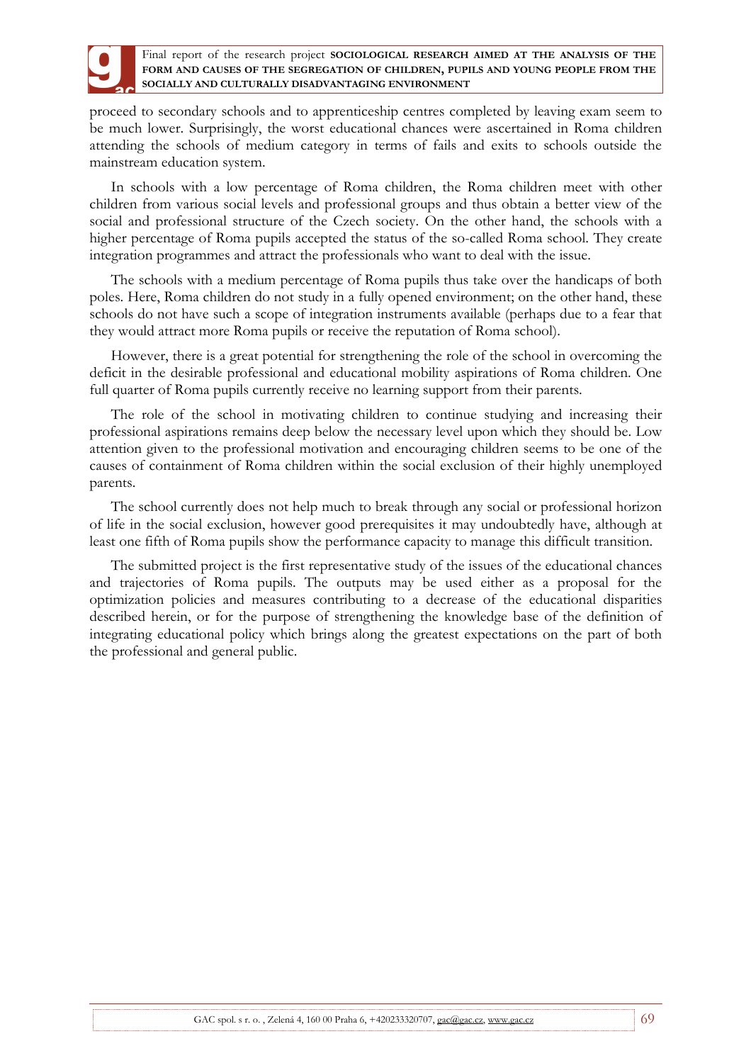

proceed to secondary schools and to apprenticeship centres completed by leaving exam seem to be much lower. Surprisingly, the worst educational chances were ascertained in Roma children attending the schools of medium category in terms of fails and exits to schools outside the mainstream education system.

In schools with a low percentage of Roma children, the Roma children meet with other children from various social levels and professional groups and thus obtain a better view of the social and professional structure of the Czech society. On the other hand, the schools with a higher percentage of Roma pupils accepted the status of the so-called Roma school. They create integration programmes and attract the professionals who want to deal with the issue.

The schools with a medium percentage of Roma pupils thus take over the handicaps of both poles. Here, Roma children do not study in a fully opened environment; on the other hand, these schools do not have such a scope of integration instruments available (perhaps due to a fear that they would attract more Roma pupils or receive the reputation of Roma school).

However, there is a great potential for strengthening the role of the school in overcoming the deficit in the desirable professional and educational mobility aspirations of Roma children. One full quarter of Roma pupils currently receive no learning support from their parents.

The role of the school in motivating children to continue studying and increasing their professional aspirations remains deep below the necessary level upon which they should be. Low attention given to the professional motivation and encouraging children seems to be one of the causes of containment of Roma children within the social exclusion of their highly unemployed parents.

The school currently does not help much to break through any social or professional horizon of life in the social exclusion, however good prerequisites it may undoubtedly have, although at least one fifth of Roma pupils show the performance capacity to manage this difficult transition.

The submitted project is the first representative study of the issues of the educational chances and trajectories of Roma pupils. The outputs may be used either as a proposal for the optimization policies and measures contributing to a decrease of the educational disparities described herein, or for the purpose of strengthening the knowledge base of the definition of integrating educational policy which brings along the greatest expectations on the part of both the professional and general public.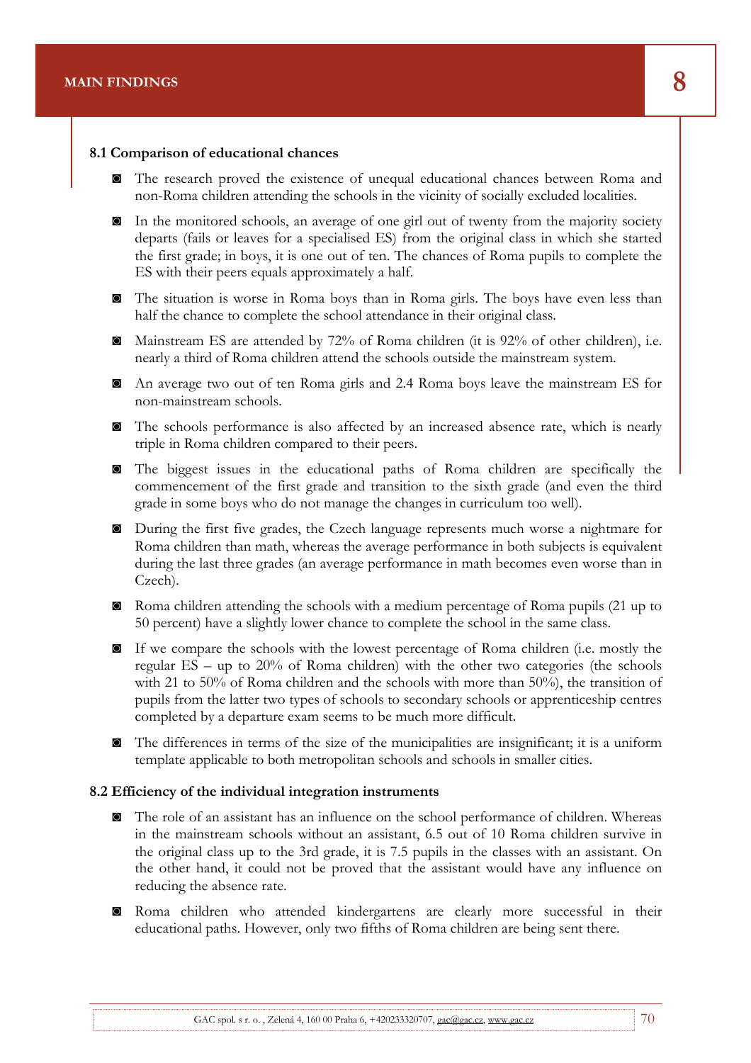#### **8.1 Comparison of educational chances**

◙ The research proved the existence of unequal educational chances between Roma and non-Roma children attending the schools in the vicinity of socially excluded localities.

Final report of the research project **SOCIOLOGICAL RESEARCH AIMED AT THE ANALYSIS OF THE** 

- ◙ In the monitored schools, an average of one girl out of twenty from the majority society departs (fails or leaves for a specialised ES) from the original class in which she started the first grade; in boys, it is one out of ten. The chances of Roma pupils to complete the ES with their peers equals approximately a half.
- ◙ The situation is worse in Roma boys than in Roma girls. The boys have even less than half the chance to complete the school attendance in their original class.
- ◙ Mainstream ES are attended by 72% of Roma children (it is 92% of other children), i.e. nearly a third of Roma children attend the schools outside the mainstream system.
- ◙ An average two out of ten Roma girls and 2.4 Roma boys leave the mainstream ES for non-mainstream schools.
- ◙ The schools performance is also affected by an increased absence rate, which is nearly triple in Roma children compared to their peers.
- ◙ The biggest issues in the educational paths of Roma children are specifically the commencement of the first grade and transition to the sixth grade (and even the third grade in some boys who do not manage the changes in curriculum too well).
- ◙ During the first five grades, the Czech language represents much worse a nightmare for Roma children than math, whereas the average performance in both subjects is equivalent during the last three grades (an average performance in math becomes even worse than in Czech).
- ◙ Roma children attending the schools with a medium percentage of Roma pupils (21 up to 50 percent) have a slightly lower chance to complete the school in the same class.
- ◙ If we compare the schools with the lowest percentage of Roma children (i.e. mostly the regular ES – up to 20% of Roma children) with the other two categories (the schools with 21 to 50% of Roma children and the schools with more than 50%), the transition of pupils from the latter two types of schools to secondary schools or apprenticeship centres completed by a departure exam seems to be much more difficult.
- ◙ The differences in terms of the size of the municipalities are insignificant; it is a uniform template applicable to both metropolitan schools and schools in smaller cities.

#### **8.2 Efficiency of the individual integration instruments**

- ◙ The role of an assistant has an influence on the school performance of children. Whereas in the mainstream schools without an assistant, 6.5 out of 10 Roma children survive in the original class up to the 3rd grade, it is 7.5 pupils in the classes with an assistant. On the other hand, it could not be proved that the assistant would have any influence on reducing the absence rate.
- ◙ Roma children who attended kindergartens are clearly more successful in their educational paths. However, only two fifths of Roma children are being sent there.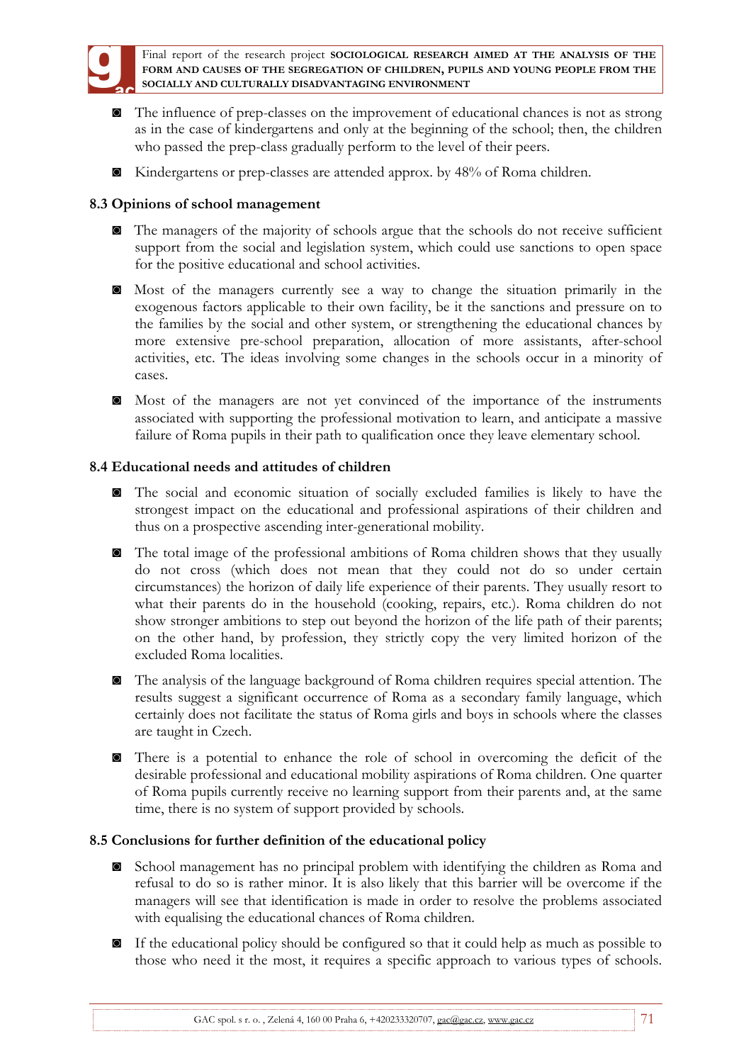

- ◙ The influence of prep-classes on the improvement of educational chances is not as strong as in the case of kindergartens and only at the beginning of the school; then, the children who passed the prep-class gradually perform to the level of their peers.
- ◙ Kindergartens or prep-classes are attended approx. by 48% of Roma children.

# **8.3 Opinions of school management**

- ◙ The managers of the majority of schools argue that the schools do not receive sufficient support from the social and legislation system, which could use sanctions to open space for the positive educational and school activities.
- ◙ Most of the managers currently see a way to change the situation primarily in the exogenous factors applicable to their own facility, be it the sanctions and pressure on to the families by the social and other system, or strengthening the educational chances by more extensive pre-school preparation, allocation of more assistants, after-school activities, etc. The ideas involving some changes in the schools occur in a minority of cases.
- ◙ Most of the managers are not yet convinced of the importance of the instruments associated with supporting the professional motivation to learn, and anticipate a massive failure of Roma pupils in their path to qualification once they leave elementary school.

## **8.4 Educational needs and attitudes of children**

- ◙ The social and economic situation of socially excluded families is likely to have the strongest impact on the educational and professional aspirations of their children and thus on a prospective ascending inter-generational mobility.
- ◙ The total image of the professional ambitions of Roma children shows that they usually do not cross (which does not mean that they could not do so under certain circumstances) the horizon of daily life experience of their parents. They usually resort to what their parents do in the household (cooking, repairs, etc.). Roma children do not show stronger ambitions to step out beyond the horizon of the life path of their parents; on the other hand, by profession, they strictly copy the very limited horizon of the excluded Roma localities.
- ◙ The analysis of the language background of Roma children requires special attention. The results suggest a significant occurrence of Roma as a secondary family language, which certainly does not facilitate the status of Roma girls and boys in schools where the classes are taught in Czech.
- ◙ There is a potential to enhance the role of school in overcoming the deficit of the desirable professional and educational mobility aspirations of Roma children. One quarter of Roma pupils currently receive no learning support from their parents and, at the same time, there is no system of support provided by schools.

## **8.5 Conclusions for further definition of the educational policy**

- ◙ School management has no principal problem with identifying the children as Roma and refusal to do so is rather minor. It is also likely that this barrier will be overcome if the managers will see that identification is made in order to resolve the problems associated with equalising the educational chances of Roma children.
- ◙ If the educational policy should be configured so that it could help as much as possible to those who need it the most, it requires a specific approach to various types of schools.